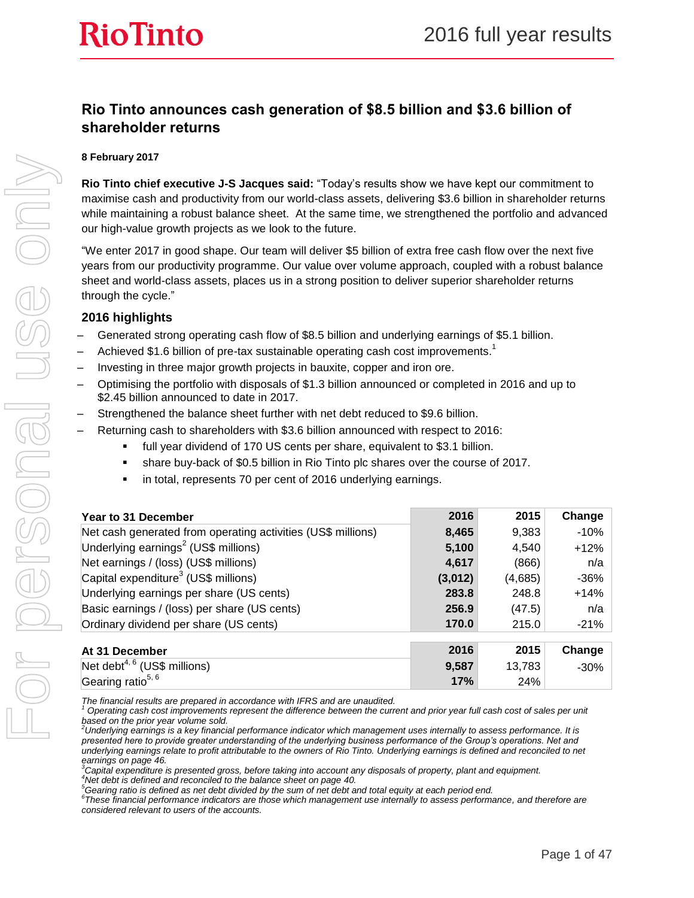# **Rio Tinto announces cash generation of \$8.5 billion and \$3.6 billion of shareholder returns**

#### **8 February 2017**

**Rio Tinto chief executive J-S Jacques said:** "Today's results show we have kept our commitment to maximise cash and productivity from our world-class assets, delivering \$3.6 billion in shareholder returns while maintaining a robust balance sheet. At the same time, we strengthened the portfolio and advanced our high-value growth projects as we look to the future.

"We enter 2017 in good shape. Our team will deliver \$5 billion of extra free cash flow over the next five years from our productivity programme. Our value over volume approach, coupled with a robust balance sheet and world-class assets, places us in a strong position to deliver superior shareholder returns through the cycle."

#### **2016 highlights**

Gearing ratio $5, 6$ 

- Generated strong operating cash flow of \$8.5 billion and underlying earnings of \$5.1 billion.
- $-$  Achieved \$1.6 billion of pre-tax sustainable operating cash cost improvements.<sup>1</sup>
- Investing in three major growth projects in bauxite, copper and iron ore.
- Optimising the portfolio with disposals of \$1.3 billion announced or completed in 2016 and up to \$2.45 billion announced to date in 2017.
- Strengthened the balance sheet further with net debt reduced to \$9.6 billion.
- Returning cash to shareholders with \$3.6 billion announced with respect to 2016:
	- full year dividend of 170 US cents per share, equivalent to \$3.1 billion.
	- share buy-back of \$0.5 billion in Rio Tinto plc shares over the course of 2017.
	- in total, represents 70 per cent of 2016 underlying earnings.

| <b>Year to 31 December</b>                                   | 2016    | 2015    | Change  |
|--------------------------------------------------------------|---------|---------|---------|
| Net cash generated from operating activities (US\$ millions) | 8,465   | 9,383   | $-10%$  |
| Underlying earnings <sup>2</sup> (US\$ millions)             | 5,100   | 4,540   | $+12%$  |
| Net earnings / (loss) (US\$ millions)                        | 4,617   | (866)   | n/a     |
| Capital expenditure <sup>3</sup> (US\$ millions)             | (3,012) | (4,685) | $-36%$  |
| Underlying earnings per share (US cents)                     | 283.8   | 248.8   | $+14%$  |
| Basic earnings / (loss) per share (US cents)                 | 256.9   | (47.5)  | n/a     |
| Ordinary dividend per share (US cents)                       | 170.0   | 215.0   | $-21\%$ |
|                                                              |         |         |         |
| At 31 December                                               | 2016    | 2015    | Change  |
| Net debt <sup>4, 6</sup> (US\$ millions)                     | 9,587   | 13,783  | $-30%$  |

*The financial results are prepared in accordance with IFRS and are unaudited.*

*<sup>3</sup>Capital expenditure is presented gross, before taking into account any disposals of property, plant and equipment. <sup>4</sup>Net debt is defined and reconciled to the balance sheet on page 40.*

*<sup>5</sup>Gearing ratio is defined as net debt divided by the sum of net debt and total equity at each period end.* 

*6 These financial performance indicators are those which management use internally to assess performance, and therefore are considered relevant to users of the accounts.*

**17%** 24%

*<sup>1</sup> Operating cash cost improvements represent the difference between the current and prior year full cash cost of sales per unit based on the prior year volume sold.*

*<sup>2</sup>Underlying earnings is a key financial performance indicator which management uses internally to assess performance. It is presented here to provide greater understanding of the underlying business performance of the Group's operations. Net and underlying earnings relate to profit attributable to the owners of Rio Tinto. Underlying earnings is defined and reconciled to net earnings on page 46.*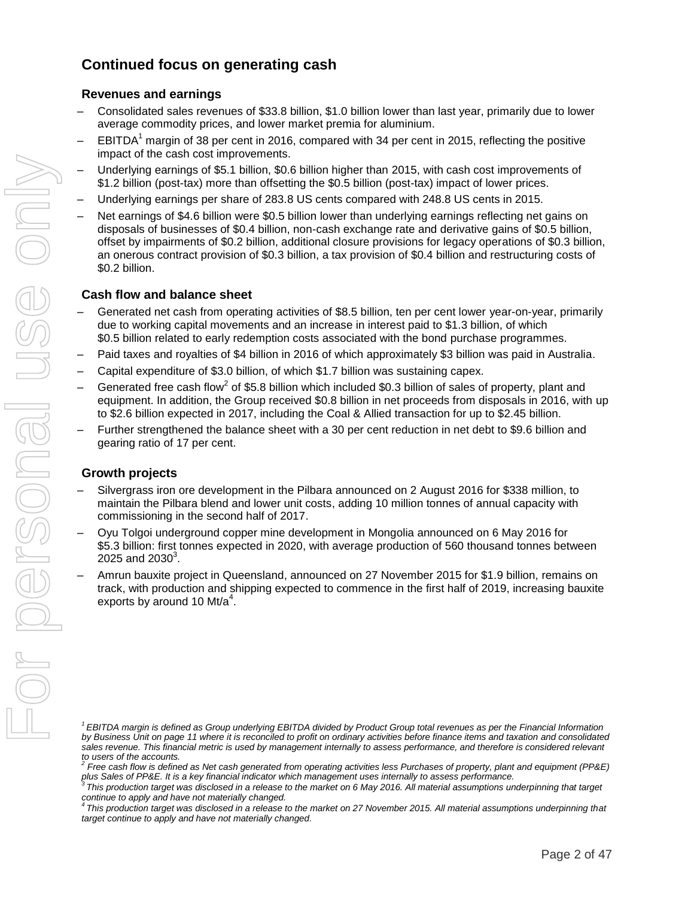# **Continued focus on generating cash**

#### **Revenues and earnings**

- Consolidated sales revenues of \$33.8 billion, \$1.0 billion lower than last year, primarily due to lower average commodity prices, and lower market premia for aluminium.
- $EBITDA<sup>1</sup>$  margin of 38 per cent in 2016, compared with 34 per cent in 2015, reflecting the positive impact of the cash cost improvements.
- Underlying earnings of \$5.1 billion, \$0.6 billion higher than 2015, with cash cost improvements of \$1.2 billion (post-tax) more than offsetting the \$0.5 billion (post-tax) impact of lower prices.
- Underlying earnings per share of 283.8 US cents compared with 248.8 US cents in 2015.
- Net earnings of \$4.6 billion were \$0.5 billion lower than underlying earnings reflecting net gains on disposals of businesses of \$0.4 billion, non-cash exchange rate and derivative gains of \$0.5 billion, offset by impairments of \$0.2 billion, additional closure provisions for legacy operations of \$0.3 billion, an onerous contract provision of \$0.3 billion, a tax provision of \$0.4 billion and restructuring costs of \$0.2 billion.

#### **Cash flow and balance sheet**

- Generated net cash from operating activities of \$8.5 billion, ten per cent lower year-on-year, primarily due to working capital movements and an increase in interest paid to \$1.3 billion, of which \$0.5 billion related to early redemption costs associated with the bond purchase programmes.
- Paid taxes and royalties of \$4 billion in 2016 of which approximately \$3 billion was paid in Australia.
- Capital expenditure of \$3.0 billion, of which \$1.7 billion was sustaining capex.
- $-$  Generated free cash flow<sup>2</sup> of \$5.8 billion which included \$0.3 billion of sales of property, plant and equipment. In addition, the Group received \$0.8 billion in net proceeds from disposals in 2016, with up to \$2.6 billion expected in 2017, including the Coal & Allied transaction for up to \$2.45 billion.
- Further strengthened the balance sheet with a 30 per cent reduction in net debt to \$9.6 billion and gearing ratio of 17 per cent.

#### **Growth projects**

- Silvergrass iron ore development in the Pilbara announced on 2 August 2016 for \$338 million, to maintain the Pilbara blend and lower unit costs, adding 10 million tonnes of annual capacity with commissioning in the second half of 2017.
- Oyu Tolgoi underground copper mine development in Mongolia announced on 6 May 2016 for \$5.3 billion: first tonnes expected in 2020, with average production of 560 thousand tonnes between  $2025$  and  $2030^3$ .
- Amrun bauxite project in Queensland, announced on 27 November 2015 for \$1.9 billion, remains on track, with production and shipping expected to commence in the first half of 2019, increasing bauxite exports by around 10 Mt/ $a^4$ .

*<sup>1</sup>EBITDA margin is defined as Group underlying EBITDA divided by Product Group total revenues as per the Financial Information by Business Unit on page 11 where it is reconciled to profit on ordinary activities before finance items and taxation and consolidated*  sales revenue. This financial metric is used by management internally to assess performance, and therefore is considered relevant *to users of the accounts. 2*

*Free cash flow is defined as Net cash generated from operating activities less Purchases of property, plant and equipment (PP&E)* 

plus Sales of PP&E. It is a key financial indicator which management uses internally to assess performance.<br><sup>3</sup> This production target was disclosed in a release to the market on 6 May 2016. All material assumptions underp

*continue to apply and have not materially changed. 4 This production target was disclosed in a release to the market on 27 November 2015. All material assumptions underpinning that target continue to apply and have not materially changed.*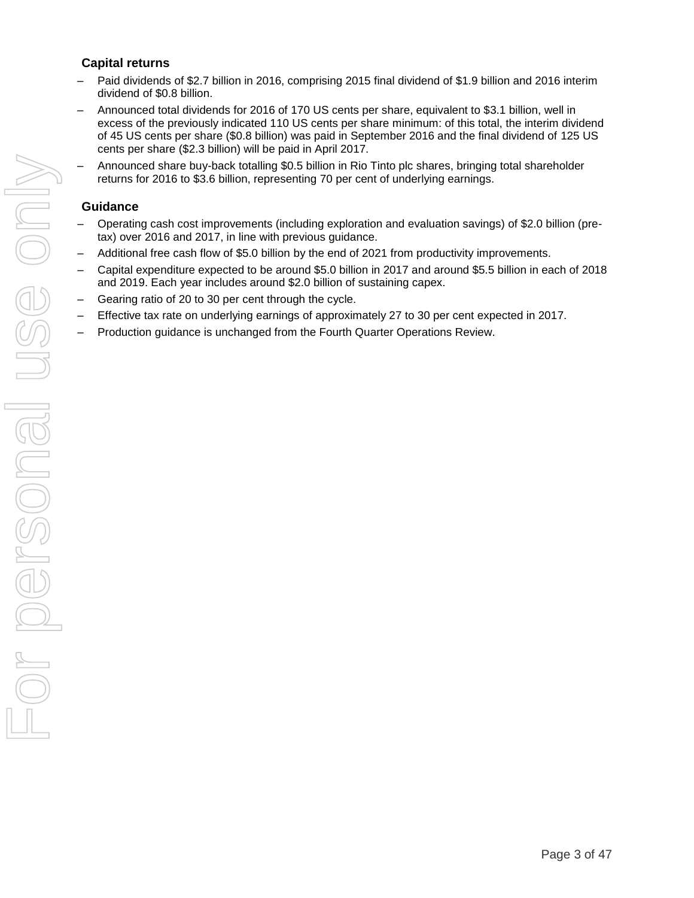### **Capital returns**

- Paid dividends of \$2.7 billion in 2016, comprising 2015 final dividend of \$1.9 billion and 2016 interim dividend of \$0.8 billion.
- Announced total dividends for 2016 of 170 US cents per share, equivalent to \$3.1 billion, well in excess of the previously indicated 110 US cents per share minimum: of this total, the interim dividend of 45 US cents per share (\$0.8 billion) was paid in September 2016 and the final dividend of 125 US cents per share (\$2.3 billion) will be paid in April 2017.
- Announced share buy-back totalling \$0.5 billion in Rio Tinto plc shares, bringing total shareholder returns for 2016 to \$3.6 billion, representing 70 per cent of underlying earnings.

### **Guidance**

- Operating cash cost improvements (including exploration and evaluation savings) of \$2.0 billion (pretax) over 2016 and 2017, in line with previous guidance.
- Additional free cash flow of \$5.0 billion by the end of 2021 from productivity improvements.
- Capital expenditure expected to be around \$5.0 billion in 2017 and around \$5.5 billion in each of 2018 and 2019. Each year includes around \$2.0 billion of sustaining capex.
- Gearing ratio of 20 to 30 per cent through the cycle.
- Effective tax rate on underlying earnings of approximately 27 to 30 per cent expected in 2017.
- Production guidance is unchanged from the Fourth Quarter Operations Review.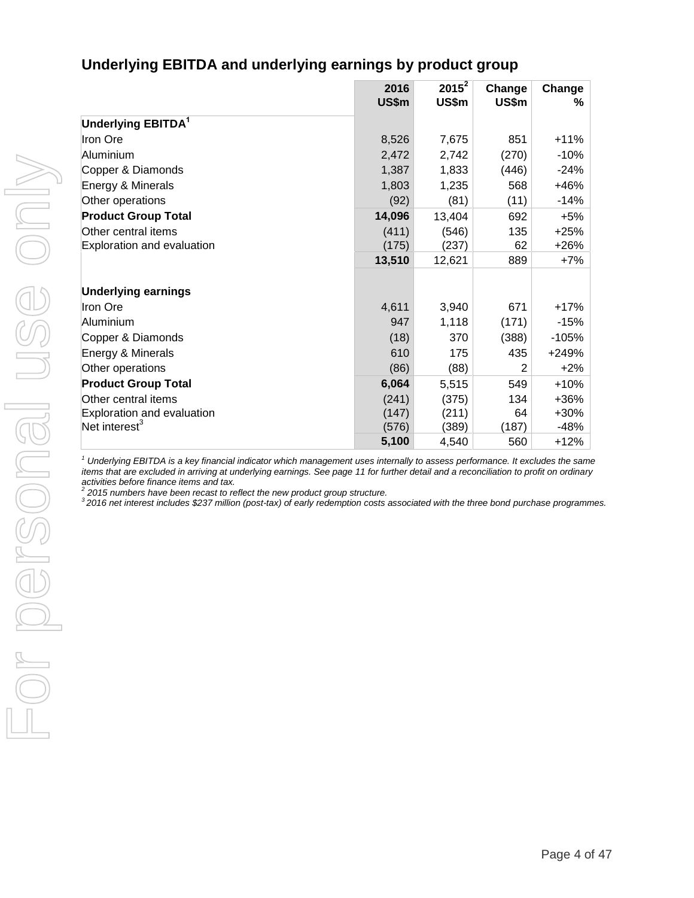# **Underlying EBITDA and underlying earnings by product group**

|                                | 2016<br>US\$m | $2015^2$<br>US\$m | Change<br>US\$m | Change<br>% |
|--------------------------------|---------------|-------------------|-----------------|-------------|
| Underlying EBITDA <sup>1</sup> |               |                   |                 |             |
| Iron Ore                       | 8,526         | 7,675             | 851             | $+11%$      |
| Aluminium                      | 2,472         | 2,742             | (270)           | $-10%$      |
| Copper & Diamonds              | 1,387         | 1,833             | (446)           | $-24%$      |
| Energy & Minerals              | 1,803         | 1,235             | 568             | +46%        |
| Other operations               | (92)          | (81)              | (11)            | $-14%$      |
| <b>Product Group Total</b>     | 14,096        | 13,404            | 692             | $+5%$       |
| Other central items            | (411)         | (546)             | 135             | $+25%$      |
| Exploration and evaluation     | (175)         | (237)             | 62              | $+26%$      |
|                                | 13,510        | 12,621            | 889             | $+7%$       |
| <b>Underlying earnings</b>     |               |                   |                 |             |
| Iron Ore                       | 4,611         | 3,940             | 671             | $+17%$      |
| Aluminium                      | 947           | 1,118             | (171)           | $-15%$      |
| Copper & Diamonds              | (18)          | 370               | (388)           | $-105%$     |
| Energy & Minerals              | 610           | 175               | 435             | +249%       |
| Other operations               | (86)          | (88)              | $\overline{2}$  | $+2%$       |
| <b>Product Group Total</b>     | 6,064         | 5,515             | 549             | $+10%$      |
| Other central items            | (241)         | (375)             | 134             | $+36%$      |
| Exploration and evaluation     | (147)         | (211)             | 64              | $+30%$      |
| Net interest $3$               | (576)         | (389)             | (187)           | $-48%$      |
|                                | 5,100         | 4,540             | 560             | $+12%$      |

*<sup>1</sup> Underlying EBITDA is a key financial indicator which management uses internally to assess performance. It excludes the same items that are excluded in arriving at underlying earnings. See page 11 for further detail and a reconciliation to profit on ordinary* 

*activities before finance items and tax. 2 2015 numbers have been recast to reflect the new product group structure.* 

*<sup>3</sup>2016 net interest includes \$237 million (post-tax) of early redemption costs associated with the three bond purchase programmes.*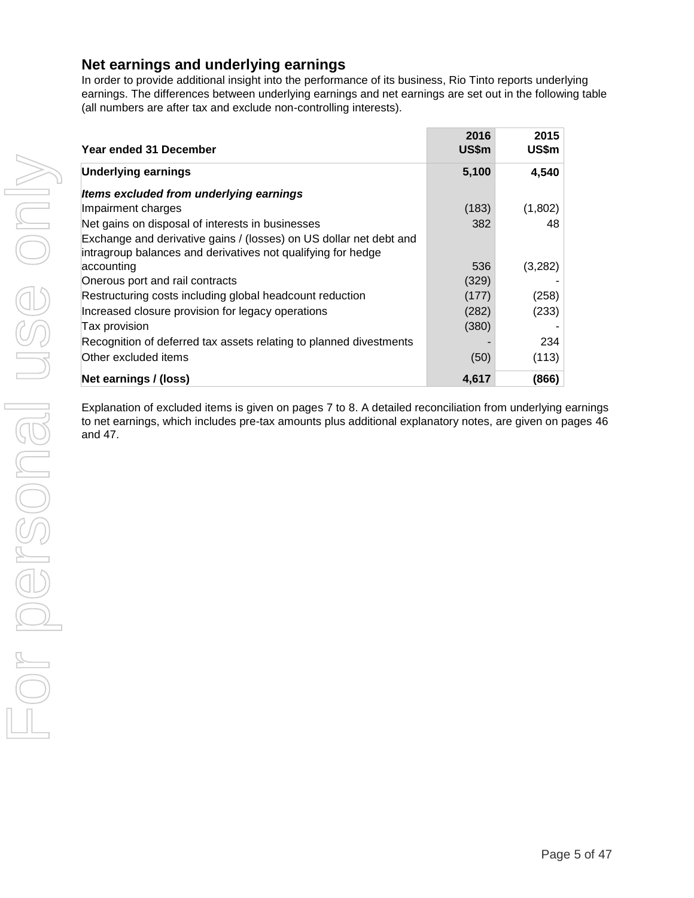### **Net earnings and underlying earnings**

In order to provide additional insight into the performance of its business, Rio Tinto reports underlying earnings. The differences between underlying earnings and net earnings are set out in the following table (all numbers are after tax and exclude non-controlling interests).

| Year ended 31 December                                                                                                             | 2016<br>US\$m | 2015<br>US\$m |
|------------------------------------------------------------------------------------------------------------------------------------|---------------|---------------|
| <b>Underlying earnings</b>                                                                                                         | 5,100         | 4,540         |
| Items excluded from underlying earnings                                                                                            |               |               |
| Impairment charges                                                                                                                 | (183)         | (1,802)       |
| Net gains on disposal of interests in businesses                                                                                   | 382           | 48            |
| Exchange and derivative gains / (losses) on US dollar net debt and<br>intragroup balances and derivatives not qualifying for hedge |               |               |
| accounting                                                                                                                         | 536           | (3,282)       |
| Onerous port and rail contracts                                                                                                    | (329)         |               |
| Restructuring costs including global headcount reduction                                                                           | (177)         | (258)         |
| Increased closure provision for legacy operations                                                                                  | (282)         | (233)         |
| Tax provision                                                                                                                      | (380)         |               |
| Recognition of deferred tax assets relating to planned divestments                                                                 |               | 234           |
| Other excluded items                                                                                                               | (50)          | (113)         |
| Net earnings / (loss)                                                                                                              | 4,617         | (866)         |

Explanation of excluded items is given on pages 7 to 8. A detailed reconciliation from underlying earnings to net earnings, which includes pre-tax amounts plus additional explanatory notes, are given on pages 46 and 47.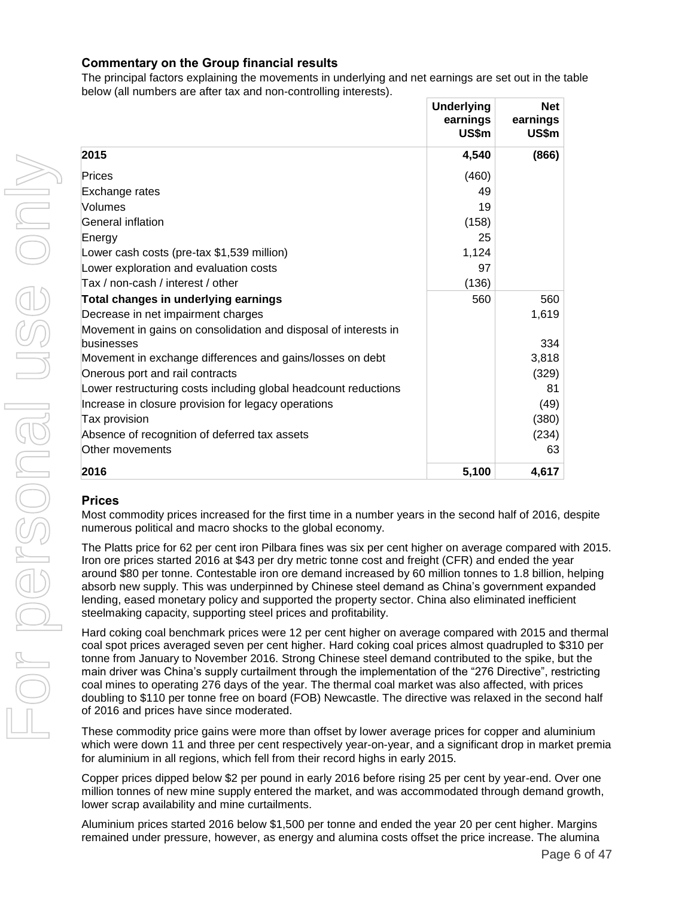#### **Commentary on the Group financial results**

The principal factors explaining the movements in underlying and net earnings are set out in the table below (all numbers are after tax and non-controlling interests).

|                                                                 | <b>Underlying</b><br>earnings<br>US\$m | <b>Net</b><br>earnings<br>US\$m |
|-----------------------------------------------------------------|----------------------------------------|---------------------------------|
| 2015                                                            | 4,540                                  | (866)                           |
| Prices                                                          | (460)                                  |                                 |
| Exchange rates                                                  | 49                                     |                                 |
| Volumes                                                         | 19                                     |                                 |
| General inflation                                               | (158)                                  |                                 |
| Energy                                                          | 25                                     |                                 |
| Lower cash costs (pre-tax \$1,539 million)                      | 1,124                                  |                                 |
| Lower exploration and evaluation costs                          | 97                                     |                                 |
| Tax / non-cash / interest / other                               | (136)                                  |                                 |
| Total changes in underlying earnings                            | 560                                    | 560                             |
| Decrease in net impairment charges                              |                                        | 1,619                           |
| Movement in gains on consolidation and disposal of interests in |                                        |                                 |
| businesses                                                      |                                        | 334                             |
| Movement in exchange differences and gains/losses on debt       |                                        | 3,818                           |
| Onerous port and rail contracts                                 |                                        | (329)                           |
| Lower restructuring costs including global headcount reductions |                                        | 81                              |
| Increase in closure provision for legacy operations             |                                        | (49)                            |
| Tax provision                                                   |                                        | (380)                           |
| Absence of recognition of deferred tax assets                   |                                        | (234)                           |
| Other movements                                                 |                                        | 63                              |
| 2016                                                            | 5,100                                  | 4,617                           |

#### **Prices**

Most commodity prices increased for the first time in a number years in the second half of 2016, despite numerous political and macro shocks to the global economy.

The Platts price for 62 per cent iron Pilbara fines was six per cent higher on average compared with 2015. Iron ore prices started 2016 at \$43 per dry metric tonne cost and freight (CFR) and ended the year around \$80 per tonne. Contestable iron ore demand increased by 60 million tonnes to 1.8 billion, helping absorb new supply. This was underpinned by Chinese steel demand as China's government expanded lending, eased monetary policy and supported the property sector. China also eliminated inefficient steelmaking capacity, supporting steel prices and profitability.

Hard coking coal benchmark prices were 12 per cent higher on average compared with 2015 and thermal coal spot prices averaged seven per cent higher. Hard coking coal prices almost quadrupled to \$310 per tonne from January to November 2016. Strong Chinese steel demand contributed to the spike, but the main driver was China's supply curtailment through the implementation of the "276 Directive", restricting coal mines to operating 276 days of the year. The thermal coal market was also affected, with prices doubling to \$110 per tonne free on board (FOB) Newcastle. The directive was relaxed in the second half of 2016 and prices have since moderated.

These commodity price gains were more than offset by lower average prices for copper and aluminium which were down 11 and three per cent respectively year-on-year, and a significant drop in market premia for aluminium in all regions, which fell from their record highs in early 2015.

Copper prices dipped below \$2 per pound in early 2016 before rising 25 per cent by year-end. Over one million tonnes of new mine supply entered the market, and was accommodated through demand growth, lower scrap availability and mine curtailments.

Aluminium prices started 2016 below \$1,500 per tonne and ended the year 20 per cent higher. Margins remained under pressure, however, as energy and alumina costs offset the price increase. The alumina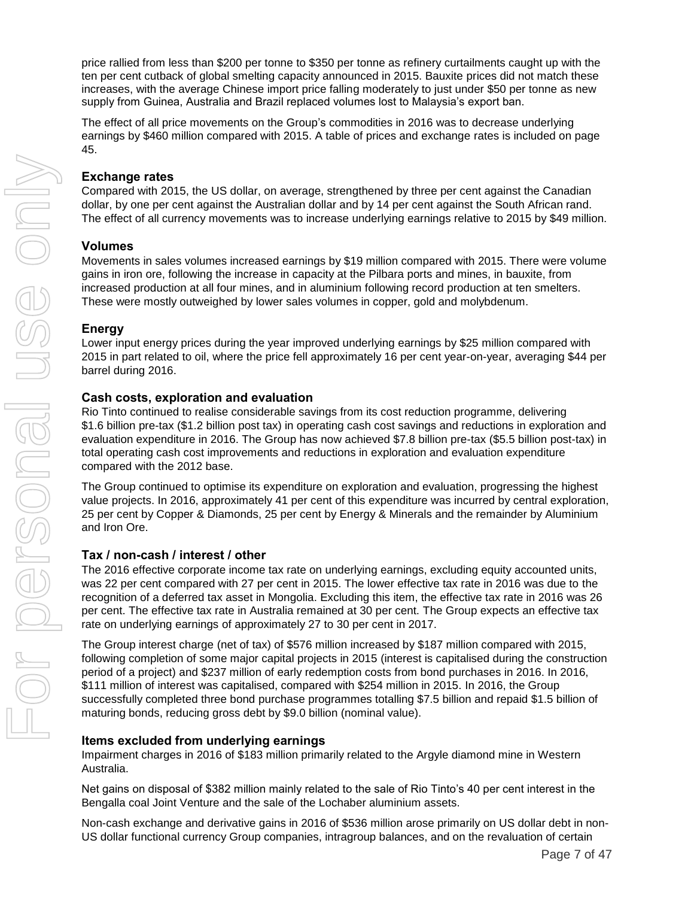price rallied from less than \$200 per tonne to \$350 per tonne as refinery curtailments caught up with the ten per cent cutback of global smelting capacity announced in 2015. Bauxite prices did not match these increases, with the average Chinese import price falling moderately to just under \$50 per tonne as new supply from Guinea, Australia and Brazil replaced volumes lost to Malaysia's export ban.

The effect of all price movements on the Group's commodities in 2016 was to decrease underlying earnings by \$460 million compared with 2015. A table of prices and exchange rates is included on page 45.

#### **Exchange rates**

Compared with 2015, the US dollar, on average, strengthened by three per cent against the Canadian dollar, by one per cent against the Australian dollar and by 14 per cent against the South African rand. The effect of all currency movements was to increase underlying earnings relative to 2015 by \$49 million.

#### **Volumes**

Movements in sales volumes increased earnings by \$19 million compared with 2015. There were volume gains in iron ore, following the increase in capacity at the Pilbara ports and mines, in bauxite, from increased production at all four mines, and in aluminium following record production at ten smelters. These were mostly outweighed by lower sales volumes in copper, gold and molybdenum.

#### **Energy**

Lower input energy prices during the year improved underlying earnings by \$25 million compared with 2015 in part related to oil, where the price fell approximately 16 per cent year-on-year, averaging \$44 per barrel during 2016.

#### **Cash costs, exploration and evaluation**

Rio Tinto continued to realise considerable savings from its cost reduction programme, delivering \$1.6 billion pre-tax (\$1.2 billion post tax) in operating cash cost savings and reductions in exploration and evaluation expenditure in 2016. The Group has now achieved \$7.8 billion pre-tax (\$5.5 billion post-tax) in total operating cash cost improvements and reductions in exploration and evaluation expenditure compared with the 2012 base.

The Group continued to optimise its expenditure on exploration and evaluation, progressing the highest value projects. In 2016, approximately 41 per cent of this expenditure was incurred by central exploration, 25 per cent by Copper & Diamonds, 25 per cent by Energy & Minerals and the remainder by Aluminium and Iron Ore.

#### **Tax / non-cash / interest / other**

The 2016 effective corporate income tax rate on underlying earnings, excluding equity accounted units, was 22 per cent compared with 27 per cent in 2015. The lower effective tax rate in 2016 was due to the recognition of a deferred tax asset in Mongolia. Excluding this item, the effective tax rate in 2016 was 26 per cent. The effective tax rate in Australia remained at 30 per cent. The Group expects an effective tax rate on underlying earnings of approximately 27 to 30 per cent in 2017.

The Group interest charge (net of tax) of \$576 million increased by \$187 million compared with 2015, following completion of some major capital projects in 2015 (interest is capitalised during the construction period of a project) and \$237 million of early redemption costs from bond purchases in 2016. In 2016, \$111 million of interest was capitalised, compared with \$254 million in 2015. In 2016, the Group successfully completed three bond purchase programmes totalling \$7.5 billion and repaid \$1.5 billion of maturing bonds, reducing gross debt by \$9.0 billion (nominal value).

#### **Items excluded from underlying earnings**

Impairment charges in 2016 of \$183 million primarily related to the Argyle diamond mine in Western Australia.

Net gains on disposal of \$382 million mainly related to the sale of Rio Tinto's 40 per cent interest in the Bengalla coal Joint Venture and the sale of the Lochaber aluminium assets.

Non-cash exchange and derivative gains in 2016 of \$536 million arose primarily on US dollar debt in non-US dollar functional currency Group companies, intragroup balances, and on the revaluation of certain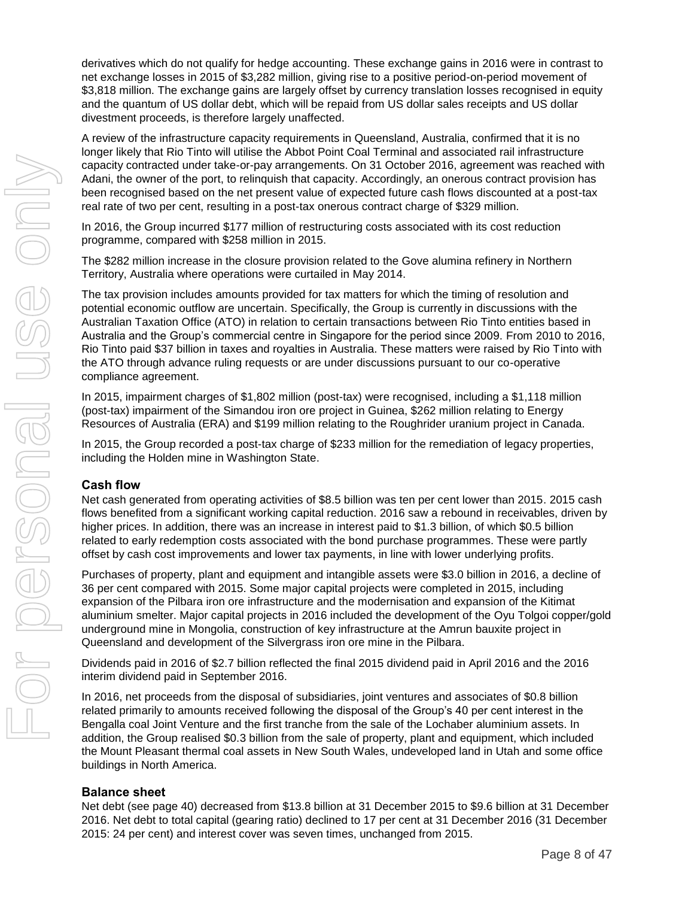derivatives which do not qualify for hedge accounting. These exchange gains in 2016 were in contrast to net exchange losses in 2015 of \$3,282 million, giving rise to a positive period-on-period movement of \$3,818 million. The exchange gains are largely offset by currency translation losses recognised in equity and the quantum of US dollar debt, which will be repaid from US dollar sales receipts and US dollar divestment proceeds, is therefore largely unaffected.

A review of the infrastructure capacity requirements in Queensland, Australia, confirmed that it is no longer likely that Rio Tinto will utilise the Abbot Point Coal Terminal and associated rail infrastructure capacity contracted under take-or-pay arrangements. On 31 October 2016, agreement was reached with Adani, the owner of the port, to relinquish that capacity. Accordingly, an onerous contract provision has been recognised based on the net present value of expected future cash flows discounted at a post-tax real rate of two per cent, resulting in a post-tax onerous contract charge of \$329 million.

In 2016, the Group incurred \$177 million of restructuring costs associated with its cost reduction programme, compared with \$258 million in 2015.

The \$282 million increase in the closure provision related to the Gove alumina refinery in Northern Territory, Australia where operations were curtailed in May 2014.

The tax provision includes amounts provided for tax matters for which the timing of resolution and potential economic outflow are uncertain. Specifically, the Group is currently in discussions with the Australian Taxation Office (ATO) in relation to certain transactions between Rio Tinto entities based in Australia and the Group's commercial centre in Singapore for the period since 2009. From 2010 to 2016, Rio Tinto paid \$37 billion in taxes and royalties in Australia. These matters were raised by Rio Tinto with the ATO through advance ruling requests or are under discussions pursuant to our co-operative compliance agreement.

In 2015, impairment charges of \$1,802 million (post-tax) were recognised, including a \$1,118 million (post-tax) impairment of the Simandou iron ore project in Guinea, \$262 million relating to Energy Resources of Australia (ERA) and \$199 million relating to the Roughrider uranium project in Canada.

In 2015, the Group recorded a post-tax charge of \$233 million for the remediation of legacy properties, including the Holden mine in Washington State.

#### **Cash flow**

Net cash generated from operating activities of \$8.5 billion was ten per cent lower than 2015. 2015 cash flows benefited from a significant working capital reduction. 2016 saw a rebound in receivables, driven by higher prices. In addition, there was an increase in interest paid to \$1.3 billion, of which \$0.5 billion related to early redemption costs associated with the bond purchase programmes. These were partly offset by cash cost improvements and lower tax payments, in line with lower underlying profits.

Purchases of property, plant and equipment and intangible assets were \$3.0 billion in 2016, a decline of 36 per cent compared with 2015. Some major capital projects were completed in 2015, including expansion of the Pilbara iron ore infrastructure and the modernisation and expansion of the Kitimat aluminium smelter. Major capital projects in 2016 included the development of the Oyu Tolgoi copper/gold underground mine in Mongolia, construction of key infrastructure at the Amrun bauxite project in Queensland and development of the Silvergrass iron ore mine in the Pilbara.

Dividends paid in 2016 of \$2.7 billion reflected the final 2015 dividend paid in April 2016 and the 2016 interim dividend paid in September 2016.

In 2016, net proceeds from the disposal of subsidiaries, joint ventures and associates of \$0.8 billion related primarily to amounts received following the disposal of the Group's 40 per cent interest in the Bengalla coal Joint Venture and the first tranche from the sale of the Lochaber aluminium assets. In addition, the Group realised \$0.3 billion from the sale of property, plant and equipment, which included the Mount Pleasant thermal coal assets in New South Wales, undeveloped land in Utah and some office buildings in North America.

#### **Balance sheet**

Net debt (see page 40) decreased from \$13.8 billion at 31 December 2015 to \$9.6 billion at 31 December 2016. Net debt to total capital (gearing ratio) declined to 17 per cent at 31 December 2016 (31 December 2015: 24 per cent) and interest cover was seven times, unchanged from 2015.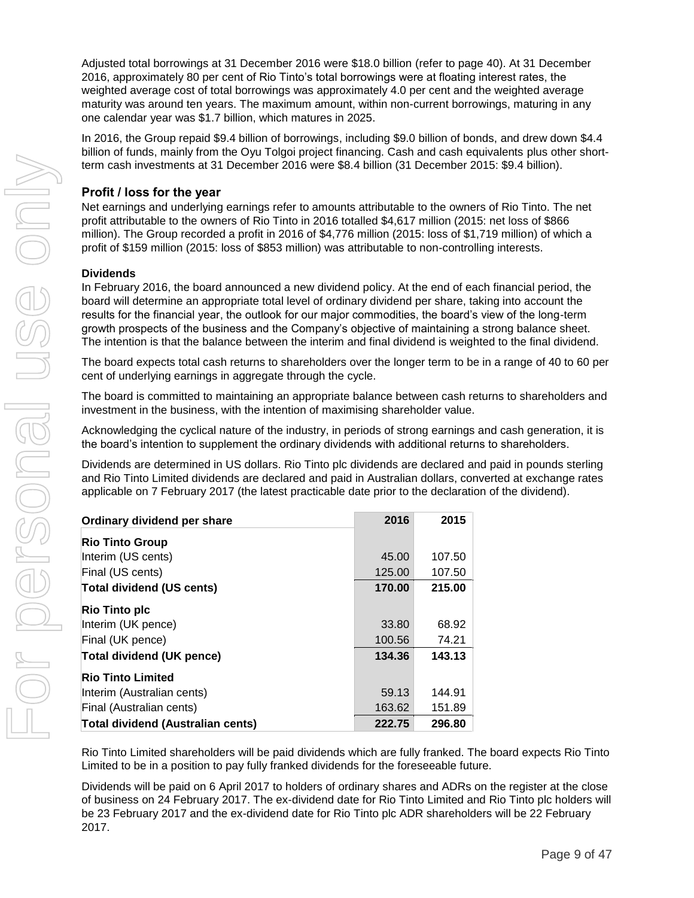Adjusted total borrowings at 31 December 2016 were \$18.0 billion (refer to page 40). At 31 December 2016, approximately 80 per cent of Rio Tinto's total borrowings were at floating interest rates, the weighted average cost of total borrowings was approximately 4.0 per cent and the weighted average maturity was around ten years. The maximum amount, within non-current borrowings, maturing in any one calendar year was \$1.7 billion, which matures in 2025.

In 2016, the Group repaid \$9.4 billion of borrowings, including \$9.0 billion of bonds, and drew down \$4.4 billion of funds, mainly from the Oyu Tolgoi project financing. Cash and cash equivalents plus other shortterm cash investments at 31 December 2016 were \$8.4 billion (31 December 2015: \$9.4 billion).

#### **Profit / loss for the year**

Net earnings and underlying earnings refer to amounts attributable to the owners of Rio Tinto. The net profit attributable to the owners of Rio Tinto in 2016 totalled \$4,617 million (2015: net loss of \$866 million). The Group recorded a profit in 2016 of \$4,776 million (2015: loss of \$1,719 million) of which a profit of \$159 million (2015: loss of \$853 million) was attributable to non-controlling interests.

#### **Dividends**

In February 2016, the board announced a new dividend policy. At the end of each financial period, the board will determine an appropriate total level of ordinary dividend per share, taking into account the results for the financial year, the outlook for our major commodities, the board's view of the long-term growth prospects of the business and the Company's objective of maintaining a strong balance sheet. The intention is that the balance between the interim and final dividend is weighted to the final dividend.

The board expects total cash returns to shareholders over the longer term to be in a range of 40 to 60 per cent of underlying earnings in aggregate through the cycle.

The board is committed to maintaining an appropriate balance between cash returns to shareholders and investment in the business, with the intention of maximising shareholder value.

Acknowledging the cyclical nature of the industry, in periods of strong earnings and cash generation, it is the board's intention to supplement the ordinary dividends with additional returns to shareholders.

Dividends are determined in US dollars. Rio Tinto plc dividends are declared and paid in pounds sterling and Rio Tinto Limited dividends are declared and paid in Australian dollars, converted at exchange rates applicable on 7 February 2017 (the latest practicable date prior to the declaration of the dividend).

| Ordinary dividend per share       | 2016   | 2015   |
|-----------------------------------|--------|--------|
| <b>Rio Tinto Group</b>            |        |        |
| Interim (US cents)                | 45.00  | 107.50 |
| Final (US cents)                  | 125.00 | 107.50 |
| <b>Total dividend (US cents)</b>  | 170.00 | 215.00 |
| <b>Rio Tinto plc</b>              |        |        |
| Interim (UK pence)                | 33.80  | 68.92  |
| Final (UK pence)                  | 100.56 | 74.21  |
| <b>Total dividend (UK pence)</b>  | 134.36 | 143.13 |
| <b>Rio Tinto Limited</b>          |        |        |
| Interim (Australian cents)        | 59.13  | 144.91 |
| Final (Australian cents)          | 163.62 | 151.89 |
| Total dividend (Australian cents) | 222.75 | 296.80 |

Rio Tinto Limited shareholders will be paid dividends which are fully franked. The board expects Rio Tinto Limited to be in a position to pay fully franked dividends for the foreseeable future.

Dividends will be paid on 6 April 2017 to holders of ordinary shares and ADRs on the register at the close of business on 24 February 2017. The ex-dividend date for Rio Tinto Limited and Rio Tinto plc holders will be 23 February 2017 and the ex-dividend date for Rio Tinto plc ADR shareholders will be 22 February 2017.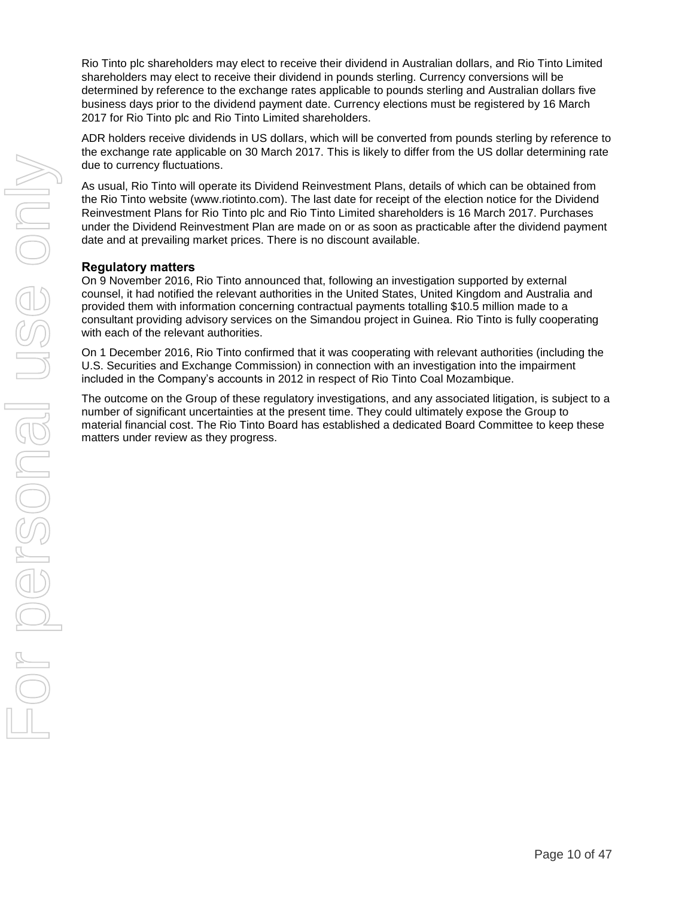Rio Tinto plc shareholders may elect to receive their dividend in Australian dollars, and Rio Tinto Limited shareholders may elect to receive their dividend in pounds sterling. Currency conversions will be determined by reference to the exchange rates applicable to pounds sterling and Australian dollars five business days prior to the dividend payment date. Currency elections must be registered by 16 March 2017 for Rio Tinto plc and Rio Tinto Limited shareholders.

ADR holders receive dividends in US dollars, which will be converted from pounds sterling by reference to the exchange rate applicable on 30 March 2017. This is likely to differ from the US dollar determining rate due to currency fluctuations.

As usual, Rio Tinto will operate its Dividend Reinvestment Plans, details of which can be obtained from the Rio Tinto website [\(www.riotinto.com\)](http://www.riotinto.com/). The last date for receipt of the election notice for the Dividend Reinvestment Plans for Rio Tinto plc and Rio Tinto Limited shareholders is 16 March 2017. Purchases under the Dividend Reinvestment Plan are made on or as soon as practicable after the dividend payment date and at prevailing market prices. There is no discount available.

#### **Regulatory matters**

On 9 November 2016, Rio Tinto announced that, following an investigation supported by external counsel, it had notified the relevant authorities in the United States, United Kingdom and Australia and provided them with information concerning contractual payments totalling \$10.5 million made to a consultant providing advisory services on the Simandou project in Guinea. Rio Tinto is fully cooperating with each of the relevant authorities.

On 1 December 2016, Rio Tinto confirmed that it was cooperating with relevant authorities (including the U.S. Securities and Exchange Commission) in connection with an investigation into the impairment included in the Company's accounts in 2012 in respect of Rio Tinto Coal Mozambique.

The outcome on the Group of these regulatory investigations, and any associated litigation, is subject to a number of significant uncertainties at the present time. They could ultimately expose the Group to material financial cost. The Rio Tinto Board has established a dedicated Board Committee to keep these matters under review as they progress.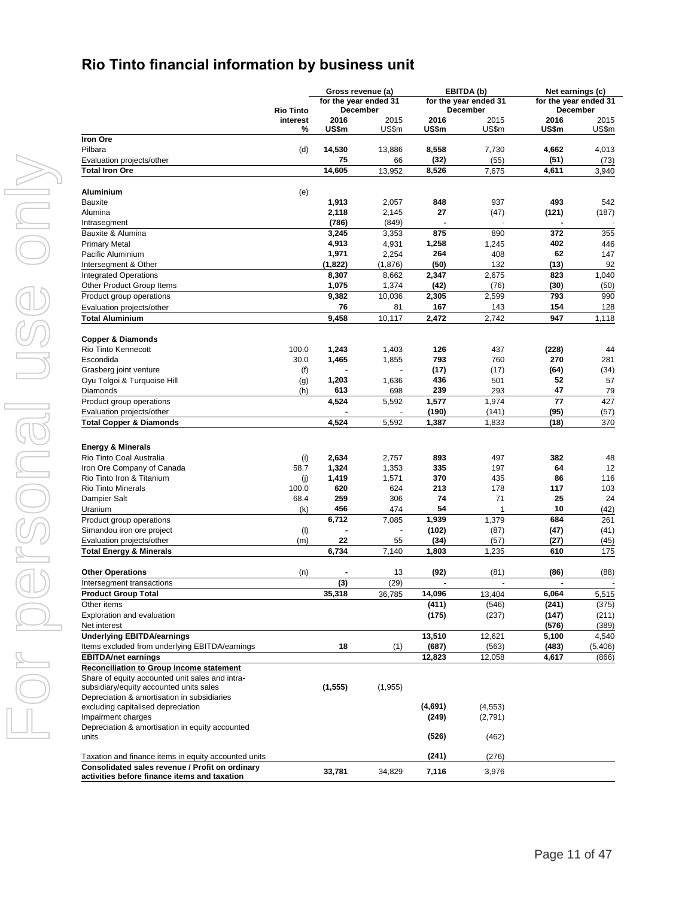# **Rio Tinto financial information by business unit**

|                                                                                                    |                  | Gross revenue (a)     |              |               | EBITDA (b)            |                       | Net earnings (c) |  |
|----------------------------------------------------------------------------------------------------|------------------|-----------------------|--------------|---------------|-----------------------|-----------------------|------------------|--|
|                                                                                                    |                  | for the year ended 31 |              |               | for the year ended 31 | for the year ended 31 |                  |  |
|                                                                                                    | <b>Rio Tinto</b> | December              |              |               | December              |                       | December         |  |
|                                                                                                    | interest         | 2016                  | 2015         | 2016          | 2015                  | 2016                  | 2015             |  |
| <b>Iron Ore</b>                                                                                    | %                | US\$m                 | US\$m        | US\$m         | US\$m                 | US\$m                 | US\$m            |  |
| Pilbara                                                                                            |                  | 14,530                |              | 8,558         | 7,730                 | 4,662                 | 4,013            |  |
|                                                                                                    | (d)              | 75                    | 13,886       |               |                       |                       |                  |  |
| Evaluation projects/other<br><b>Total Iron Ore</b>                                                 |                  | 14,605                | 66<br>13,952 | (32)<br>8,526 | (55)<br>7,675         | (51)<br>4,611         | (73)<br>3,940    |  |
|                                                                                                    |                  |                       |              |               |                       |                       |                  |  |
| <b>Aluminium</b>                                                                                   | (e)              |                       |              |               |                       |                       |                  |  |
| <b>Bauxite</b>                                                                                     |                  | 1,913                 | 2,057        | 848           | 937                   | 493                   | 542              |  |
| Alumina                                                                                            |                  | 2,118                 | 2,145        | 27            | (47)                  | (121)                 | (187)            |  |
| Intrasegment                                                                                       |                  | (786)                 | (849)        |               |                       |                       |                  |  |
| Bauxite & Alumina                                                                                  |                  | 3,245                 | 3,353        | 875           | 890                   | 372                   | 355              |  |
| <b>Primary Metal</b>                                                                               |                  | 4,913                 | 4,931        | 1,258         | 1,245                 | 402                   | 446              |  |
| Pacific Aluminium                                                                                  |                  | 1,971                 | 2,254        | 264           | 408                   | 62                    | 147              |  |
| Intersegment & Other                                                                               |                  | (1,822)               | (1,876)      | (50)          | 132                   | (13)                  | 92               |  |
| <b>Integrated Operations</b>                                                                       |                  | 8,307                 | 8,662        | 2,347         | 2,675                 | 823                   | 1,040            |  |
| Other Product Group Items                                                                          |                  | 1,075                 | 1,374        | (42)          | (76)                  | (30)                  | (50)             |  |
| Product group operations                                                                           |                  | 9,382                 | 10,036       | 2,305         | 2,599                 | 793                   | 990              |  |
| Evaluation projects/other                                                                          |                  | 76                    | 81           | 167           | 143                   | 154                   | 128              |  |
| <b>Total Aluminium</b>                                                                             |                  | 9,458                 | 10,117       | 2,472         | 2,742                 | 947                   | 1,118            |  |
|                                                                                                    |                  |                       |              |               |                       |                       |                  |  |
| <b>Copper &amp; Diamonds</b>                                                                       |                  |                       |              |               |                       |                       |                  |  |
| <b>Rio Tinto Kennecott</b>                                                                         | 100.0            | 1,243                 | 1,403        | 126           | 437                   | (228)                 | 44               |  |
| Escondida                                                                                          | 30.0             | 1,465                 | 1,855        | 793           | 760                   | 270                   | 281              |  |
| Grasberg joint venture                                                                             | (f)              |                       |              | (17)          | (17)                  | (64)                  | (34)             |  |
| Oyu Tolgoi & Turquoise Hill                                                                        | (g)              | 1,203                 | 1,636        | 436           | 501                   | 52                    | 57               |  |
| Diamonds                                                                                           | (h)              | 613                   | 698          | 239           | 293                   | 47                    | 79               |  |
| Product group operations                                                                           |                  | 4,524                 | 5,592        | 1,577         | 1,974                 | 77                    | 427              |  |
| Evaluation projects/other                                                                          |                  |                       |              | (190)         | (141)                 | (95)                  | (57)             |  |
| <b>Total Copper &amp; Diamonds</b>                                                                 |                  | 4,524                 | 5,592        | 1,387         | 1,833                 | (18)                  | 370              |  |
|                                                                                                    |                  |                       |              |               |                       |                       |                  |  |
| <b>Energy &amp; Minerals</b>                                                                       |                  |                       |              |               |                       |                       |                  |  |
| Rio Tinto Coal Australia                                                                           | (i)              | 2,634                 | 2,757        | 893           | 497                   | 382                   | 48               |  |
| Iron Ore Company of Canada                                                                         | 58.7             | 1,324                 | 1,353        | 335           | 197                   | 64                    | 12               |  |
| Rio Tinto Iron & Titanium                                                                          | (j)              | 1,419                 | 1,571        | 370           | 435                   | 86                    | 116              |  |
| <b>Rio Tinto Minerals</b>                                                                          | 100.0            | 620                   | 624          | 213           | 178                   | 117                   | 103              |  |
| Dampier Salt                                                                                       | 68.4             | 259                   | 306          | 74            | 71                    | 25                    | 24               |  |
| Uranium                                                                                            | (k)              | 456                   | 474          | 54            | 1                     | 10                    | (42)             |  |
| Product group operations                                                                           |                  | 6,712                 | 7,085        | 1,939         | 1,379                 | 684                   | 261              |  |
| Simandou iron ore project                                                                          | (1)              |                       |              | (102)         | (87)                  | (47)                  | (41)             |  |
| Evaluation projects/other                                                                          | (m)              | 22                    | 55           | (34)          | (57)                  | (27)                  | (45)             |  |
| <b>Total Energy &amp; Minerals</b>                                                                 |                  | 6,734                 | 7,140        | 1,803         | 1,235                 | 610                   | 175              |  |
| <b>Other Operations</b>                                                                            | (n)              |                       | 13           | (92)          | (81)                  | (86)                  | (88)             |  |
| Intersegment transactions                                                                          |                  | (3)                   | (29)         |               |                       |                       |                  |  |
| <b>Product Group Total</b>                                                                         |                  | 35,318                | 36,785       | 14,096        | 13.404                | 6,064                 | 5,515            |  |
|                                                                                                    |                  |                       |              |               |                       |                       |                  |  |
| Other items                                                                                        |                  |                       |              | (411)         | (546)                 | (241)                 | (375)            |  |
| Exploration and evaluation<br>Net interest                                                         |                  |                       |              | (175)         | (237)                 | (147)<br>(576)        | (211)            |  |
|                                                                                                    |                  |                       |              |               |                       |                       | (389)<br>4.540   |  |
| <b>Underlying EBITDA/earnings</b><br>Items excluded from underlying EBITDA/earnings                |                  |                       |              | 13,510        | 12,621                | 5,100                 |                  |  |
|                                                                                                    |                  | 18                    | (1)          | (687)         | (563)                 | (483)                 | (5,406)          |  |
| <b>EBITDA/net earnings</b>                                                                         |                  |                       |              | 12,823        | 12,058                | 4,617                 | (866)            |  |
| <b>Reconciliation to Group income statement</b><br>Share of equity accounted unit sales and intra- |                  |                       |              |               |                       |                       |                  |  |
| subsidiary/equity accounted units sales                                                            |                  | (1, 555)              | (1,955)      |               |                       |                       |                  |  |
| Depreciation & amortisation in subsidiaries                                                        |                  |                       |              |               |                       |                       |                  |  |
| excluding capitalised depreciation                                                                 |                  |                       |              | (4,691)       | (4, 553)              |                       |                  |  |
| Impairment charges                                                                                 |                  |                       |              | (249)         | (2,791)               |                       |                  |  |
| Depreciation & amortisation in equity accounted                                                    |                  |                       |              |               |                       |                       |                  |  |
| units                                                                                              |                  |                       |              | (526)         | (462)                 |                       |                  |  |
|                                                                                                    |                  |                       |              |               |                       |                       |                  |  |
| Taxation and finance items in equity accounted units                                               |                  |                       |              | (241)         | (276)                 |                       |                  |  |
| Consolidated sales revenue / Profit on ordinary<br>activities before finance items and taxation    |                  | 33,781                | 34,829       | 7,116         | 3,976                 |                       |                  |  |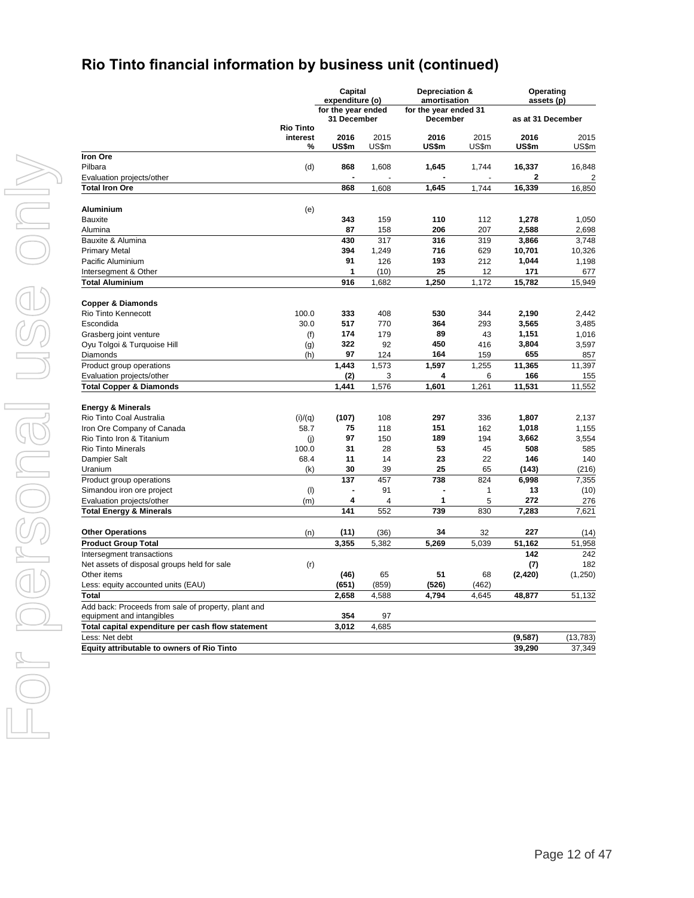# **Rio Tinto financial information by business unit (continued)**

**Capital**

**Depreciation &** 

**Operating**

|                                                                                  |                  | expenditure (o)    |       | amortisation          |       | assets (p)        |                |
|----------------------------------------------------------------------------------|------------------|--------------------|-------|-----------------------|-------|-------------------|----------------|
|                                                                                  |                  | for the year ended |       | for the year ended 31 |       |                   |                |
|                                                                                  |                  | 31 December        |       | December              |       | as at 31 December |                |
|                                                                                  | <b>Rio Tinto</b> |                    |       |                       |       |                   |                |
|                                                                                  | interest         | 2016               | 2015  | 2016                  | 2015  | 2016              | 2015           |
| Iron Ore                                                                         | %                | US\$m              | US\$m | US\$m                 | US\$m | US\$m             | US\$m          |
|                                                                                  |                  |                    |       |                       |       |                   |                |
| Pilbara                                                                          | (d)              | 868                | 1,608 | 1,645                 | 1,744 | 16,337            | 16,848         |
| Evaluation projects/other                                                        |                  |                    |       |                       |       | 2                 | $\overline{2}$ |
| <b>Total Iron Ore</b>                                                            |                  | 868                | 1,608 | 1,645                 | 1,744 | 16,339            | 16,850         |
| Aluminium                                                                        | (e)              |                    |       |                       |       |                   |                |
| <b>Bauxite</b>                                                                   |                  | 343                | 159   | 110                   | 112   | 1,278             | 1,050          |
| Alumina                                                                          |                  | 87                 | 158   | 206                   | 207   | 2,588             | 2,698          |
| Bauxite & Alumina                                                                |                  | 430                | 317   | 316                   | 319   | 3,866             | 3,748          |
| Primary Metal                                                                    |                  | 394                | 1,249 | 716                   | 629   | 10,701            | 10,326         |
| Pacific Aluminium                                                                |                  | 91                 | 126   | 193                   | 212   | 1,044             | 1,198          |
| Intersegment & Other                                                             |                  | 1                  | (10)  | 25                    | 12    | 171               |                |
| Total Aluminium                                                                  |                  | 916                | 1,682 | 1,250                 | 1,172 | 15,782            | 677<br>15,949  |
|                                                                                  |                  |                    |       |                       |       |                   |                |
| <b>Copper &amp; Diamonds</b>                                                     |                  |                    |       |                       |       |                   |                |
| Rio Tinto Kennecott                                                              | 100.0            | 333                | 408   | 530                   | 344   | 2,190             | 2,442          |
| Escondida                                                                        | 30.0             | 517                | 770   | 364                   | 293   | 3,565             | 3,485          |
| Grasberg joint venture                                                           | (f)              | 174                | 179   | 89                    | 43    | 1,151             | 1,016          |
| Oyu Tolgoi & Turquoise Hill                                                      | (g)              | 322                | 92    | 450                   | 416   | 3,804             | 3,597          |
| Diamonds                                                                         | (h)              | 97                 | 124   | 164                   | 159   | 655               | 857            |
| Product group operations                                                         |                  | 1,443              | 1,573 | 1,597                 | 1,255 | 11,365            | 11,397         |
| Evaluation projects/other                                                        |                  | (2)                | 3     | 4                     | 6     | 166               | 155            |
| <b>Total Copper &amp; Diamonds</b>                                               |                  | 1,441              | 1,576 | 1,601                 | 1,261 | 11,531            | 11,552         |
|                                                                                  |                  |                    |       |                       |       |                   |                |
| <b>Energy &amp; Minerals</b>                                                     |                  |                    |       |                       |       |                   |                |
| Rio Tinto Coal Australia                                                         | (i)/(q)          | (107)              | 108   | 297                   | 336   | 1,807             | 2,137          |
| Iron Ore Company of Canada                                                       | 58.7             | 75                 | 118   | 151                   | 162   | 1,018             | 1,155          |
| Rio Tinto Iron & Titanium                                                        | (i)              | 97                 | 150   | 189                   | 194   | 3,662             | 3,554          |
| <b>Rio Tinto Minerals</b>                                                        | 100.0            | 31                 | 28    | 53                    | 45    | 508               | 585            |
| Dampier Salt                                                                     | 68.4             | 11                 | 14    | 23                    | 22    | 146               | 140            |
| Uranium                                                                          | (k)              | 30                 | 39    | 25                    | 65    | (143)             | (216)          |
| Product group operations                                                         |                  | 137                | 457   | 738                   | 824   | 6,998             | 7,355          |
| Simandou iron ore project                                                        | (1)              |                    | 91    |                       | 1     | 13                | (10)           |
| Evaluation projects/other                                                        | (m)              | 4                  | 4     | 1                     | 5     | 272               | 276            |
| <b>Total Energy &amp; Minerals</b>                                               |                  | 141                | 552   | 739                   | 830   | 7,283             | 7,621          |
| <b>Other Operations</b>                                                          | (n)              | (11)               | (36)  | 34                    | 32    | 227               | (14)           |
| <b>Product Group Total</b>                                                       |                  | 3,355              | 5,382 | 5,269                 | 5,039 | 51,162            | 51,958         |
| Intersegment transactions                                                        |                  |                    |       |                       |       | 142               | 242            |
| Net assets of disposal groups held for sale                                      | (r)              |                    |       |                       |       | (7)               | 182            |
| Other items                                                                      |                  | (46)               | 65    | 51                    | 68    | (2, 420)          | (1,250)        |
|                                                                                  |                  | (651)              | (859) | (526)                 | (462) |                   |                |
| Less: equity accounted units (EAU)<br><b>Total</b>                               |                  | 2,658              | 4,588 | 4,794                 | 4,645 |                   |                |
|                                                                                  |                  |                    |       |                       |       | 48,877            | 51,132         |
| Add back: Proceeds from sale of property, plant and<br>equipment and intangibles |                  | 354                | 97    |                       |       |                   |                |
| Total capital expenditure per cash flow statement                                |                  | 3,012              | 4,685 |                       |       |                   |                |
| Less: Net debt                                                                   |                  |                    |       |                       |       | (9,587)           | (13, 783)      |
| <b>Equity attributable to owners of Rio Tinto</b>                                |                  |                    |       |                       |       | 39,290            | 37,349         |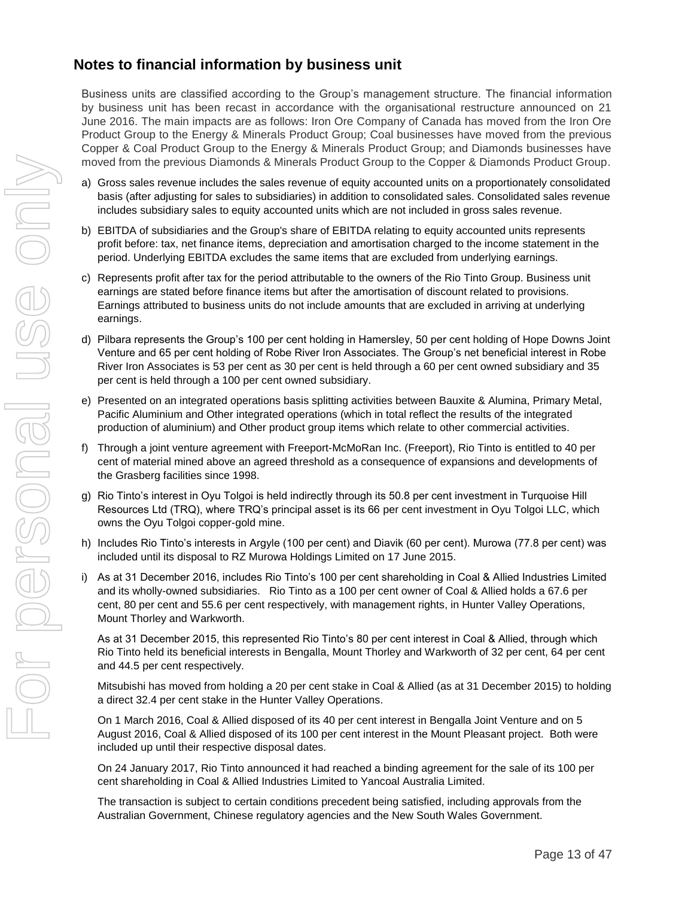# **Notes to financial information by business unit**

Business units are classified according to the Group's management structure. The financial information by business unit has been recast in accordance with the organisational restructure announced on 21 June 2016. The main impacts are as follows: Iron Ore Company of Canada has moved from the Iron Ore Product Group to the Energy & Minerals Product Group; Coal businesses have moved from the previous Copper & Coal Product Group to the Energy & Minerals Product Group; and Diamonds businesses have moved from the previous Diamonds & Minerals Product Group to the Copper & Diamonds Product Group.

- a) Gross sales revenue includes the sales revenue of equity accounted units on a proportionately consolidated basis (after adjusting for sales to subsidiaries) in addition to consolidated sales. Consolidated sales revenue includes subsidiary sales to equity accounted units which are not included in gross sales revenue.
- b) EBITDA of subsidiaries and the Group's share of EBITDA relating to equity accounted units represents profit before: tax, net finance items, depreciation and amortisation charged to the income statement in the period. Underlying EBITDA excludes the same items that are excluded from underlying earnings.
- c) Represents profit after tax for the period attributable to the owners of the Rio Tinto Group. Business unit earnings are stated before finance items but after the amortisation of discount related to provisions. Earnings attributed to business units do not include amounts that are excluded in arriving at underlying earnings.
- d) Pilbara represents the Group's 100 per cent holding in Hamersley, 50 per cent holding of Hope Downs Joint Venture and 65 per cent holding of Robe River Iron Associates. The Group's net beneficial interest in Robe River Iron Associates is 53 per cent as 30 per cent is held through a 60 per cent owned subsidiary and 35 per cent is held through a 100 per cent owned subsidiary.
- e) Presented on an integrated operations basis splitting activities between Bauxite & Alumina, Primary Metal, Pacific Aluminium and Other integrated operations (which in total reflect the results of the integrated production of aluminium) and Other product group items which relate to other commercial activities.
- f) Through a joint venture agreement with Freeport-McMoRan Inc. (Freeport), Rio Tinto is entitled to 40 per cent of material mined above an agreed threshold as a consequence of expansions and developments of the Grasberg facilities since 1998.
- g) Rio Tinto's interest in Oyu Tolgoi is held indirectly through its 50.8 per cent investment in Turquoise Hill Resources Ltd (TRQ), where TRQ's principal asset is its 66 per cent investment in Oyu Tolgoi LLC, which owns the Oyu Tolgoi copper-gold mine.
- h) Includes Rio Tinto's interests in Argyle (100 per cent) and Diavik (60 per cent). Murowa (77.8 per cent) was included until its disposal to RZ Murowa Holdings Limited on 17 June 2015.
- i) As at 31 December 2016, includes Rio Tinto's 100 per cent shareholding in Coal & Allied Industries Limited and its wholly-owned subsidiaries. Rio Tinto as a 100 per cent owner of Coal & Allied holds a 67.6 per cent, 80 per cent and 55.6 per cent respectively, with management rights, in Hunter Valley Operations, Mount Thorley and Warkworth.

As at 31 December 2015, this represented Rio Tinto's 80 per cent interest in Coal & Allied, through which Rio Tinto held its beneficial interests in Bengalla, Mount Thorley and Warkworth of 32 per cent, 64 per cent and 44.5 per cent respectively.

Mitsubishi has moved from holding a 20 per cent stake in Coal & Allied (as at 31 December 2015) to holding a direct 32.4 per cent stake in the Hunter Valley Operations.

On 1 March 2016, Coal & Allied disposed of its 40 per cent interest in Bengalla Joint Venture and on 5 August 2016, Coal & Allied disposed of its 100 per cent interest in the Mount Pleasant project. Both were included up until their respective disposal dates.

On 24 January 2017, Rio Tinto announced it had reached a binding agreement for the sale of its 100 per cent shareholding in Coal & Allied Industries Limited to Yancoal Australia Limited.

The transaction is subject to certain conditions precedent being satisfied, including approvals from the Australian Government, Chinese regulatory agencies and the New South Wales Government.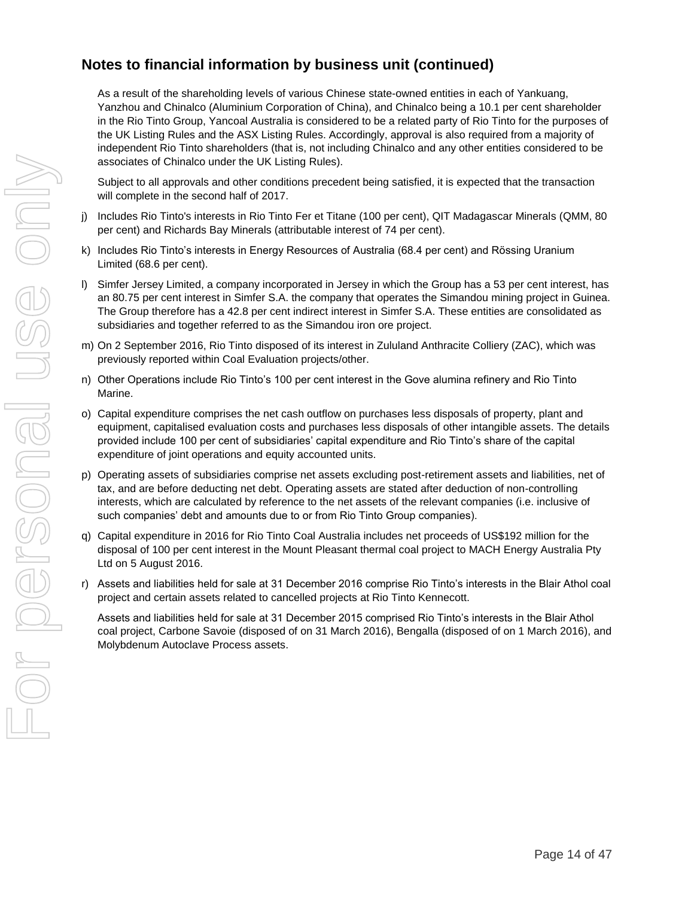# **Notes to financial information by business unit (continued)**

As a result of the shareholding levels of various Chinese state-owned entities in each of Yankuang, Yanzhou and Chinalco (Aluminium Corporation of China), and Chinalco being a 10.1 per cent shareholder in the Rio Tinto Group, Yancoal Australia is considered to be a related party of Rio Tinto for the purposes of the UK Listing Rules and the ASX Listing Rules. Accordingly, approval is also required from a majority of independent Rio Tinto shareholders (that is, not including Chinalco and any other entities considered to be associates of Chinalco under the UK Listing Rules).

Subject to all approvals and other conditions precedent being satisfied, it is expected that the transaction will complete in the second half of 2017.

- j) Includes Rio Tinto's interests in Rio Tinto Fer et Titane (100 per cent), QIT Madagascar Minerals (QMM, 80 per cent) and Richards Bay Minerals (attributable interest of 74 per cent).
- k) Includes Rio Tinto's interests in Energy Resources of Australia (68.4 per cent) and Rössing Uranium Limited (68.6 per cent).
- l) Simfer Jersey Limited, a company incorporated in Jersey in which the Group has a 53 per cent interest, has an 80.75 per cent interest in Simfer S.A. the company that operates the Simandou mining project in Guinea. The Group therefore has a 42.8 per cent indirect interest in Simfer S.A. These entities are consolidated as subsidiaries and together referred to as the Simandou iron ore project.
- m) On 2 September 2016, Rio Tinto disposed of its interest in Zululand Anthracite Colliery (ZAC), which was previously reported within Coal Evaluation projects/other.
- n) Other Operations include Rio Tinto's 100 per cent interest in the Gove alumina refinery and Rio Tinto Marine.
- o) Capital expenditure comprises the net cash outflow on purchases less disposals of property, plant and equipment, capitalised evaluation costs and purchases less disposals of other intangible assets. The details provided include 100 per cent of subsidiaries' capital expenditure and Rio Tinto's share of the capital expenditure of joint operations and equity accounted units.
- p) Operating assets of subsidiaries comprise net assets excluding post-retirement assets and liabilities, net of tax, and are before deducting net debt. Operating assets are stated after deduction of non-controlling interests, which are calculated by reference to the net assets of the relevant companies (i.e. inclusive of such companies' debt and amounts due to or from Rio Tinto Group companies).
- q) Capital expenditure in 2016 for Rio Tinto Coal Australia includes net proceeds of US\$192 million for the disposal of 100 per cent interest in the Mount Pleasant thermal coal project to MACH Energy Australia Pty Ltd on 5 August 2016.
- r) Assets and liabilities held for sale at 31 December 2016 comprise Rio Tinto's interests in the Blair Athol coal project and certain assets related to cancelled projects at Rio Tinto Kennecott.

Assets and liabilities held for sale at 31 December 2015 comprised Rio Tinto's interests in the Blair Athol coal project, Carbone Savoie (disposed of on 31 March 2016), Bengalla (disposed of on 1 March 2016), and Molybdenum Autoclave Process assets.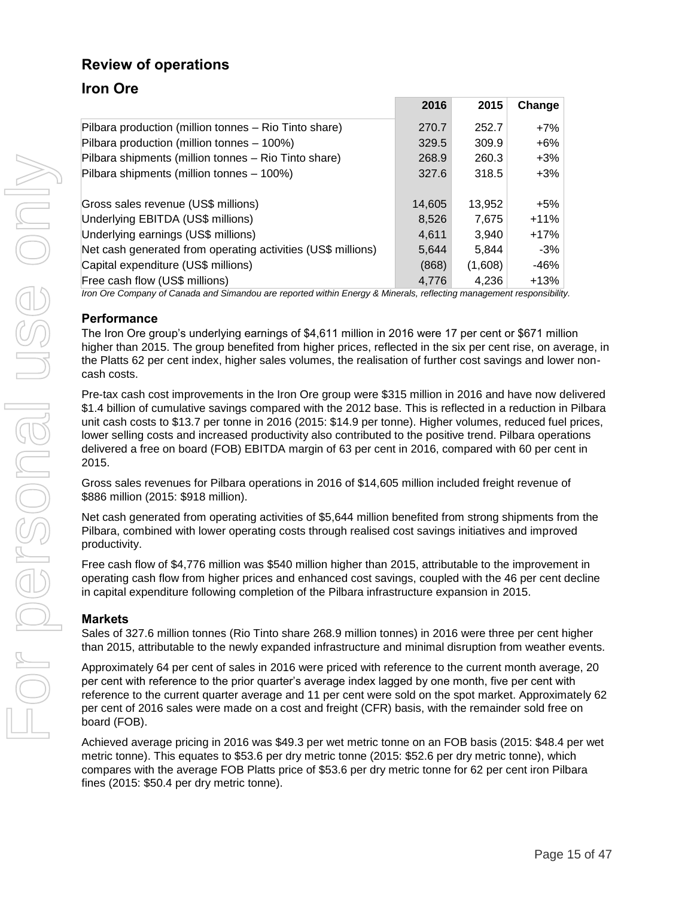# **Review of operations**

# **Iron Ore**

|                                                              | 2016   | 2015    | Change |
|--------------------------------------------------------------|--------|---------|--------|
| Pilbara production (million tonnes – Rio Tinto share)        | 270.7  | 252.7   | $+7%$  |
| Pilbara production (million tonnes - 100%)                   | 329.5  | 309.9   | $+6\%$ |
| Pilbara shipments (million tonnes - Rio Tinto share)         | 268.9  | 260.3   | $+3\%$ |
| Pilbara shipments (million tonnes - 100%)                    | 327.6  | 318.5   | $+3\%$ |
|                                                              |        |         |        |
| Gross sales revenue (US\$ millions)                          | 14,605 | 13.952  | +5%    |
| Underlying EBITDA (US\$ millions)                            | 8,526  | 7.675   | $+11%$ |
| Underlying earnings (US\$ millions)                          | 4.611  | 3.940   | $+17%$ |
| Net cash generated from operating activities (US\$ millions) | 5,644  | 5.844   | $-3%$  |
| Capital expenditure (US\$ millions)                          | (868)  | (1,608) | -46%   |
| Free cash flow (US\$ millions)                               | 4.776  | 4.236   | $+13%$ |

*Iron Ore Company of Canada and Simandou are reported within Energy & Minerals, reflecting management responsibility.*

#### **Performance**

The Iron Ore group's underlying earnings of \$4,611 million in 2016 were 17 per cent or \$671 million higher than 2015. The group benefited from higher prices, reflected in the six per cent rise, on average, in the Platts 62 per cent index, higher sales volumes, the realisation of further cost savings and lower noncash costs.

Pre-tax cash cost improvements in the Iron Ore group were \$315 million in 2016 and have now delivered \$1.4 billion of cumulative savings compared with the 2012 base. This is reflected in a reduction in Pilbara unit cash costs to \$13.7 per tonne in 2016 (2015: \$14.9 per tonne). Higher volumes, reduced fuel prices, lower selling costs and increased productivity also contributed to the positive trend. Pilbara operations delivered a free on board (FOB) EBITDA margin of 63 per cent in 2016, compared with 60 per cent in 2015.

Gross sales revenues for Pilbara operations in 2016 of \$14,605 million included freight revenue of \$886 million (2015: \$918 million).

Net cash generated from operating activities of \$5,644 million benefited from strong shipments from the Pilbara, combined with lower operating costs through realised cost savings initiatives and improved productivity.

Free cash flow of \$4,776 million was \$540 million higher than 2015, attributable to the improvement in operating cash flow from higher prices and enhanced cost savings, coupled with the 46 per cent decline in capital expenditure following completion of the Pilbara infrastructure expansion in 2015.

#### **Markets**

Sales of 327.6 million tonnes (Rio Tinto share 268.9 million tonnes) in 2016 were three per cent higher than 2015, attributable to the newly expanded infrastructure and minimal disruption from weather events.

Approximately 64 per cent of sales in 2016 were priced with reference to the current month average, 20 per cent with reference to the prior quarter's average index lagged by one month, five per cent with reference to the current quarter average and 11 per cent were sold on the spot market. Approximately 62 per cent of 2016 sales were made on a cost and freight (CFR) basis, with the remainder sold free on board (FOB).

Achieved average pricing in 2016 was \$49.3 per wet metric tonne on an FOB basis (2015: \$48.4 per wet metric tonne). This equates to \$53.6 per dry metric tonne (2015: \$52.6 per dry metric tonne), which compares with the average FOB Platts price of \$53.6 per dry metric tonne for 62 per cent iron Pilbara fines (2015: \$50.4 per dry metric tonne).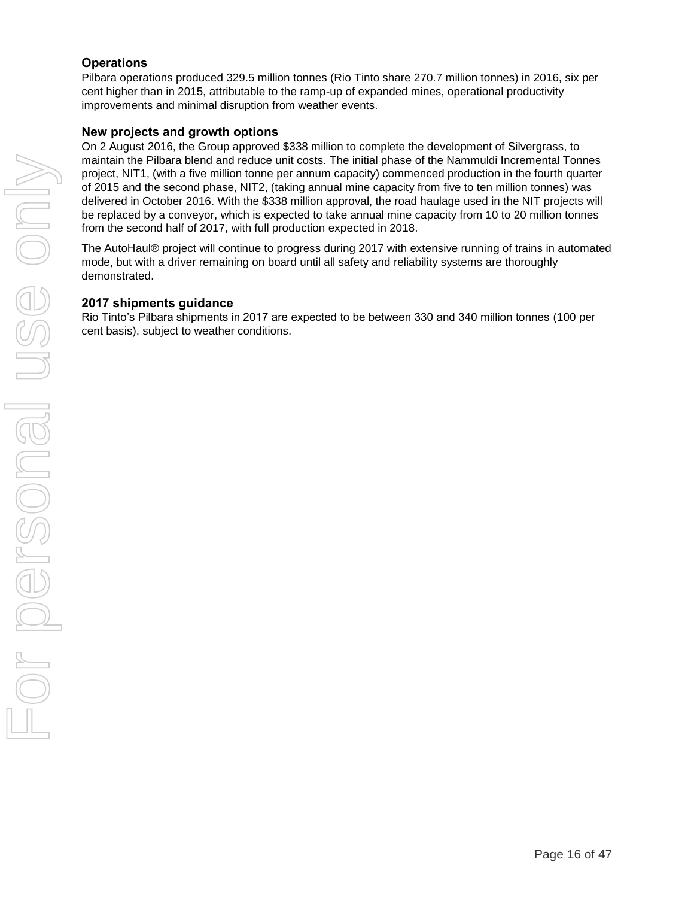#### **Operations**

Pilbara operations produced 329.5 million tonnes (Rio Tinto share 270.7 million tonnes) in 2016, six per cent higher than in 2015, attributable to the ramp-up of expanded mines, operational productivity improvements and minimal disruption from weather events.

#### **New projects and growth options**

On 2 August 2016, the Group approved \$338 million to complete the development of Silvergrass, to maintain the Pilbara blend and reduce unit costs. The initial phase of the Nammuldi Incremental Tonnes project, NIT1, (with a five million tonne per annum capacity) commenced production in the fourth quarter of 2015 and the second phase, NIT2, (taking annual mine capacity from five to ten million tonnes) was delivered in October 2016. With the \$338 million approval, the road haulage used in the NIT projects will be replaced by a conveyor, which is expected to take annual mine capacity from 10 to 20 million tonnes from the second half of 2017, with full production expected in 2018.

The AutoHaul® project will continue to progress during 2017 with extensive running of trains in automated mode, but with a driver remaining on board until all safety and reliability systems are thoroughly demonstrated.

#### **2017 shipments guidance**

Rio Tinto's Pilbara shipments in 2017 are expected to be between 330 and 340 million tonnes (100 per cent basis), subject to weather conditions.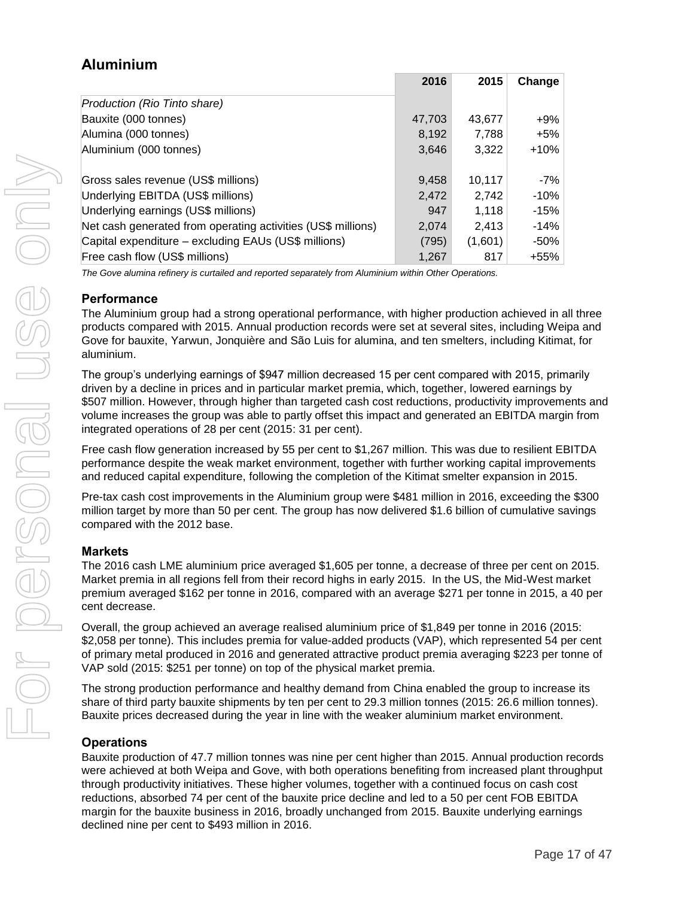# **Aluminium**

|                                                              | 2016   | 2015    | Change |
|--------------------------------------------------------------|--------|---------|--------|
| Production (Rio Tinto share)                                 |        |         |        |
| Bauxite (000 tonnes)                                         | 47,703 | 43.677  | $+9%$  |
| Alumina (000 tonnes)                                         | 8,192  | 7.788   | +5%    |
| Aluminium (000 tonnes)                                       | 3,646  | 3,322   | $+10%$ |
|                                                              |        |         |        |
| Gross sales revenue (US\$ millions)                          | 9,458  | 10.117  | $-7%$  |
| Underlying EBITDA (US\$ millions)                            | 2,472  | 2.742   | $-10%$ |
| Underlying earnings (US\$ millions)                          | 947    | 1,118   | $-15%$ |
| Net cash generated from operating activities (US\$ millions) | 2,074  | 2.413   | $-14%$ |
| Capital expenditure – excluding EAUs (US\$ millions)         | (795)  | (1,601) | -50%   |
| Free cash flow (US\$ millions)                               | 1,267  | 817     | +55%   |

*The Gove alumina refinery is curtailed and reported separately from Aluminium within Other Operations.*

#### **Performance**

The Aluminium group had a strong operational performance, with higher production achieved in all three products compared with 2015. Annual production records were set at several sites, including Weipa and Gove for bauxite, Yarwun, Jonquière and São Luis for alumina, and ten smelters, including Kitimat, for aluminium.

The group's underlying earnings of \$947 million decreased 15 per cent compared with 2015, primarily driven by a decline in prices and in particular market premia, which, together, lowered earnings by \$507 million. However, through higher than targeted cash cost reductions, productivity improvements and volume increases the group was able to partly offset this impact and generated an EBITDA margin from integrated operations of 28 per cent (2015: 31 per cent).

Free cash flow generation increased by 55 per cent to \$1,267 million. This was due to resilient EBITDA performance despite the weak market environment, together with further working capital improvements and reduced capital expenditure, following the completion of the Kitimat smelter expansion in 2015.

Pre-tax cash cost improvements in the Aluminium group were \$481 million in 2016, exceeding the \$300 million target by more than 50 per cent. The group has now delivered \$1.6 billion of cumulative savings compared with the 2012 base.

#### **Markets**

The 2016 cash LME aluminium price averaged \$1,605 per tonne, a decrease of three per cent on 2015. Market premia in all regions fell from their record highs in early 2015. In the US, the Mid-West market premium averaged \$162 per tonne in 2016, compared with an average \$271 per tonne in 2015, a 40 per cent decrease.

Overall, the group achieved an average realised aluminium price of \$1,849 per tonne in 2016 (2015: \$2,058 per tonne). This includes premia for value-added products (VAP), which represented 54 per cent of primary metal produced in 2016 and generated attractive product premia averaging \$223 per tonne of VAP sold (2015: \$251 per tonne) on top of the physical market premia.

The strong production performance and healthy demand from China enabled the group to increase its share of third party bauxite shipments by ten per cent to 29.3 million tonnes (2015: 26.6 million tonnes). Bauxite prices decreased during the year in line with the weaker aluminium market environment.

#### **Operations**

Bauxite production of 47.7 million tonnes was nine per cent higher than 2015. Annual production records were achieved at both Weipa and Gove, with both operations benefiting from increased plant throughput through productivity initiatives. These higher volumes, together with a continued focus on cash cost reductions, absorbed 74 per cent of the bauxite price decline and led to a 50 per cent FOB EBITDA margin for the bauxite business in 2016, broadly unchanged from 2015. Bauxite underlying earnings declined nine per cent to \$493 million in 2016.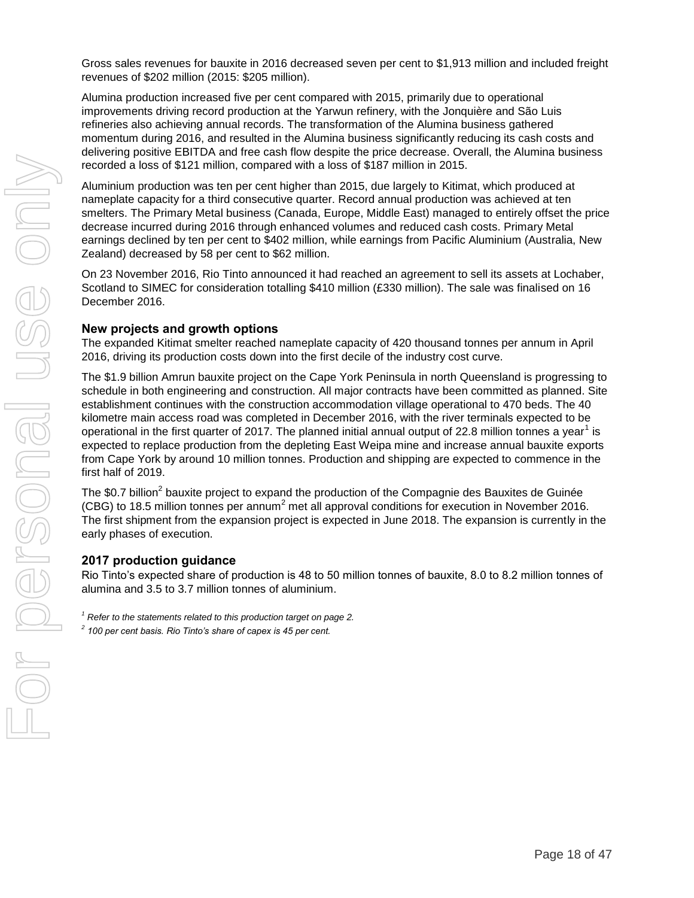Gross sales revenues for bauxite in 2016 decreased seven per cent to \$1,913 million and included freight revenues of \$202 million (2015: \$205 million).

Alumina production increased five per cent compared with 2015, primarily due to operational improvements driving record production at the Yarwun refinery, with the Jonquière and São Luis refineries also achieving annual records. The transformation of the Alumina business gathered momentum during 2016, and resulted in the Alumina business significantly reducing its cash costs and delivering positive EBITDA and free cash flow despite the price decrease. Overall, the Alumina business recorded a loss of \$121 million, compared with a loss of \$187 million in 2015.

Aluminium production was ten per cent higher than 2015, due largely to Kitimat, which produced at nameplate capacity for a third consecutive quarter. Record annual production was achieved at ten smelters. The Primary Metal business (Canada, Europe, Middle East) managed to entirely offset the price decrease incurred during 2016 through enhanced volumes and reduced cash costs. Primary Metal earnings declined by ten per cent to \$402 million, while earnings from Pacific Aluminium (Australia, New Zealand) decreased by 58 per cent to \$62 million.

On 23 November 2016, Rio Tinto announced it had reached an agreement to sell its assets at Lochaber, Scotland to SIMEC for consideration totalling \$410 million (£330 million). The sale was finalised on 16 December 2016.

#### **New projects and growth options**

The expanded Kitimat smelter reached nameplate capacity of 420 thousand tonnes per annum in April 2016, driving its production costs down into the first decile of the industry cost curve.

The \$1.9 billion Amrun bauxite project on the Cape York Peninsula in north Queensland is progressing to schedule in both engineering and construction. All major contracts have been committed as planned. Site establishment continues with the construction accommodation village operational to 470 beds. The 40 kilometre main access road was completed in December 2016, with the river terminals expected to be operational in the first quarter of 2017. The planned initial annual output of 22.8 million tonnes a year<sup>1</sup> is expected to replace production from the depleting East Weipa mine and increase annual bauxite exports from Cape York by around 10 million tonnes. Production and shipping are expected to commence in the first half of 2019.

The \$0.7 billion<sup>2</sup> bauxite project to expand the production of the Compagnie des Bauxites de Guinée (CBG) to 18.5 million tonnes per annum<sup>2</sup> met all approval conditions for execution in November 2016. The first shipment from the expansion project is expected in June 2018. The expansion is currently in the early phases of execution.

#### **2017 production guidance**

Rio Tinto's expected share of production is 48 to 50 million tonnes of bauxite, 8.0 to 8.2 million tonnes of alumina and 3.5 to 3.7 million tonnes of aluminium.

- *<sup>1</sup> Refer to the statements related to this production target on page 2.*
- *2 100 per cent basis. Rio Tinto's share of capex is 45 per cent.*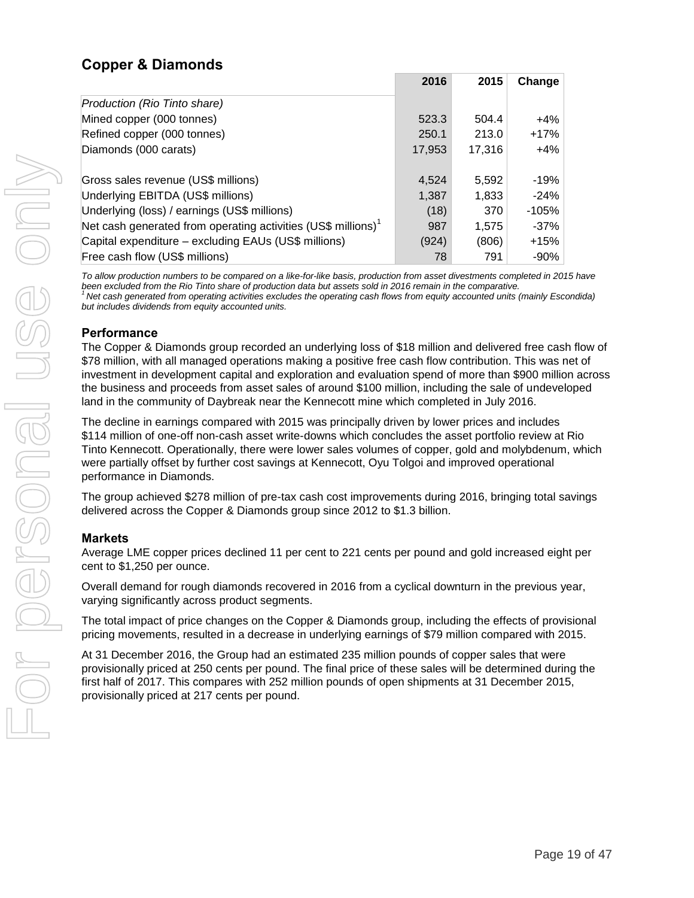# **Copper & Diamonds**

|                                                                           | 2016   | 2015   | Change  |
|---------------------------------------------------------------------------|--------|--------|---------|
| Production (Rio Tinto share)                                              |        |        |         |
| Mined copper (000 tonnes)                                                 | 523.3  | 504.4  | $+4\%$  |
| Refined copper (000 tonnes)                                               | 250.1  | 213.0  | $+17%$  |
| Diamonds (000 carats)                                                     | 17,953 | 17,316 | $+4%$   |
|                                                                           |        |        |         |
| Gross sales revenue (US\$ millions)                                       | 4.524  | 5.592  | -19%    |
| Underlying EBITDA (US\$ millions)                                         | 1,387  | 1,833  | $-24%$  |
| Underlying (loss) / earnings (US\$ millions)                              | (18)   | 370    | $-105%$ |
| Net cash generated from operating activities (US\$ millions) <sup>1</sup> | 987    | 1.575  | $-37\%$ |
| Capital expenditure - excluding EAUs (US\$ millions)                      | (924)  | (806)  | $+15%$  |
| Free cash flow (US\$ millions)                                            | 78     | 791    | $-90%$  |

*To allow production numbers to be compared on a like-for-like basis, production from asset divestments completed in 2015 have been excluded from the Rio Tinto share of production data but assets sold in 2016 remain in the comparative. <sup>1</sup>Net cash generated from operating activities excludes the operating cash flows from equity accounted units (mainly Escondida) but includes dividends from equity accounted units.*

#### **Performance**

The Copper & Diamonds group recorded an underlying loss of \$18 million and delivered free cash flow of \$78 million, with all managed operations making a positive free cash flow contribution. This was net of investment in development capital and exploration and evaluation spend of more than \$900 million across the business and proceeds from asset sales of around \$100 million, including the sale of undeveloped land in the community of Daybreak near the Kennecott mine which completed in July 2016.

The decline in earnings compared with 2015 was principally driven by lower prices and includes \$114 million of one-off non-cash asset write-downs which concludes the asset portfolio review at Rio Tinto Kennecott. Operationally, there were lower sales volumes of copper, gold and molybdenum, which were partially offset by further cost savings at Kennecott, Oyu Tolgoi and improved operational performance in Diamonds.

The group achieved \$278 million of pre-tax cash cost improvements during 2016, bringing total savings delivered across the Copper & Diamonds group since 2012 to \$1.3 billion.

### **Markets**

Average LME copper prices declined 11 per cent to 221 cents per pound and gold increased eight per cent to \$1,250 per ounce.

Overall demand for rough diamonds recovered in 2016 from a cyclical downturn in the previous year, varying significantly across product segments.

The total impact of price changes on the Copper & Diamonds group, including the effects of provisional pricing movements, resulted in a decrease in underlying earnings of \$79 million compared with 2015.

At 31 December 2016, the Group had an estimated 235 million pounds of copper sales that were provisionally priced at 250 cents per pound. The final price of these sales will be determined during the first half of 2017. This compares with 252 million pounds of open shipments at 31 December 2015, provisionally priced at 217 cents per pound.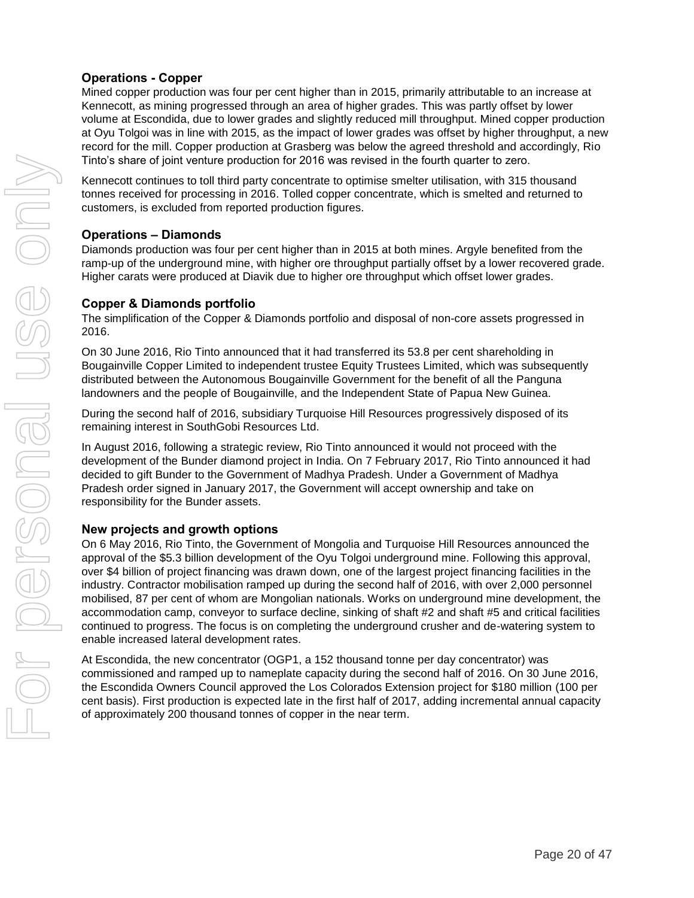### **Operations - Copper**

Mined copper production was four per cent higher than in 2015, primarily attributable to an increase at Kennecott, as mining progressed through an area of higher grades. This was partly offset by lower volume at Escondida, due to lower grades and slightly reduced mill throughput. Mined copper production at Oyu Tolgoi was in line with 2015, as the impact of lower grades was offset by higher throughput, a new record for the mill. Copper production at Grasberg was below the agreed threshold and accordingly, Rio Tinto's share of joint venture production for 2016 was revised in the fourth quarter to zero.

Kennecott continues to toll third party concentrate to optimise smelter utilisation, with 315 thousand tonnes received for processing in 2016. Tolled copper concentrate, which is smelted and returned to customers, is excluded from reported production figures.

#### **Operations – Diamonds**

Diamonds production was four per cent higher than in 2015 at both mines. Argyle benefited from the ramp-up of the underground mine, with higher ore throughput partially offset by a lower recovered grade. Higher carats were produced at Diavik due to higher ore throughput which offset lower grades.

#### **Copper & Diamonds portfolio**

The simplification of the Copper & Diamonds portfolio and disposal of non-core assets progressed in 2016.

On 30 June 2016, Rio Tinto announced that it had transferred its 53.8 per cent shareholding in Bougainville Copper Limited to independent trustee Equity Trustees Limited, which was subsequently distributed between the Autonomous Bougainville Government for the benefit of all the Panguna landowners and the people of Bougainville, and the Independent State of Papua New Guinea.

During the second half of 2016, subsidiary Turquoise Hill Resources progressively disposed of its remaining interest in SouthGobi Resources Ltd.

In August 2016, following a strategic review, Rio Tinto announced it would not proceed with the development of the Bunder diamond project in India. On 7 February 2017, Rio Tinto announced it had decided to gift Bunder to the Government of Madhya Pradesh. Under a Government of Madhya Pradesh order signed in January 2017, the Government will accept ownership and take on responsibility for the Bunder assets.

#### **New projects and growth options**

On 6 May 2016, Rio Tinto, the Government of Mongolia and Turquoise Hill Resources announced the approval of the \$5.3 billion development of the Oyu Tolgoi underground mine. Following this approval, over \$4 billion of project financing was drawn down, one of the largest project financing facilities in the industry. Contractor mobilisation ramped up during the second half of 2016, with over 2,000 personnel mobilised, 87 per cent of whom are Mongolian nationals. Works on underground mine development, the accommodation camp, conveyor to surface decline, sinking of shaft #2 and shaft #5 and critical facilities continued to progress. The focus is on completing the underground crusher and de-watering system to enable increased lateral development rates.

At Escondida, the new concentrator (OGP1, a 152 thousand tonne per day concentrator) was commissioned and ramped up to nameplate capacity during the second half of 2016. On 30 June 2016, the Escondida Owners Council approved the Los Colorados Extension project for \$180 million (100 per cent basis). First production is expected late in the first half of 2017, adding incremental annual capacity of approximately 200 thousand tonnes of copper in the near term.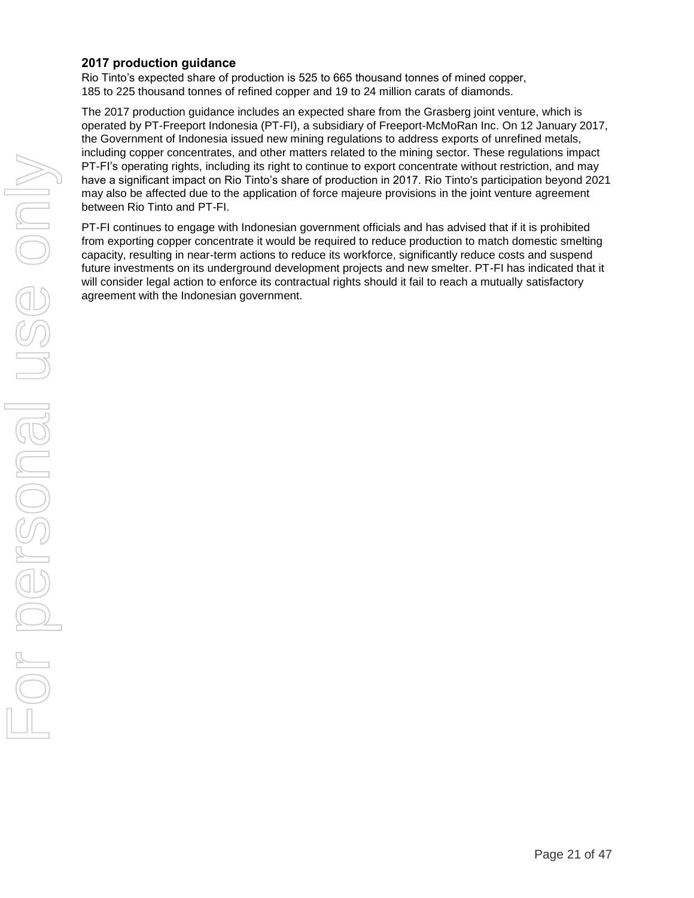#### **2017 production guidance**

Rio Tinto's expected share of production is 525 to 665 thousand tonnes of mined copper, 185 to 225 thousand tonnes of refined copper and 19 to 24 million carats of diamonds.

The 2017 production guidance includes an expected share from the Grasberg joint venture, which is operated by PT-Freeport Indonesia (PT-FI), a subsidiary of Freeport-McMoRan Inc. On 12 January 2017, the Government of Indonesia issued new mining regulations to address exports of unrefined metals, including copper concentrates, and other matters related to the mining sector. These regulations impact PT-FI's operating rights, including its right to continue to export concentrate without restriction, and may have a significant impact on Rio Tinto's share of production in 2017. Rio Tinto's participation beyond 2021 may also be affected due to the application of force majeure provisions in the joint venture agreement between Rio Tinto and PT-FI.

PT-FI continues to engage with Indonesian government officials and has advised that if it is prohibited from exporting copper concentrate it would be required to reduce production to match domestic smelting capacity, resulting in near-term actions to reduce its workforce, significantly reduce costs and suspend future investments on its underground development projects and new smelter. PT-FI has indicated that it will consider legal action to enforce its contractual rights should it fail to reach a mutually satisfactory agreement with the Indonesian government.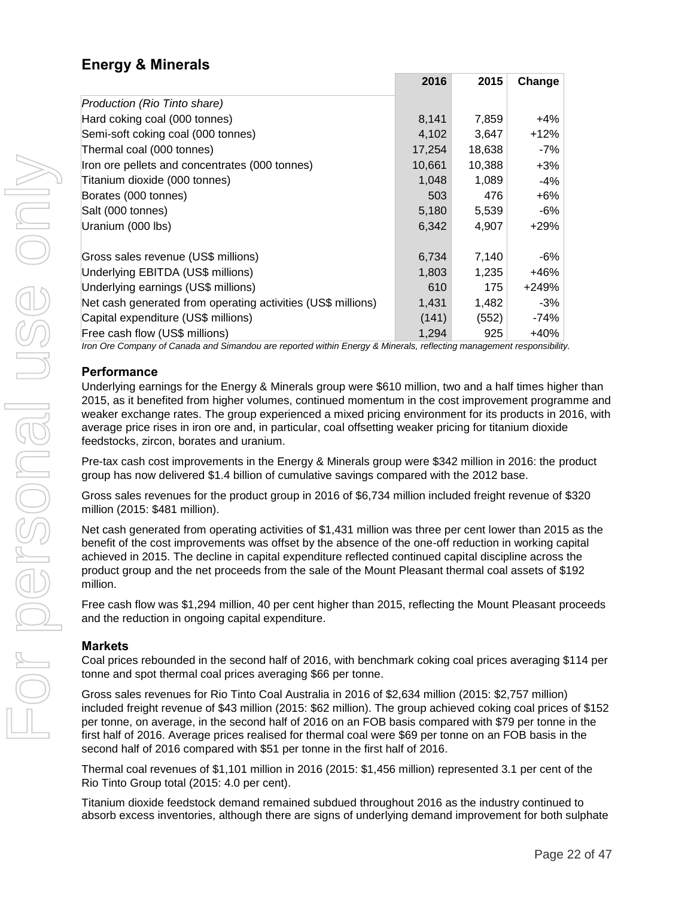# **Energy & Minerals**

|                                                              | 2016   | 2015   | Change |
|--------------------------------------------------------------|--------|--------|--------|
| Production (Rio Tinto share)                                 |        |        |        |
| Hard coking coal (000 tonnes)                                | 8,141  | 7,859  | +4%    |
| Semi-soft coking coal (000 tonnes)                           | 4,102  | 3,647  | $+12%$ |
| Thermal coal (000 tonnes)                                    | 17,254 | 18,638 | -7%    |
| Iron ore pellets and concentrates (000 tonnes)               | 10,661 | 10,388 | $+3%$  |
| Titanium dioxide (000 tonnes)                                | 1,048  | 1,089  | -4%    |
| Borates (000 tonnes)                                         | 503    | 476    | +6%    |
| Salt (000 tonnes)                                            | 5,180  | 5,539  | -6%    |
| Uranium (000 lbs)                                            | 6,342  | 4,907  | +29%   |
|                                                              |        |        |        |
| Gross sales revenue (US\$ millions)                          | 6,734  | 7,140  | -6%    |
| Underlying EBITDA (US\$ millions)                            | 1,803  | 1,235  | +46%   |
| Underlying earnings (US\$ millions)                          | 610    | 175    | +249%  |
| Net cash generated from operating activities (US\$ millions) | 1,431  | 1,482  | -3%    |
| Capital expenditure (US\$ millions)                          | (141)  | (552)  | -74%   |
| Free cash flow (US\$ millions)                               | 1,294  | 925    | +40%   |

*Iron Ore Company of Canada and Simandou are reported within Energy & Minerals, reflecting management responsibility.*

#### **Performance**

Underlying earnings for the Energy & Minerals group were \$610 million, two and a half times higher than 2015, as it benefited from higher volumes, continued momentum in the cost improvement programme and weaker exchange rates. The group experienced a mixed pricing environment for its products in 2016, with average price rises in iron ore and, in particular, coal offsetting weaker pricing for titanium dioxide feedstocks, zircon, borates and uranium.

Pre-tax cash cost improvements in the Energy & Minerals group were \$342 million in 2016: the product group has now delivered \$1.4 billion of cumulative savings compared with the 2012 base.

Gross sales revenues for the product group in 2016 of \$6,734 million included freight revenue of \$320 million (2015: \$481 million).

Net cash generated from operating activities of \$1,431 million was three per cent lower than 2015 as the benefit of the cost improvements was offset by the absence of the one-off reduction in working capital achieved in 2015. The decline in capital expenditure reflected continued capital discipline across the product group and the net proceeds from the sale of the Mount Pleasant thermal coal assets of \$192 million.

Free cash flow was \$1,294 million, 40 per cent higher than 2015, reflecting the Mount Pleasant proceeds and the reduction in ongoing capital expenditure.

### **Markets**

Coal prices rebounded in the second half of 2016, with benchmark coking coal prices averaging \$114 per tonne and spot thermal coal prices averaging \$66 per tonne.

Gross sales revenues for Rio Tinto Coal Australia in 2016 of \$2,634 million (2015: \$2,757 million) included freight revenue of \$43 million (2015: \$62 million). The group achieved coking coal prices of \$152 per tonne, on average, in the second half of 2016 on an FOB basis compared with \$79 per tonne in the first half of 2016. Average prices realised for thermal coal were \$69 per tonne on an FOB basis in the second half of 2016 compared with \$51 per tonne in the first half of 2016.

Thermal coal revenues of \$1,101 million in 2016 (2015: \$1,456 million) represented 3.1 per cent of the Rio Tinto Group total (2015: 4.0 per cent).

Titanium dioxide feedstock demand remained subdued throughout 2016 as the industry continued to absorb excess inventories, although there are signs of underlying demand improvement for both sulphate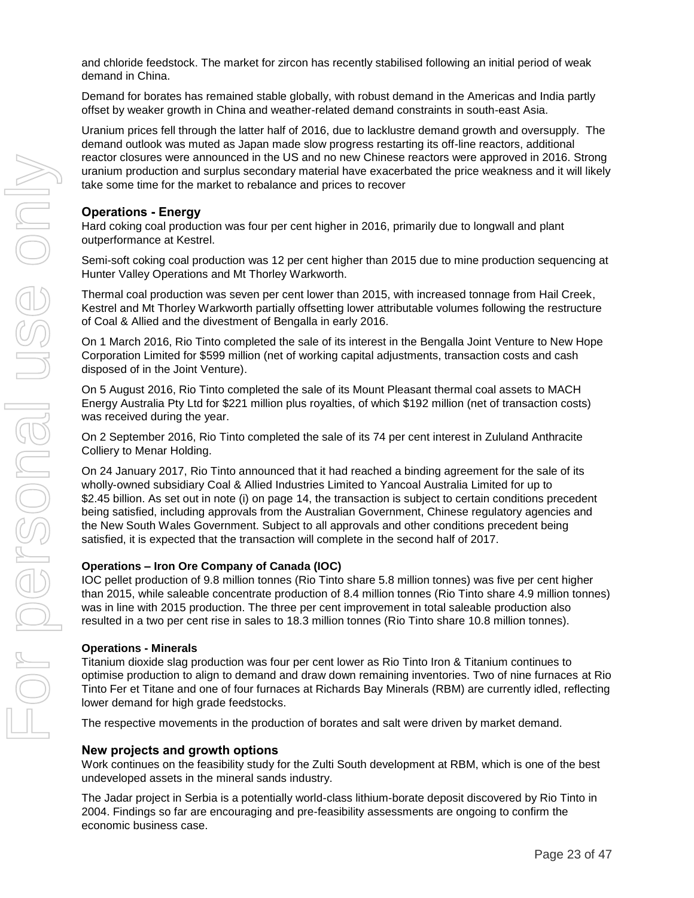and chloride feedstock. The market for zircon has recently stabilised following an initial period of weak demand in China.

Demand for borates has remained stable globally, with robust demand in the Americas and India partly offset by weaker growth in China and weather-related demand constraints in south-east Asia.

Uranium prices fell through the latter half of 2016, due to lacklustre demand growth and oversupply. The demand outlook was muted as Japan made slow progress restarting its off-line reactors, additional reactor closures were announced in the US and no new Chinese reactors were approved in 2016. Strong uranium production and surplus secondary material have exacerbated the price weakness and it will likely take some time for the market to rebalance and prices to recover

#### **Operations - Energy**

Hard coking coal production was four per cent higher in 2016, primarily due to longwall and plant outperformance at Kestrel.

Semi-soft coking coal production was 12 per cent higher than 2015 due to mine production sequencing at Hunter Valley Operations and Mt Thorley Warkworth.

Thermal coal production was seven per cent lower than 2015, with increased tonnage from Hail Creek, Kestrel and Mt Thorley Warkworth partially offsetting lower attributable volumes following the restructure of Coal & Allied and the divestment of Bengalla in early 2016.

On 1 March 2016, Rio Tinto completed the sale of its interest in the Bengalla Joint Venture to New Hope Corporation Limited for \$599 million (net of working capital adjustments, transaction costs and cash disposed of in the Joint Venture).

On 5 August 2016, Rio Tinto completed the sale of its Mount Pleasant thermal coal assets to MACH Energy Australia Pty Ltd for \$221 million plus royalties, of which \$192 million (net of transaction costs) was received during the year.

On 2 September 2016, Rio Tinto completed the sale of its 74 per cent interest in Zululand Anthracite Colliery to Menar Holding.

On 24 January 2017, Rio Tinto announced that it had reached a binding agreement for the sale of its wholly-owned subsidiary Coal & Allied Industries Limited to Yancoal Australia Limited for up to \$2.45 billion. As set out in note (i) on page 14, the transaction is subject to certain conditions precedent being satisfied, including approvals from the Australian Government, Chinese regulatory agencies and the New South Wales Government. Subject to all approvals and other conditions precedent being satisfied, it is expected that the transaction will complete in the second half of 2017.

#### **Operations – Iron Ore Company of Canada (IOC)**

IOC pellet production of 9.8 million tonnes (Rio Tinto share 5.8 million tonnes) was five per cent higher than 2015, while saleable concentrate production of 8.4 million tonnes (Rio Tinto share 4.9 million tonnes) was in line with 2015 production. The three per cent improvement in total saleable production also resulted in a two per cent rise in sales to 18.3 million tonnes (Rio Tinto share 10.8 million tonnes).

#### **Operations - Minerals**

Titanium dioxide slag production was four per cent lower as Rio Tinto Iron & Titanium continues to optimise production to align to demand and draw down remaining inventories. Two of nine furnaces at Rio Tinto Fer et Titane and one of four furnaces at Richards Bay Minerals (RBM) are currently idled, reflecting lower demand for high grade feedstocks.

The respective movements in the production of borates and salt were driven by market demand.

#### **New projects and growth options**

Work continues on the feasibility study for the Zulti South development at RBM, which is one of the best undeveloped assets in the mineral sands industry.

The Jadar project in Serbia is a potentially world-class lithium-borate deposit discovered by Rio Tinto in 2004. Findings so far are encouraging and pre-feasibility assessments are ongoing to confirm the economic business case.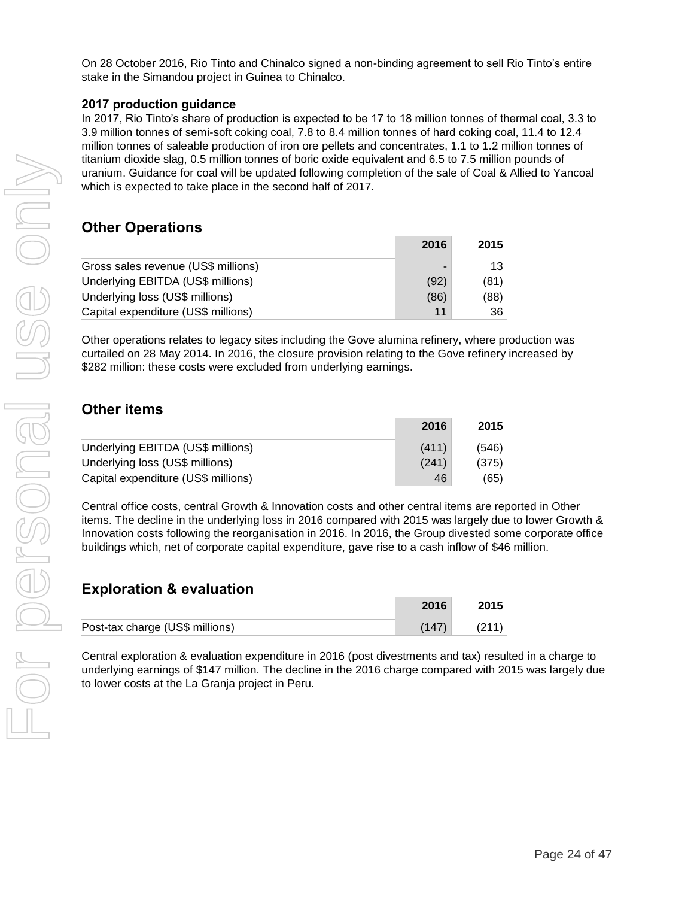On 28 October 2016, Rio Tinto and Chinalco signed a non-binding agreement to sell Rio Tinto's entire stake in the Simandou project in Guinea to Chinalco.

#### **2017 production guidance**

In 2017, Rio Tinto's share of production is expected to be 17 to 18 million tonnes of thermal coal, 3.3 to 3.9 million tonnes of semi-soft coking coal, 7.8 to 8.4 million tonnes of hard coking coal, 11.4 to 12.4 million tonnes of saleable production of iron ore pellets and concentrates, 1.1 to 1.2 million tonnes of titanium dioxide slag, 0.5 million tonnes of boric oxide equivalent and 6.5 to 7.5 million pounds of uranium. Guidance for coal will be updated following completion of the sale of Coal & Allied to Yancoal which is expected to take place in the second half of 2017.

### **Other Operations**

|                                     | 2016 | 2015 |
|-------------------------------------|------|------|
| Gross sales revenue (US\$ millions) |      | 13   |
| Underlying EBITDA (US\$ millions)   | (92) | (81) |
| Underlying loss (US\$ millions)     | (86) | (88) |
| Capital expenditure (US\$ millions) | 11   | 36   |

Other operations relates to legacy sites including the Gove alumina refinery, where production was curtailed on 28 May 2014. In 2016, the closure provision relating to the Gove refinery increased by \$282 million: these costs were excluded from underlying earnings.

### **Other items**

|                                     | 2016  | 2015  |
|-------------------------------------|-------|-------|
| Underlying EBITDA (US\$ millions)   | (411) | (546) |
| Underlying loss (US\$ millions)     | (241) | (375) |
| Capital expenditure (US\$ millions) | 46    | (65)  |

Central office costs, central Growth & Innovation costs and other central items are reported in Other items. The decline in the underlying loss in 2016 compared with 2015 was largely due to lower Growth & Innovation costs following the reorganisation in 2016. In 2016, the Group divested some corporate office buildings which, net of corporate capital expenditure, gave rise to a cash inflow of \$46 million.

### **Exploration & evaluation**

|                                 | 2016  | 2015  |
|---------------------------------|-------|-------|
| Post-tax charge (US\$ millions) | (147) | (211) |

Central exploration & evaluation expenditure in 2016 (post divestments and tax) resulted in a charge to underlying earnings of \$147 million. The decline in the 2016 charge compared with 2015 was largely due to lower costs at the La Granja project in Peru.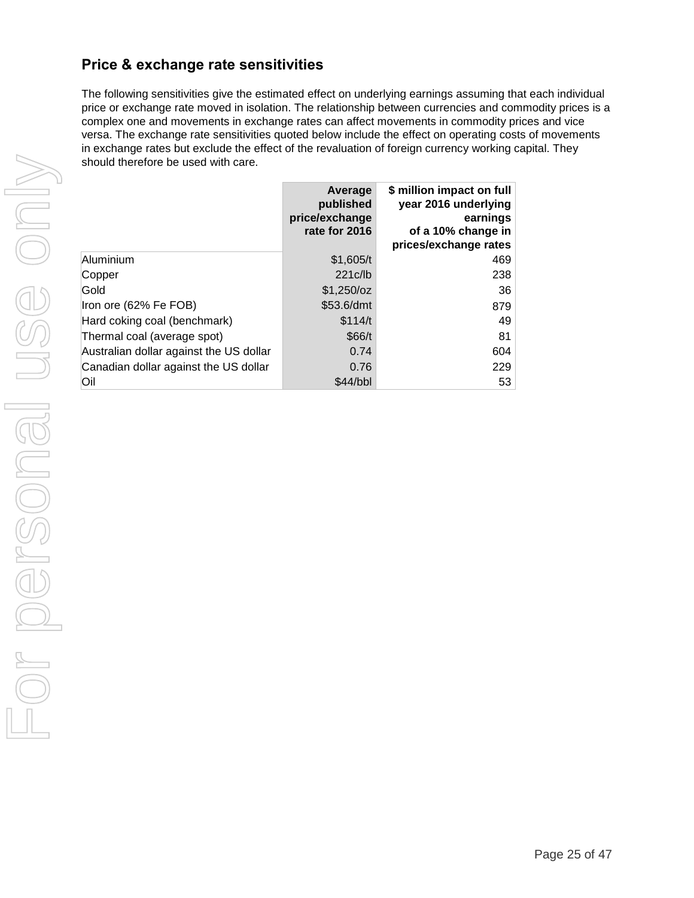# **Price & exchange rate sensitivities**

The following sensitivities give the estimated effect on underlying earnings assuming that each individual price or exchange rate moved in isolation. The relationship between currencies and commodity prices is a complex one and movements in exchange rates can affect movements in commodity prices and vice versa. The exchange rate sensitivities quoted below include the effect on operating costs of movements in exchange rates but exclude the effect of the revaluation of foreign currency working capital. They should therefore be used with care.

|                                         | Average<br>published<br>price/exchange<br>rate for 2016 | \$ million impact on full<br>year 2016 underlying<br>earnings<br>of a 10% change in<br>prices/exchange rates |
|-----------------------------------------|---------------------------------------------------------|--------------------------------------------------------------------------------------------------------------|
| Aluminium                               | \$1,605/t                                               | 469                                                                                                          |
| Copper                                  | 221c/b                                                  | 238                                                                                                          |
| Gold                                    | \$1,250/cz                                              | 36                                                                                                           |
| Iron ore (62% Fe FOB)                   | \$53.6/dmt                                              | 879                                                                                                          |
| Hard coking coal (benchmark)            | \$114/t                                                 | 49                                                                                                           |
| Thermal coal (average spot)             | \$66/t                                                  | 81                                                                                                           |
| Australian dollar against the US dollar | 0.74                                                    | 604                                                                                                          |
| Canadian dollar against the US dollar   | 0.76                                                    | 229                                                                                                          |
| Oil                                     | \$44/bbl                                                | 53                                                                                                           |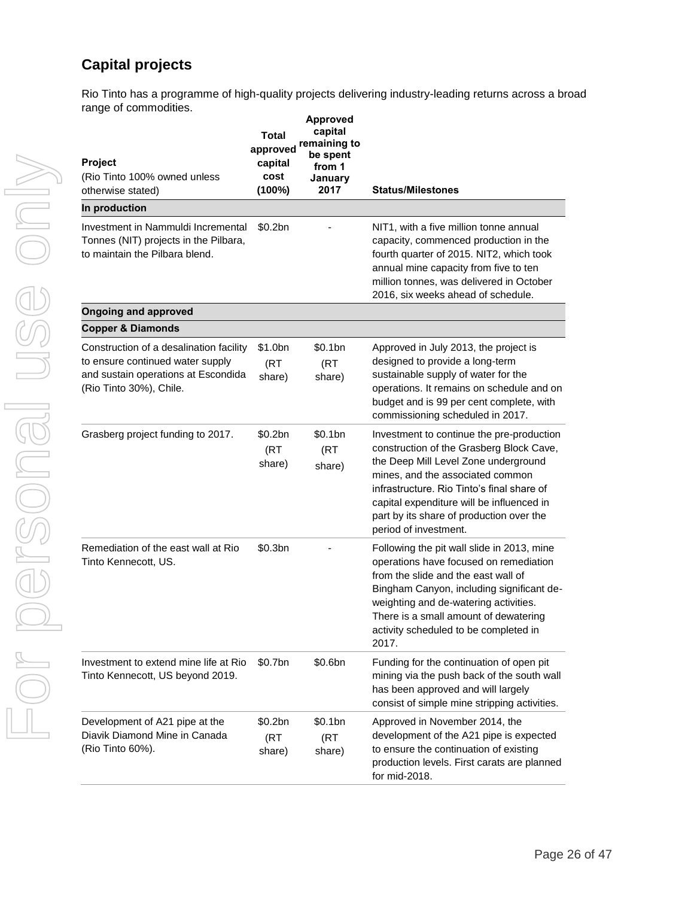# **Capital projects**

Rio Tinto has a programme of high-quality projects delivering industry-leading returns across a broad range of commodities.

| <b>Project</b><br>(Rio Tinto 100% owned unless<br>otherwise stated)                                                                           | Total<br>approved<br>capital<br>cost<br>(100%) | <b>Approved</b><br>capital<br>remaining to<br>be spent<br>from 1<br>January<br>2017 | <b>Status/Milestones</b>                                                                                                                                                                                                                                                                                                          |
|-----------------------------------------------------------------------------------------------------------------------------------------------|------------------------------------------------|-------------------------------------------------------------------------------------|-----------------------------------------------------------------------------------------------------------------------------------------------------------------------------------------------------------------------------------------------------------------------------------------------------------------------------------|
| In production                                                                                                                                 |                                                |                                                                                     |                                                                                                                                                                                                                                                                                                                                   |
| Investment in Nammuldi Incremental<br>Tonnes (NIT) projects in the Pilbara,<br>to maintain the Pilbara blend.                                 | \$0.2bn                                        |                                                                                     | NIT1, with a five million tonne annual<br>capacity, commenced production in the<br>fourth quarter of 2015. NIT2, which took<br>annual mine capacity from five to ten<br>million tonnes, was delivered in October<br>2016, six weeks ahead of schedule.                                                                            |
| <b>Ongoing and approved</b>                                                                                                                   |                                                |                                                                                     |                                                                                                                                                                                                                                                                                                                                   |
| <b>Copper &amp; Diamonds</b>                                                                                                                  |                                                |                                                                                     |                                                                                                                                                                                                                                                                                                                                   |
| Construction of a desalination facility<br>to ensure continued water supply<br>and sustain operations at Escondida<br>(Rio Tinto 30%), Chile. | \$1.0bn<br>(RT)<br>share)                      | \$0.1bn<br>(RT)<br>share)                                                           | Approved in July 2013, the project is<br>designed to provide a long-term<br>sustainable supply of water for the<br>operations. It remains on schedule and on<br>budget and is 99 per cent complete, with<br>commissioning scheduled in 2017.                                                                                      |
| Grasberg project funding to 2017.                                                                                                             | \$0.2bn<br>(RT)<br>share)                      | \$0.1bn<br>(RT<br>share)                                                            | Investment to continue the pre-production<br>construction of the Grasberg Block Cave,<br>the Deep Mill Level Zone underground<br>mines, and the associated common<br>infrastructure. Rio Tinto's final share of<br>capital expenditure will be influenced in<br>part by its share of production over the<br>period of investment. |
| Remediation of the east wall at Rio<br>Tinto Kennecott, US.                                                                                   | \$0.3bn                                        |                                                                                     | Following the pit wall slide in 2013, mine<br>operations have focused on remediation<br>from the slide and the east wall of<br>Bingham Canyon, including significant de-<br>weighting and de-watering activities.<br>There is a small amount of dewatering<br>activity scheduled to be completed in<br>2017.                      |
| Investment to extend mine life at Rio<br>Tinto Kennecott, US beyond 2019.                                                                     | \$0.7bn                                        | \$0.6bn                                                                             | Funding for the continuation of open pit<br>mining via the push back of the south wall<br>has been approved and will largely<br>consist of simple mine stripping activities.                                                                                                                                                      |
| Development of A21 pipe at the<br>Diavik Diamond Mine in Canada<br>(Rio Tinto 60%).                                                           | \$0.2bn<br>(RT)<br>share)                      | \$0.1bn<br>(RT)<br>share)                                                           | Approved in November 2014, the<br>development of the A21 pipe is expected<br>to ensure the continuation of existing<br>production levels. First carats are planned<br>for mid-2018.                                                                                                                                               |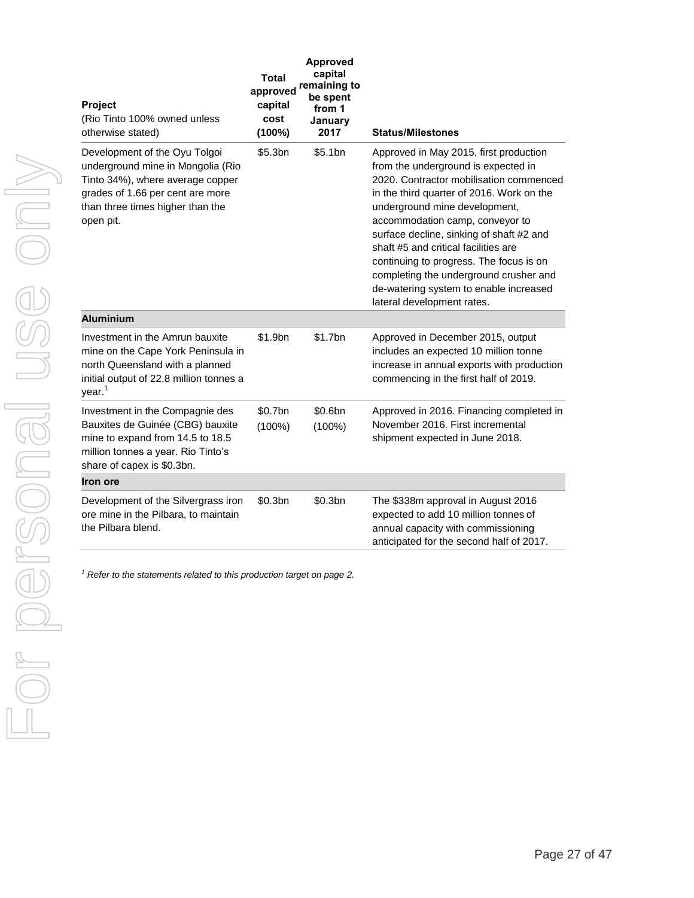| Project<br>(Rio Tinto 100% owned unless<br>otherwise stated)                                                                                                                                | <b>Total</b><br>approved<br>capital<br>cost<br>$(100\%)$ | <b>Approved</b><br>capital<br>remaining to<br>be spent<br>from 1<br>January<br>2017 | <b>Status/Milestones</b>                                                                                                                                                                                                                                                                                                                                                                                                                                                                   |
|---------------------------------------------------------------------------------------------------------------------------------------------------------------------------------------------|----------------------------------------------------------|-------------------------------------------------------------------------------------|--------------------------------------------------------------------------------------------------------------------------------------------------------------------------------------------------------------------------------------------------------------------------------------------------------------------------------------------------------------------------------------------------------------------------------------------------------------------------------------------|
| Development of the Oyu Tolgoi<br>underground mine in Mongolia (Rio<br>Tinto 34%), where average copper<br>grades of 1.66 per cent are more<br>than three times higher than the<br>open pit. | \$5.3bn                                                  | \$5.1bn                                                                             | Approved in May 2015, first production<br>from the underground is expected in<br>2020. Contractor mobilisation commenced<br>in the third quarter of 2016. Work on the<br>underground mine development,<br>accommodation camp, conveyor to<br>surface decline, sinking of shaft #2 and<br>shaft #5 and critical facilities are<br>continuing to progress. The focus is on<br>completing the underground crusher and<br>de-watering system to enable increased<br>lateral development rates. |
| <b>Aluminium</b>                                                                                                                                                                            |                                                          |                                                                                     |                                                                                                                                                                                                                                                                                                                                                                                                                                                                                            |
| Investment in the Amrun bauxite<br>mine on the Cape York Peninsula in<br>north Queensland with a planned<br>initial output of 22.8 million tonnes a<br>year. <sup>1</sup>                   | \$1.9bn                                                  | \$1.7bn                                                                             | Approved in December 2015, output<br>includes an expected 10 million tonne<br>increase in annual exports with production<br>commencing in the first half of 2019.                                                                                                                                                                                                                                                                                                                          |
| Investment in the Compagnie des<br>Bauxites de Guinée (CBG) bauxite<br>mine to expand from 14.5 to 18.5<br>million tonnes a year. Rio Tinto's<br>share of capex is \$0.3bn.                 | \$0.7bn<br>$(100\%)$                                     | \$0.6bn<br>$(100\%)$                                                                | Approved in 2016. Financing completed in<br>November 2016. First incremental<br>shipment expected in June 2018.                                                                                                                                                                                                                                                                                                                                                                            |
| Iron ore                                                                                                                                                                                    |                                                          |                                                                                     |                                                                                                                                                                                                                                                                                                                                                                                                                                                                                            |
| Development of the Silvergrass iron<br>ore mine in the Pilbara, to maintain<br>the Pilbara blend.                                                                                           | \$0.3bn                                                  | \$0.3bn                                                                             | The \$338m approval in August 2016<br>expected to add 10 million tonnes of<br>annual capacity with commissioning<br>anticipated for the second half of 2017.                                                                                                                                                                                                                                                                                                                               |

*<sup>1</sup> Refer to the statements related to this production target on page 2.*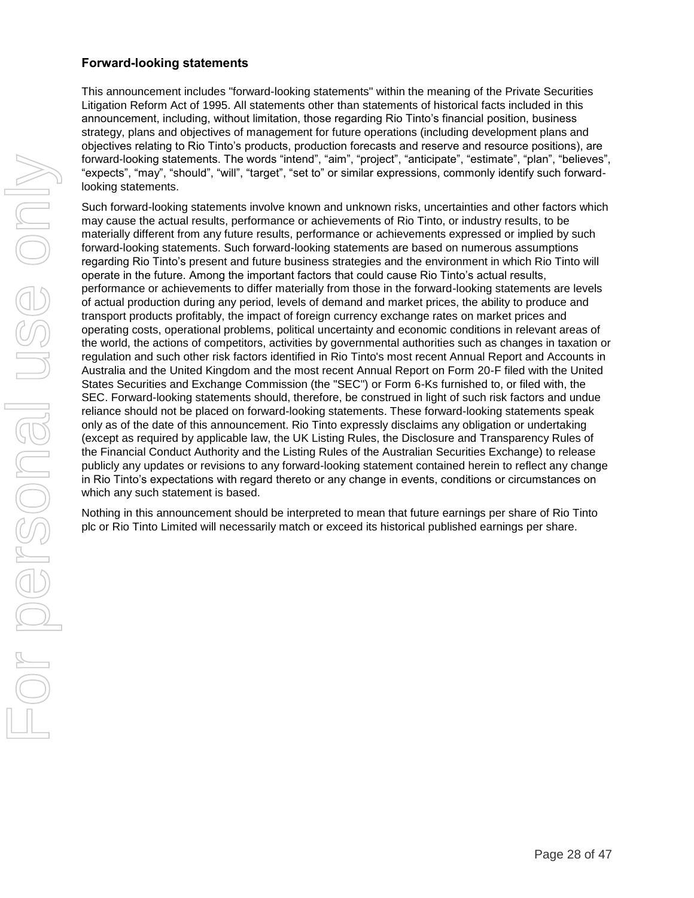#### **Forward-looking statements**

This announcement includes "forward-looking statements" within the meaning of the Private Securities Litigation Reform Act of 1995. All statements other than statements of historical facts included in this announcement, including, without limitation, those regarding Rio Tinto's financial position, business strategy, plans and objectives of management for future operations (including development plans and objectives relating to Rio Tinto's products, production forecasts and reserve and resource positions), are forward-looking statements. The words "intend", "aim", "project", "anticipate", "estimate", "plan", "believes", "expects", "may", "should", "will", "target", "set to" or similar expressions, commonly identify such forwardlooking statements.

Such forward-looking statements involve known and unknown risks, uncertainties and other factors which may cause the actual results, performance or achievements of Rio Tinto, or industry results, to be materially different from any future results, performance or achievements expressed or implied by such forward-looking statements. Such forward-looking statements are based on numerous assumptions regarding Rio Tinto's present and future business strategies and the environment in which Rio Tinto will operate in the future. Among the important factors that could cause Rio Tinto's actual results, performance or achievements to differ materially from those in the forward-looking statements are levels of actual production during any period, levels of demand and market prices, the ability to produce and transport products profitably, the impact of foreign currency exchange rates on market prices and operating costs, operational problems, political uncertainty and economic conditions in relevant areas of the world, the actions of competitors, activities by governmental authorities such as changes in taxation or regulation and such other risk factors identified in Rio Tinto's most recent Annual Report and Accounts in Australia and the United Kingdom and the most recent Annual Report on Form 20-F filed with the United States Securities and Exchange Commission (the "SEC") or Form 6-Ks furnished to, or filed with, the SEC. Forward-looking statements should, therefore, be construed in light of such risk factors and undue reliance should not be placed on forward-looking statements. These forward-looking statements speak only as of the date of this announcement. Rio Tinto expressly disclaims any obligation or undertaking (except as required by applicable law, the UK Listing Rules, the Disclosure and Transparency Rules of the Financial Conduct Authority and the Listing Rules of the Australian Securities Exchange) to release publicly any updates or revisions to any forward-looking statement contained herein to reflect any change in Rio Tinto's expectations with regard thereto or any change in events, conditions or circumstances on which any such statement is based.

Nothing in this announcement should be interpreted to mean that future earnings per share of Rio Tinto plc or Rio Tinto Limited will necessarily match or exceed its historical published earnings per share.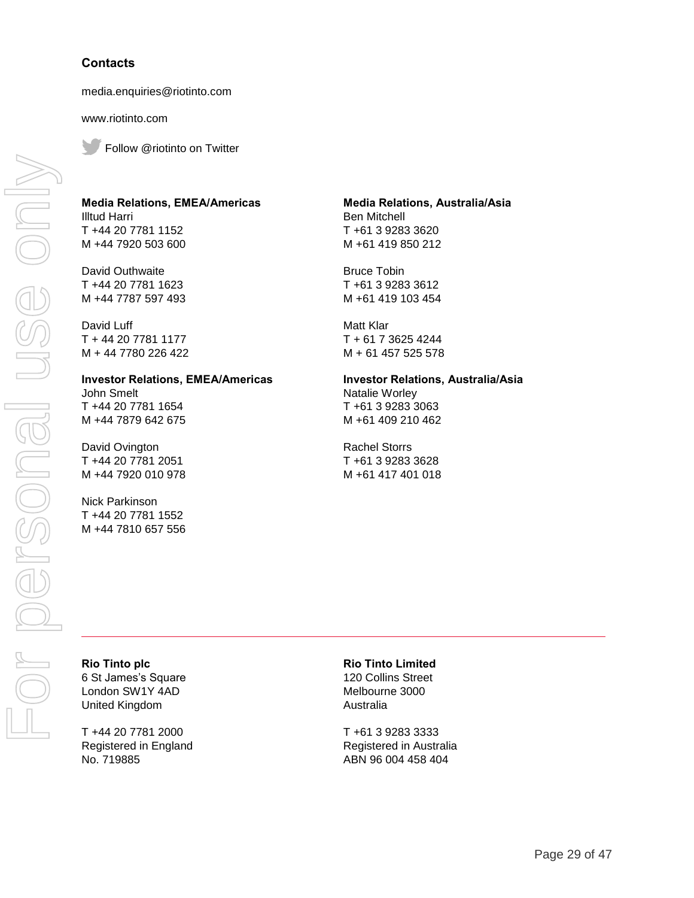#### **Contacts**

media.enquiries@riotinto.com

www.riotinto.com

Follow @riotinto on Twitter

#### **Media Relations, EMEA/Americas** Illtud Harri T +44 20 7781 1152 M +44 7920 503 600

David Outhwaite T +44 20 7781 1623 M +44 7787 597 493

David Luff T + 44 20 7781 1177 M + 44 7780 226 422

#### **Investor Relations, EMEA/Americas** John Smelt

T +44 20 7781 1654 M +44 7879 642 675

David Ovington T +44 20 7781 2051 M +44 7920 010 978

Nick Parkinson T +44 20 7781 1552 M +44 7810 657 556

#### **Media Relations, Australia/Asia** Ben Mitchell T +61 3 9283 3620

M +61 419 850 212

Bruce Tobin T +61 3 9283 3612 M +61 419 103 454

Matt Klar T + 61 7 3625 4244 M + 61 457 525 578

# **Investor Relations, Australia/Asia**

Natalie Worley T +61 3 9283 3063 M +61 409 210 462

Rachel Storrs T +61 3 9283 3628 M +61 417 401 018

**Rio Tinto plc** 6 St James's Square London SW1Y 4AD United Kingdom

T +44 20 7781 2000 Registered in England No. 719885

#### **Rio Tinto Limited**

120 Collins Street Melbourne 3000 Australia

T +61 3 9283 3333 Registered in Australia ABN 96 004 458 404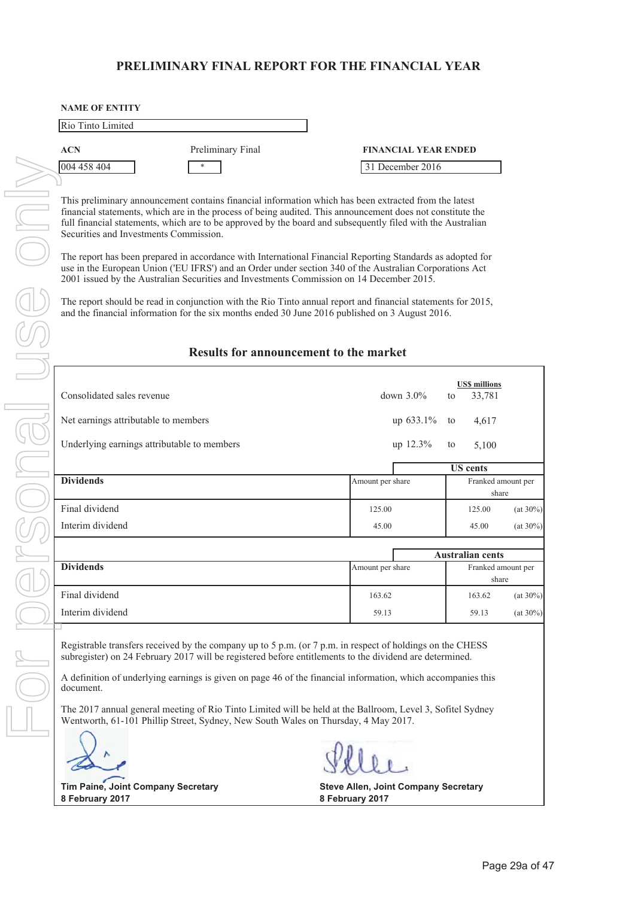### **PRELIMINARY FINAL REPORT FOR THE FINANCIAL YEAR**

| <b>NAME OF ENTITY</b> |                   |                             |
|-----------------------|-------------------|-----------------------------|
| Rio Tinto Limited     |                   |                             |
| <b>ACN</b>            | Preliminary Final | <b>FINANCIAL YEAR ENDED</b> |
| 004 458 404           | *                 | 31 December 2016            |

This preliminary announcement contains financial information which has been extracted from the latest financial statements, which are in the process of being audited. This announcement does not constitute the full financial statements, which are to be approved by the board and subsequently filed with the Australian Securities and Investments Commission.

The report has been prepared in accordance with International Financial Reporting Standards as adopted for use in the European Union ('EU IFRS') and an Order under section 340 of the Australian Corporations Act 2001 issued by the Australian Securities and Investments Commission on 14 December 2015.

The report should be read in conjunction with the Rio Tinto annual report and financial statements for 2015, and the financial information for the six months ended 30 June 2016 published on 3 August 2016.

#### **Results for announcement to the market**

| Consolidated sales revenue                  | down $3.0\%$     | <b>US\$</b> millions<br>33,781<br>to |
|---------------------------------------------|------------------|--------------------------------------|
| Net earnings attributable to members        | up $633.1\%$     | 4,617<br>to                          |
| Underlying earnings attributable to members | up 12.3%         | 5,100<br>to                          |
|                                             |                  | <b>US</b> cents                      |
| <b>Dividends</b>                            | Amount per share | Franked amount per<br>share          |
| Final dividend                              | 125.00           | $(at 30\%)$<br>125.00                |
| Interim dividend                            | 45.00            | $(at 30\%)$<br>45.00                 |
|                                             |                  |                                      |
|                                             |                  | <b>Australian cents</b>              |
| <b>Dividends</b>                            | Amount per share | Franked amount per                   |

|                  | Australian cents |  |                    |             |
|------------------|------------------|--|--------------------|-------------|
| <b>Dividends</b> | Amount per share |  | Franked amount per |             |
|                  |                  |  |                    | share       |
| Final dividend   | 163.62           |  | 163.62             | $(at 30\%)$ |
| Interim dividend | 59.13            |  | 59.13              | $(at 30\%)$ |

Registrable transfers received by the company up to 5 p.m. (or 7 p.m. in respect of holdings on the CHESS subregister) on 24 February 2017 will be registered before entitlements to the dividend are determined.

A definition of underlying earnings is given on page 46 of the financial information, which accompanies this document.

The 2017 annual general meeting of Rio Tinto Limited will be held at the Ballroom, Level 3, Sofitel Sydney Wentworth, 61-101 Phillip Street, Sydney, New South Wales on Thursday, 4 May 2017.

**8 February 2017 8 February 2017**

**Tim Paine, Joint Company Secretary Steve Allen, Joint Company Secretary**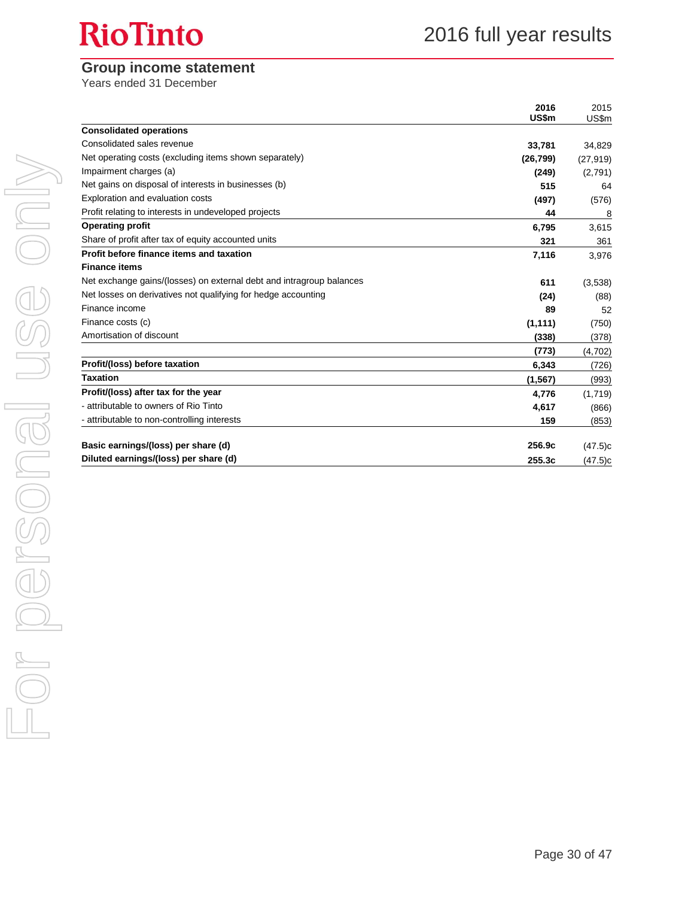# **RioTinto**

### **Group income statement**

Years ended 31 December

| <b>Consolidated operations</b><br>Consolidated sales revenue<br>33,781<br>Net operating costs (excluding items shown separately)<br>(26, 799)<br>Impairment charges (a)<br>(249)<br>Net gains on disposal of interests in businesses (b)<br>515<br>Exploration and evaluation costs<br>(497)<br>Profit relating to interests in undeveloped projects<br>44<br><b>Operating profit</b><br>6,795<br>Share of profit after tax of equity accounted units<br>321<br>Profit before finance items and taxation<br>7,116<br><b>Finance items</b><br>Net exchange gains/(losses) on external debt and intragroup balances<br>611<br>Net losses on derivatives not qualifying for hedge accounting<br>(24)<br>Finance income<br>89<br>Finance costs (c)<br>(1, 111)<br>Amortisation of discount<br>(338)<br>(773)<br>Profit/(loss) before taxation<br>6,343<br><b>Taxation</b><br>(1, 567)<br>Profit/(loss) after tax for the year<br>4,776<br>- attributable to owners of Rio Tinto<br>4,617<br>- attributable to non-controlling interests<br>159<br>256.9c |                                     | 2016<br>US\$m | 2015<br>US\$m |
|------------------------------------------------------------------------------------------------------------------------------------------------------------------------------------------------------------------------------------------------------------------------------------------------------------------------------------------------------------------------------------------------------------------------------------------------------------------------------------------------------------------------------------------------------------------------------------------------------------------------------------------------------------------------------------------------------------------------------------------------------------------------------------------------------------------------------------------------------------------------------------------------------------------------------------------------------------------------------------------------------------------------------------------------------|-------------------------------------|---------------|---------------|
|                                                                                                                                                                                                                                                                                                                                                                                                                                                                                                                                                                                                                                                                                                                                                                                                                                                                                                                                                                                                                                                      |                                     |               |               |
|                                                                                                                                                                                                                                                                                                                                                                                                                                                                                                                                                                                                                                                                                                                                                                                                                                                                                                                                                                                                                                                      |                                     |               | 34,829        |
|                                                                                                                                                                                                                                                                                                                                                                                                                                                                                                                                                                                                                                                                                                                                                                                                                                                                                                                                                                                                                                                      |                                     |               | (27, 919)     |
|                                                                                                                                                                                                                                                                                                                                                                                                                                                                                                                                                                                                                                                                                                                                                                                                                                                                                                                                                                                                                                                      |                                     |               | (2,791)       |
|                                                                                                                                                                                                                                                                                                                                                                                                                                                                                                                                                                                                                                                                                                                                                                                                                                                                                                                                                                                                                                                      |                                     |               | 64            |
|                                                                                                                                                                                                                                                                                                                                                                                                                                                                                                                                                                                                                                                                                                                                                                                                                                                                                                                                                                                                                                                      |                                     |               | (576)         |
|                                                                                                                                                                                                                                                                                                                                                                                                                                                                                                                                                                                                                                                                                                                                                                                                                                                                                                                                                                                                                                                      |                                     |               | 8             |
|                                                                                                                                                                                                                                                                                                                                                                                                                                                                                                                                                                                                                                                                                                                                                                                                                                                                                                                                                                                                                                                      |                                     |               | 3,615         |
|                                                                                                                                                                                                                                                                                                                                                                                                                                                                                                                                                                                                                                                                                                                                                                                                                                                                                                                                                                                                                                                      |                                     |               | 361           |
|                                                                                                                                                                                                                                                                                                                                                                                                                                                                                                                                                                                                                                                                                                                                                                                                                                                                                                                                                                                                                                                      |                                     |               | 3,976         |
|                                                                                                                                                                                                                                                                                                                                                                                                                                                                                                                                                                                                                                                                                                                                                                                                                                                                                                                                                                                                                                                      |                                     |               |               |
|                                                                                                                                                                                                                                                                                                                                                                                                                                                                                                                                                                                                                                                                                                                                                                                                                                                                                                                                                                                                                                                      |                                     |               | (3,538)       |
|                                                                                                                                                                                                                                                                                                                                                                                                                                                                                                                                                                                                                                                                                                                                                                                                                                                                                                                                                                                                                                                      |                                     |               | (88)          |
|                                                                                                                                                                                                                                                                                                                                                                                                                                                                                                                                                                                                                                                                                                                                                                                                                                                                                                                                                                                                                                                      |                                     |               | 52            |
|                                                                                                                                                                                                                                                                                                                                                                                                                                                                                                                                                                                                                                                                                                                                                                                                                                                                                                                                                                                                                                                      |                                     |               | (750)         |
|                                                                                                                                                                                                                                                                                                                                                                                                                                                                                                                                                                                                                                                                                                                                                                                                                                                                                                                                                                                                                                                      |                                     |               | (378)         |
|                                                                                                                                                                                                                                                                                                                                                                                                                                                                                                                                                                                                                                                                                                                                                                                                                                                                                                                                                                                                                                                      |                                     |               | (4,702)       |
|                                                                                                                                                                                                                                                                                                                                                                                                                                                                                                                                                                                                                                                                                                                                                                                                                                                                                                                                                                                                                                                      |                                     |               | (726)         |
|                                                                                                                                                                                                                                                                                                                                                                                                                                                                                                                                                                                                                                                                                                                                                                                                                                                                                                                                                                                                                                                      |                                     |               | (993)         |
|                                                                                                                                                                                                                                                                                                                                                                                                                                                                                                                                                                                                                                                                                                                                                                                                                                                                                                                                                                                                                                                      |                                     |               | (1,719)       |
|                                                                                                                                                                                                                                                                                                                                                                                                                                                                                                                                                                                                                                                                                                                                                                                                                                                                                                                                                                                                                                                      |                                     |               | (866)         |
|                                                                                                                                                                                                                                                                                                                                                                                                                                                                                                                                                                                                                                                                                                                                                                                                                                                                                                                                                                                                                                                      |                                     |               | (853)         |
|                                                                                                                                                                                                                                                                                                                                                                                                                                                                                                                                                                                                                                                                                                                                                                                                                                                                                                                                                                                                                                                      | Basic earnings/(loss) per share (d) |               | (47.5)c       |
| Diluted earnings/(loss) per share (d)<br>255.3c                                                                                                                                                                                                                                                                                                                                                                                                                                                                                                                                                                                                                                                                                                                                                                                                                                                                                                                                                                                                      |                                     |               | (47.5)c       |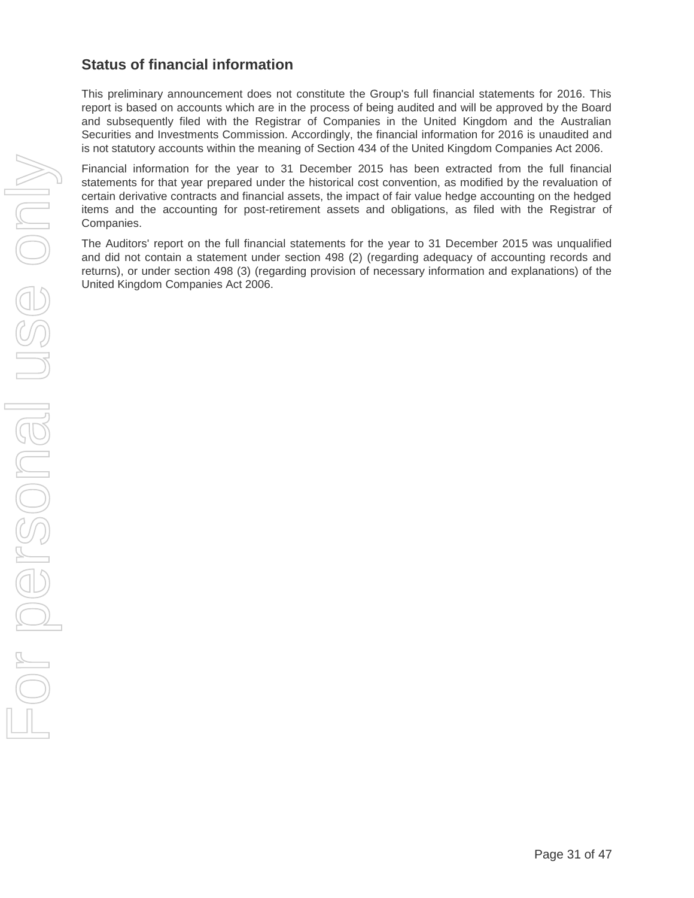# **Status of financial information**

This preliminary announcement does not constitute the Group's full financial statements for 2016. This report is based on accounts which are in the process of being audited and will be approved by the Board and subsequently filed with the Registrar of Companies in the United Kingdom and the Australian Securities and Investments Commission. Accordingly, the financial information for 2016 is unaudited and is not statutory accounts within the meaning of Section 434 of the United Kingdom Companies Act 2006.

Financial information for the year to 31 December 2015 has been extracted from the full financial statements for that year prepared under the historical cost convention, as modified by the revaluation of certain derivative contracts and financial assets, the impact of fair value hedge accounting on the hedged items and the accounting for post-retirement assets and obligations, as filed with the Registrar of Companies.

The Auditors' report on the full financial statements for the year to 31 December 2015 was unqualified and did not contain a statement under section 498 (2) (regarding adequacy of accounting records and returns), or under section 498 (3) (regarding provision of necessary information and explanations) of the United Kingdom Companies Act 2006.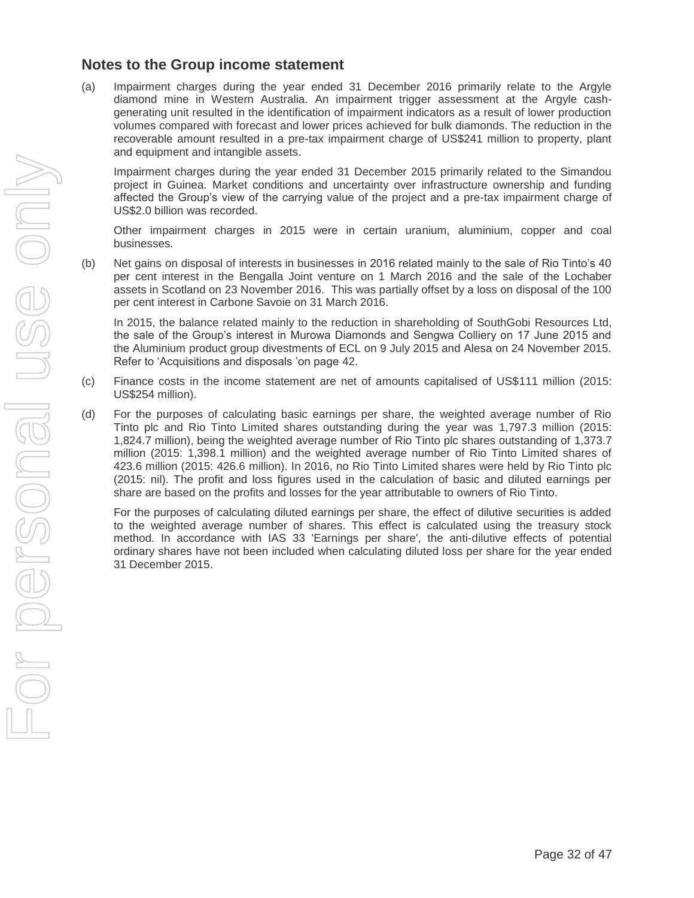### **Notes to the Group income statement**

(a) Impairment charges during the year ended 31 December 2016 primarily relate to the Argyle diamond mine in Western Australia. An impairment trigger assessment at the Argyle cashgenerating unit resulted in the identification of impairment indicators as a result of lower production volumes compared with forecast and lower prices achieved for bulk diamonds. The reduction in the recoverable amount resulted in a pre-tax impairment charge of US\$241 million to property, plant and equipment and intangible assets.

Impairment charges during the year ended 31 December 2015 primarily related to the Simandou project in Guinea. Market conditions and uncertainty over infrastructure ownership and funding affected the Group's view of the carrying value of the project and a pre-tax impairment charge of US\$2.0 billion was recorded.

Other impairment charges in 2015 were in certain uranium, aluminium, copper and coal businesses.

(b) Net gains on disposal of interests in businesses in 2016 related mainly to the sale of Rio Tinto's 40 per cent interest in the Bengalla Joint venture on 1 March 2016 and the sale of the Lochaber assets in Scotland on 23 November 2016. This was partially offset by a loss on disposal of the 100 per cent interest in Carbone Savoie on 31 March 2016.

In 2015, the balance related mainly to the reduction in shareholding of SouthGobi Resources Ltd, the sale of the Group's interest in Murowa Diamonds and Sengwa Colliery on 17 June 2015 and the Aluminium product group divestments of ECL on 9 July 2015 and Alesa on 24 November 2015. Refer to 'Acquisitions and disposals 'on page 42.

- (c) Finance costs in the income statement are net of amounts capitalised of US\$111 million (2015: US\$254 million).
- (d) For the purposes of calculating basic earnings per share, the weighted average number of Rio Tinto plc and Rio Tinto Limited shares outstanding during the year was 1,797.3 million (2015: 1,824.7 million), being the weighted average number of Rio Tinto plc shares outstanding of 1,373.7 million (2015: 1,398.1 million) and the weighted average number of Rio Tinto Limited shares of 423.6 million (2015: 426.6 million). In 2016, no Rio Tinto Limited shares were held by Rio Tinto plc (2015: nil). The profit and loss figures used in the calculation of basic and diluted earnings per share are based on the profits and losses for the year attributable to owners of Rio Tinto.

For the purposes of calculating diluted earnings per share, the effect of dilutive securities is added to the weighted average number of shares. This effect is calculated using the treasury stock method. In accordance with IAS 33 'Earnings per share', the anti-dilutive effects of potential ordinary shares have not been included when calculating diluted loss per share for the year ended 31 December 2015.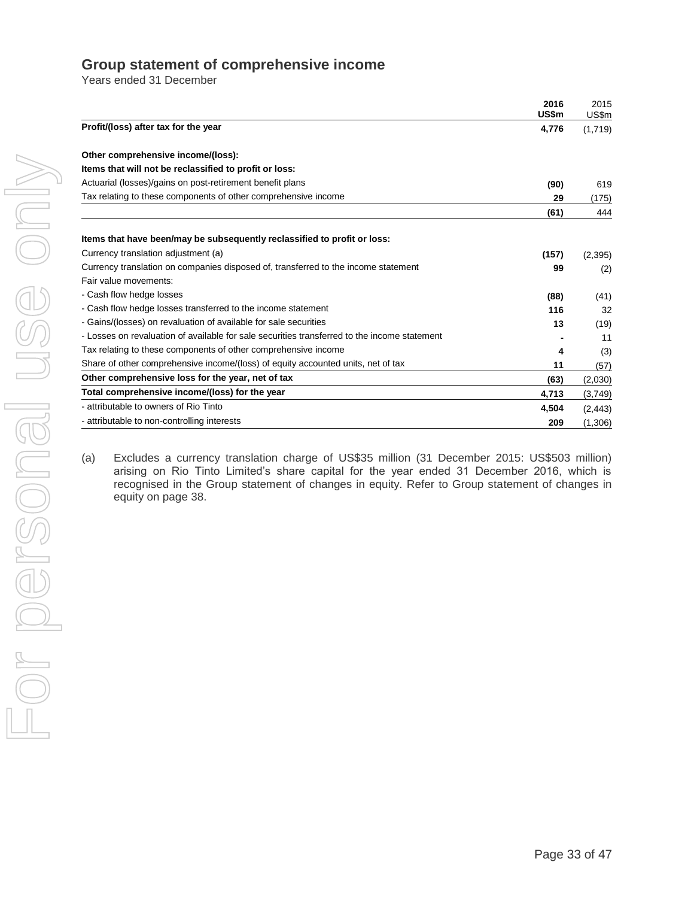### **Group statement of comprehensive income**

Years ended 31 December

|                                                                                              | 2016<br>US\$m | 2015<br>US\$m |
|----------------------------------------------------------------------------------------------|---------------|---------------|
| Profit/(loss) after tax for the year                                                         | 4,776         | (1,719)       |
| Other comprehensive income/(loss):                                                           |               |               |
| Items that will not be reclassified to profit or loss:                                       |               |               |
| Actuarial (losses)/gains on post-retirement benefit plans                                    | (90)          | 619           |
| Tax relating to these components of other comprehensive income                               | 29            | (175)         |
|                                                                                              | (61)          | 444           |
| Items that have been/may be subsequently reclassified to profit or loss:                     |               |               |
| Currency translation adjustment (a)                                                          | (157)         | (2, 395)      |
| Currency translation on companies disposed of, transferred to the income statement           | 99            | (2)           |
| Fair value movements:                                                                        |               |               |
| - Cash flow hedge losses                                                                     | (88)          | (41)          |
| - Cash flow hedge losses transferred to the income statement                                 | 116           | 32            |
| - Gains/(losses) on revaluation of available for sale securities                             | 13            | (19)          |
| - Losses on revaluation of available for sale securities transferred to the income statement |               | 11            |
| Tax relating to these components of other comprehensive income                               | 4             | (3)           |
| Share of other comprehensive income/(loss) of equity accounted units, net of tax             | 11            | (57)          |
| Other comprehensive loss for the year, net of tax                                            | (63)          | (2,030)       |
| Total comprehensive income/(loss) for the year                                               | 4,713         | (3,749)       |
| - attributable to owners of Rio Tinto                                                        | 4,504         | (2, 443)      |
| - attributable to non-controlling interests                                                  | 209           | (1,306)       |

(a) Excludes a currency translation charge of US\$35 million (31 December 2015: US\$503 million) arising on Rio Tinto Limited's share capital for the year ended 31 December 2016, which is recognised in the Group statement of changes in equity. Refer to Group statement of changes in equity on page 38.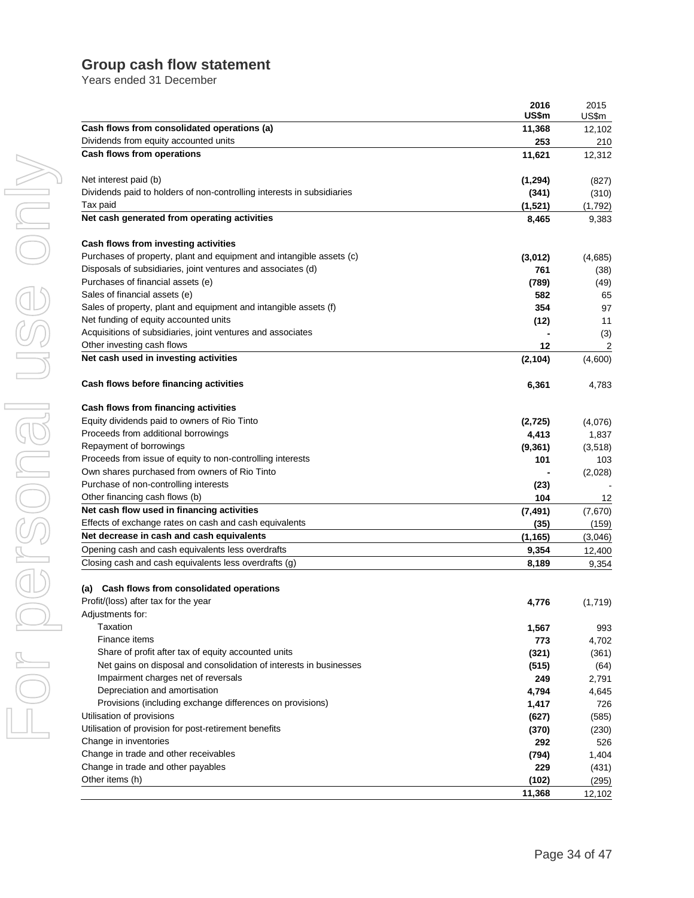# **Group cash flow statement**

Years ended 31 December

|                                                                        | 2016     | 2015    |
|------------------------------------------------------------------------|----------|---------|
|                                                                        | US\$m    | US\$m   |
| Cash flows from consolidated operations (a)                            | 11,368   | 12,102  |
| Dividends from equity accounted units                                  | 253      | 210     |
| Cash flows from operations                                             | 11,621   | 12,312  |
| Net interest paid (b)                                                  | (1, 294) | (827)   |
| Dividends paid to holders of non-controlling interests in subsidiaries | (341)    | (310)   |
| Tax paid                                                               | (1,521)  | (1,792) |
| Net cash generated from operating activities                           | 8,465    | 9,383   |
| Cash flows from investing activities                                   |          |         |
| Purchases of property, plant and equipment and intangible assets (c)   | (3,012)  | (4,685) |
| Disposals of subsidiaries, joint ventures and associates (d)           | 761      | (38)    |
| Purchases of financial assets (e)                                      | (789)    | (49)    |
| Sales of financial assets (e)                                          | 582      | 65      |
| Sales of property, plant and equipment and intangible assets (f)       | 354      | 97      |
| Net funding of equity accounted units                                  | (12)     | 11      |
| Acquisitions of subsidiaries, joint ventures and associates            |          | (3)     |
| Other investing cash flows                                             | 12       | 2       |
| Net cash used in investing activities                                  | (2, 104) | (4,600) |
| Cash flows before financing activities                                 | 6,361    | 4,783   |
| Cash flows from financing activities                                   |          |         |
| Equity dividends paid to owners of Rio Tinto                           | (2,725)  | (4,076) |
| Proceeds from additional borrowings                                    | 4,413    | 1,837   |
| Repayment of borrowings                                                | (9, 361) | (3,518) |
| Proceeds from issue of equity to non-controlling interests             | 101      | 103     |
| Own shares purchased from owners of Rio Tinto                          |          | (2,028) |
| Purchase of non-controlling interests                                  | (23)     |         |
| Other financing cash flows (b)                                         | 104      | 12      |
| Net cash flow used in financing activities                             | (7, 491) | (7,670) |
| Effects of exchange rates on cash and cash equivalents                 | (35)     | (159)   |
| Net decrease in cash and cash equivalents                              | (1, 165) | (3,046) |
| Opening cash and cash equivalents less overdrafts                      | 9,354    | 12,400  |
| Closing cash and cash equivalents less overdrafts (g)                  | 8,189    | 9,354   |
| Cash flows from consolidated operations<br>(a)                         |          |         |
| Profit/(loss) after tax for the year                                   | 4,776    | (1,719) |
| Adjustments for:                                                       |          |         |
| Taxation                                                               | 1,567    | 993     |
| Finance items                                                          | 773      | 4,702   |
| Share of profit after tax of equity accounted units                    | (321)    | (361)   |
| Net gains on disposal and consolidation of interests in businesses     | (515)    | (64)    |
| Impairment charges net of reversals                                    | 249      | 2,791   |
| Depreciation and amortisation                                          | 4,794    | 4,645   |
| Provisions (including exchange differences on provisions)              | 1,417    | 726     |
| Utilisation of provisions                                              | (627)    | (585)   |
| Utilisation of provision for post-retirement benefits                  | (370)    | (230)   |
| Change in inventories                                                  | 292      | 526     |
| Change in trade and other receivables                                  | (794)    | 1,404   |
| Change in trade and other payables                                     | 229      | (431)   |
| Other items (h)                                                        | (102)    | (295)   |
|                                                                        | 11,368   | 12,102  |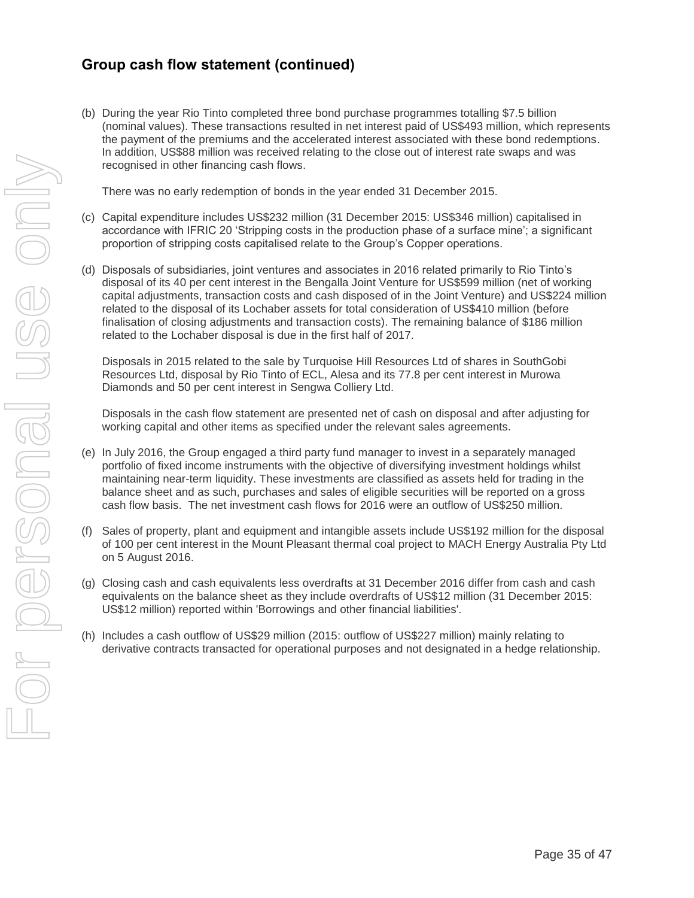# **Group cash flow statement (continued)**

(b) During the year Rio Tinto completed three bond purchase programmes totalling \$7.5 billion (nominal values). These transactions resulted in net interest paid of US\$493 million, which represents the payment of the premiums and the accelerated interest associated with these bond redemptions. In addition, US\$88 million was received relating to the close out of interest rate swaps and was recognised in other financing cash flows.

There was no early redemption of bonds in the year ended 31 December 2015.

- (c) Capital expenditure includes US\$232 million (31 December 2015: US\$346 million) capitalised in accordance with IFRIC 20 'Stripping costs in the production phase of a surface mine'; a significant proportion of stripping costs capitalised relate to the Group's Copper operations.
- (d) Disposals of subsidiaries, joint ventures and associates in 2016 related primarily to Rio Tinto's disposal of its 40 per cent interest in the Bengalla Joint Venture for US\$599 million (net of working capital adjustments, transaction costs and cash disposed of in the Joint Venture) and US\$224 million related to the disposal of its Lochaber assets for total consideration of US\$410 million (before finalisation of closing adjustments and transaction costs). The remaining balance of \$186 million related to the Lochaber disposal is due in the first half of 2017.

Disposals in 2015 related to the sale by Turquoise Hill Resources Ltd of shares in SouthGobi Resources Ltd, disposal by Rio Tinto of ECL, Alesa and its 77.8 per cent interest in Murowa Diamonds and 50 per cent interest in Sengwa Colliery Ltd.

Disposals in the cash flow statement are presented net of cash on disposal and after adjusting for working capital and other items as specified under the relevant sales agreements.

- (e) In July 2016, the Group engaged a third party fund manager to invest in a separately managed portfolio of fixed income instruments with the objective of diversifying investment holdings whilst maintaining near-term liquidity. These investments are classified as assets held for trading in the balance sheet and as such, purchases and sales of eligible securities will be reported on a gross cash flow basis. The net investment cash flows for 2016 were an outflow of US\$250 million.
- (f) Sales of property, plant and equipment and intangible assets include US\$192 million for the disposal of 100 per cent interest in the Mount Pleasant thermal coal project to MACH Energy Australia Pty Ltd on 5 August 2016.
- (g) Closing cash and cash equivalents less overdrafts at 31 December 2016 differ from cash and cash equivalents on the balance sheet as they include overdrafts of US\$12 million (31 December 2015: US\$12 million) reported within 'Borrowings and other financial liabilities'.
- (h) Includes a cash outflow of US\$29 million (2015: outflow of US\$227 million) mainly relating to derivative contracts transacted for operational purposes and not designated in a hedge relationship.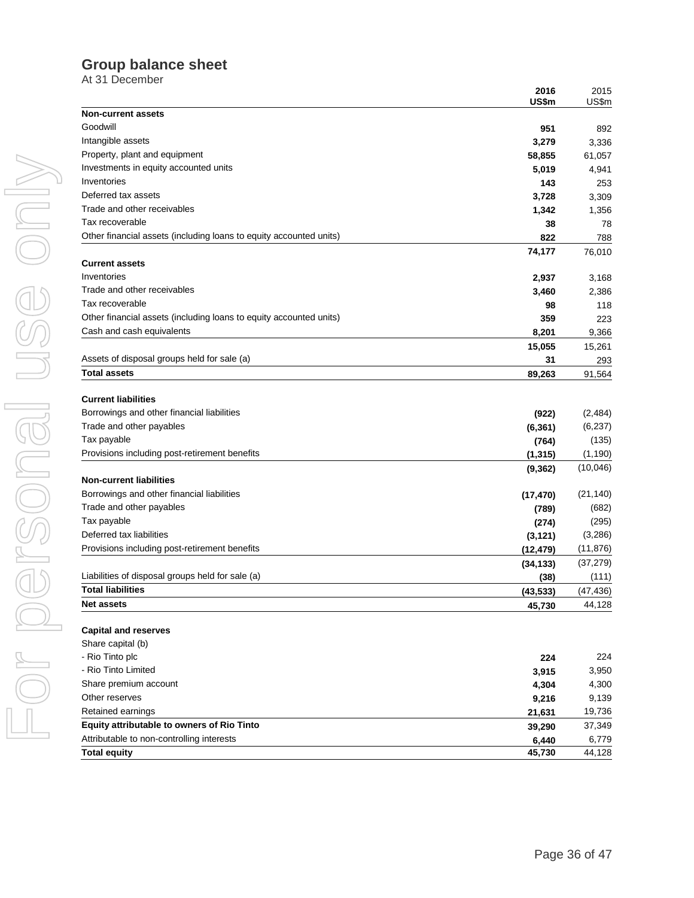# **Group balance sheet**

At 31 December

|                                                                    | 2016<br>US\$m | 2015<br>US\$m |
|--------------------------------------------------------------------|---------------|---------------|
| <b>Non-current assets</b>                                          |               |               |
| Goodwill                                                           | 951           | 892           |
| Intangible assets                                                  | 3,279         | 3,336         |
| Property, plant and equipment                                      | 58,855        | 61,057        |
| Investments in equity accounted units                              | 5,019         | 4,941         |
| Inventories                                                        | 143           | 253           |
| Deferred tax assets                                                | 3,728         | 3,309         |
| Trade and other receivables                                        | 1,342         | 1,356         |
| Tax recoverable                                                    | 38            | 78            |
| Other financial assets (including loans to equity accounted units) | 822           | 788           |
|                                                                    | 74,177        | 76,010        |
| <b>Current assets</b>                                              |               |               |
| Inventories                                                        | 2,937         | 3,168         |
| Trade and other receivables                                        | 3,460         | 2,386         |
| Tax recoverable                                                    | 98            | 118           |
| Other financial assets (including loans to equity accounted units) | 359           | 223           |
| Cash and cash equivalents                                          | 8,201         | 9,366         |
|                                                                    | 15,055        | 15,261        |
| Assets of disposal groups held for sale (a)<br><b>Total assets</b> | 31            | 293           |
|                                                                    | 89,263        | 91,564        |
| <b>Current liabilities</b>                                         |               |               |
| Borrowings and other financial liabilities                         | (922)         | (2,484)       |
| Trade and other payables                                           | (6, 361)      | (6, 237)      |
| Tax payable                                                        | (764)         | (135)         |
| Provisions including post-retirement benefits                      | (1, 315)      | (1, 190)      |
|                                                                    | (9, 362)      | (10,046)      |
| <b>Non-current liabilities</b>                                     |               |               |
| Borrowings and other financial liabilities                         | (17, 470)     | (21, 140)     |
| Trade and other payables                                           | (789)         | (682)         |
| Tax payable                                                        | (274)         | (295)         |
| Deferred tax liabilities                                           | (3, 121)      | (3,286)       |
| Provisions including post-retirement benefits                      | (12, 479)     | (11, 876)     |
|                                                                    | (34, 133)     | (37, 279)     |
| Liabilities of disposal groups held for sale (a)                   | (38)          | (111)         |
| <b>Total liabilities</b>                                           | (43, 533)     | (47, 436)     |
| <b>Net assets</b>                                                  | 45,730        | 44,128        |
| <b>Capital and reserves</b>                                        |               |               |
| Share capital (b)                                                  |               |               |
| - Rio Tinto plc                                                    | 224           | 224           |
| - Rio Tinto Limited                                                | 3,915         | 3,950         |
| Share premium account                                              | 4,304         | 4,300         |
| Other reserves                                                     | 9,216         | 9,139         |
| Retained earnings                                                  | 21,631        | 19,736        |
| Equity attributable to owners of Rio Tinto                         | 39,290        | 37,349        |
| Attributable to non-controlling interests                          | 6,440         | 6,779         |
| <b>Total equity</b>                                                | 45,730        | 44,128        |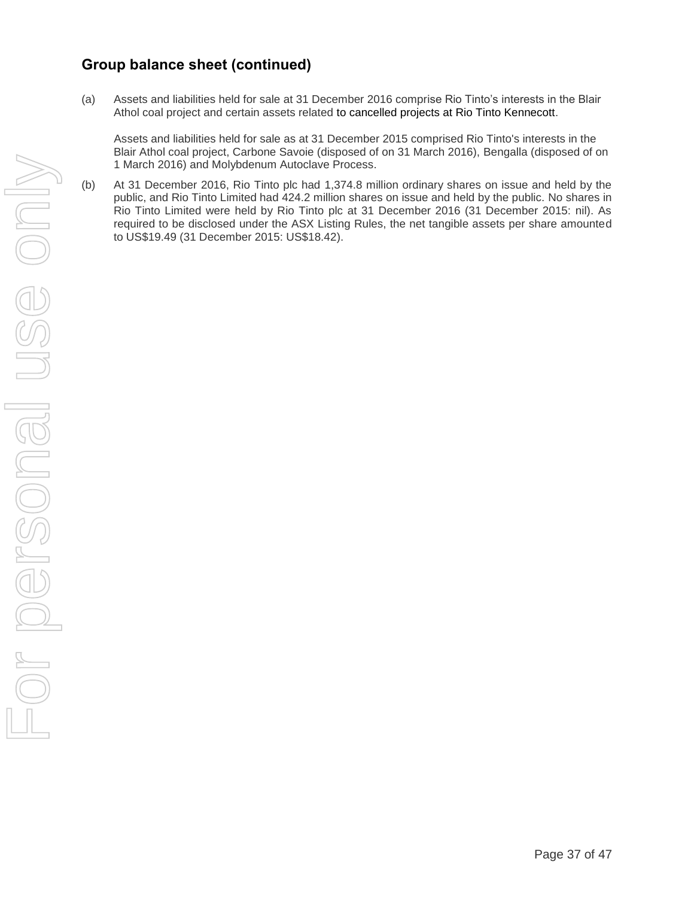# **Group balance sheet (continued)**

(a) Assets and liabilities held for sale at 31 December 2016 comprise Rio Tinto's interests in the Blair Athol coal project and certain assets related to cancelled projects at Rio Tinto Kennecott.

Assets and liabilities held for sale as at 31 December 2015 comprised Rio Tinto's interests in the Blair Athol coal project, Carbone Savoie (disposed of on 31 March 2016), Bengalla (disposed of on 1 March 2016) and Molybdenum Autoclave Process.

(b) At 31 December 2016, Rio Tinto plc had 1,374.8 million ordinary shares on issue and held by the public, and Rio Tinto Limited had 424.2 million shares on issue and held by the public. No shares in Rio Tinto Limited were held by Rio Tinto plc at 31 December 2016 (31 December 2015: nil). As required to be disclosed under the ASX Listing Rules, the net tangible assets per share amounted to US\$19.49 (31 December 2015: US\$18.42).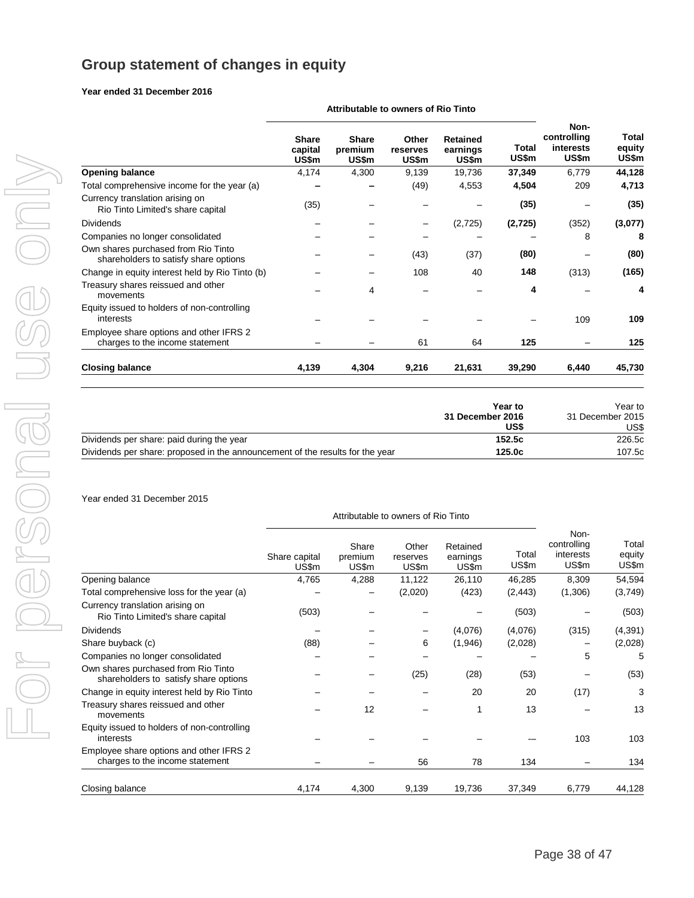# **Group statement of changes in equity**

#### **Year ended 31 December 2016**

|                                                                              | Attributable to owners of Rio Tinto |                                  |                            |                                      |                       |                                           |                          |
|------------------------------------------------------------------------------|-------------------------------------|----------------------------------|----------------------------|--------------------------------------|-----------------------|-------------------------------------------|--------------------------|
|                                                                              | <b>Share</b><br>capital<br>US\$m    | <b>Share</b><br>premium<br>US\$m | Other<br>reserves<br>US\$m | <b>Retained</b><br>earnings<br>US\$m | <b>Total</b><br>US\$m | Non-<br>controlling<br>interests<br>US\$m | Total<br>equity<br>US\$m |
| <b>Opening balance</b>                                                       | 4,174                               | 4,300                            | 9,139                      | 19,736                               | 37,349                | 6,779                                     | 44,128                   |
| Total comprehensive income for the year (a)                                  |                                     |                                  | (49)                       | 4,553                                | 4,504                 | 209                                       | 4,713                    |
| Currency translation arising on<br>Rio Tinto Limited's share capital         | (35)                                |                                  |                            |                                      | (35)                  |                                           | (35)                     |
| <b>Dividends</b>                                                             |                                     |                                  |                            | (2, 725)                             | (2,725)               | (352)                                     | (3,077)                  |
| Companies no longer consolidated                                             |                                     |                                  |                            |                                      |                       | 8                                         | 8                        |
| Own shares purchased from Rio Tinto<br>shareholders to satisfy share options |                                     |                                  | (43)                       | (37)                                 | (80)                  |                                           | (80)                     |
| Change in equity interest held by Rio Tinto (b)                              |                                     |                                  | 108                        | 40                                   | 148                   | (313)                                     | (165)                    |
| Treasury shares reissued and other<br>movements                              |                                     | 4                                |                            |                                      | 4                     |                                           | 4                        |
| Equity issued to holders of non-controlling<br>interests                     |                                     |                                  |                            |                                      |                       | 109                                       | 109                      |
| Employee share options and other IFRS 2<br>charges to the income statement   |                                     |                                  | 61                         | 64                                   | 125                   |                                           | 125                      |
| <b>Closing balance</b>                                                       | 4,139                               | 4,304                            | 9,216                      | 21,631                               | 39,290                | 6,440                                     | 45,730                   |

|                                                                               | Year to          | Year to          |  |
|-------------------------------------------------------------------------------|------------------|------------------|--|
|                                                                               | 31 December 2016 | 31 December 2015 |  |
|                                                                               | US\$             | US\$             |  |
| Dividends per share: paid during the year                                     | 152.5c           | 226.5c           |  |
| Dividends per share: proposed in the announcement of the results for the year | 125.0c           | 107.5c           |  |

#### Year ended 31 December 2015

|                                                                              |                        |                           | Attributable to owners of Rio Tinto |                               |                |                                           |                          |
|------------------------------------------------------------------------------|------------------------|---------------------------|-------------------------------------|-------------------------------|----------------|-------------------------------------------|--------------------------|
|                                                                              | Share capital<br>US\$m | Share<br>premium<br>US\$m | Other<br>reserves<br>US\$m          | Retained<br>earnings<br>US\$m | Total<br>US\$m | Non-<br>controlling<br>interests<br>US\$m | Total<br>equity<br>US\$m |
| Opening balance                                                              | 4,765                  | 4,288                     | 11,122                              | 26,110                        | 46,285         | 8,309                                     | 54,594                   |
| Total comprehensive loss for the year (a)                                    |                        |                           | (2,020)                             | (423)                         | (2, 443)       | (1,306)                                   | (3,749)                  |
| Currency translation arising on<br>Rio Tinto Limited's share capital         | (503)                  |                           |                                     |                               | (503)          |                                           | (503)                    |
| Dividends                                                                    |                        |                           |                                     | (4,076)                       | (4,076)        | (315)                                     | (4, 391)                 |
| Share buyback (c)                                                            | (88)                   |                           | 6                                   | (1,946)                       | (2,028)        |                                           | (2,028)                  |
| Companies no longer consolidated                                             |                        |                           |                                     |                               |                | 5                                         | 5                        |
| Own shares purchased from Rio Tinto<br>shareholders to satisfy share options |                        |                           | (25)                                | (28)                          | (53)           |                                           | (53)                     |
| Change in equity interest held by Rio Tinto                                  |                        |                           |                                     | 20                            | 20             | (17)                                      | 3                        |
| Treasury shares reissued and other<br>movements                              |                        | 12                        |                                     |                               | 13             |                                           | 13                       |
| Equity issued to holders of non-controlling<br>interests                     |                        |                           |                                     |                               |                | 103                                       | 103                      |
| Employee share options and other IFRS 2<br>charges to the income statement   |                        |                           | 56                                  | 78                            | 134            |                                           | 134                      |
| Closing balance                                                              | 4,174                  | 4,300                     | 9,139                               | 19,736                        | 37,349         | 6,779                                     | 44,128                   |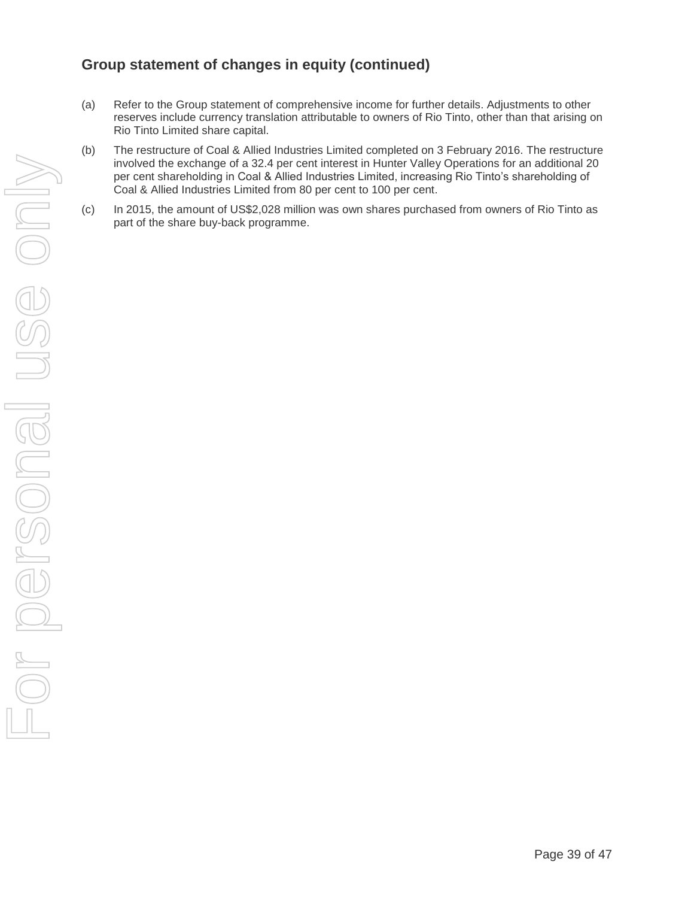# **Group statement of changes in equity (continued)**

- (a) Refer to the Group statement of comprehensive income for further details. Adjustments to other reserves include currency translation attributable to owners of Rio Tinto, other than that arising on Rio Tinto Limited share capital.
- (b) The restructure of Coal & Allied Industries Limited completed on 3 February 2016. The restructure involved the exchange of a 32.4 per cent interest in Hunter Valley Operations for an additional 20 per cent shareholding in Coal & Allied Industries Limited, increasing Rio Tinto's shareholding of Coal & Allied Industries Limited from 80 per cent to 100 per cent.
- (c) In 2015, the amount of US\$2,028 million was own shares purchased from owners of Rio Tinto as part of the share buy-back programme.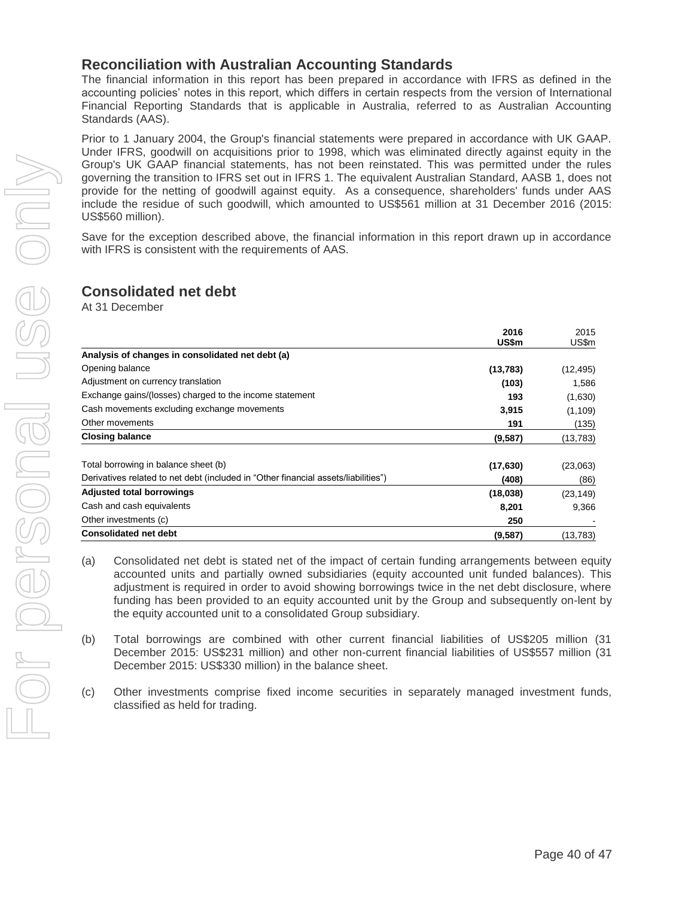### **Reconciliation with Australian Accounting Standards**

The financial information in this report has been prepared in accordance with IFRS as defined in the accounting policies' notes in this report, which differs in certain respects from the version of International Financial Reporting Standards that is applicable in Australia, referred to as Australian Accounting Standards (AAS).

Prior to 1 January 2004, the Group's financial statements were prepared in accordance with UK GAAP. Under IFRS, goodwill on acquisitions prior to 1998, which was eliminated directly against equity in the Group's UK GAAP financial statements, has not been reinstated. This was permitted under the rules governing the transition to IFRS set out in IFRS 1. The equivalent Australian Standard, AASB 1, does not provide for the netting of goodwill against equity. As a consequence, shareholders' funds under AAS include the residue of such goodwill, which amounted to US\$561 million at 31 December 2016 (2015: US\$560 million).

Save for the exception described above, the financial information in this report drawn up in accordance with IFRS is consistent with the requirements of AAS.

### **Consolidated net debt**

At 31 December

|                                                                                    | 2016<br>US\$m | 2015<br>US\$m |
|------------------------------------------------------------------------------------|---------------|---------------|
| Analysis of changes in consolidated net debt (a)                                   |               |               |
| Opening balance                                                                    | (13, 783)     | (12, 495)     |
| Adjustment on currency translation                                                 | (103)         | 1,586         |
| Exchange gains/(losses) charged to the income statement                            | 193           | (1,630)       |
| Cash movements excluding exchange movements                                        | 3,915         | (1, 109)      |
| Other movements                                                                    | 191           | (135)         |
| <b>Closing balance</b>                                                             | (9, 587)      | (13, 783)     |
| Total borrowing in balance sheet (b)                                               | (17, 630)     | (23,063)      |
| Derivatives related to net debt (included in "Other financial assets/liabilities") | (408)         | (86)          |
| <b>Adjusted total borrowings</b>                                                   | (18,038)      | (23, 149)     |
| Cash and cash equivalents                                                          | 8,201         | 9,366         |
| Other investments (c)                                                              | 250           |               |
| <b>Consolidated net debt</b>                                                       | (9, 587)      | (13, 783)     |

- (a) Consolidated net debt is stated net of the impact of certain funding arrangements between equity accounted units and partially owned subsidiaries (equity accounted unit funded balances). This adjustment is required in order to avoid showing borrowings twice in the net debt disclosure, where funding has been provided to an equity accounted unit by the Group and subsequently on-lent by the equity accounted unit to a consolidated Group subsidiary.
- (b) Total borrowings are combined with other current financial liabilities of US\$205 million (31 December 2015: US\$231 million) and other non-current financial liabilities of US\$557 million (31 December 2015: US\$330 million) in the balance sheet.

(c) Other investments comprise fixed income securities in separately managed investment funds, classified as held for trading.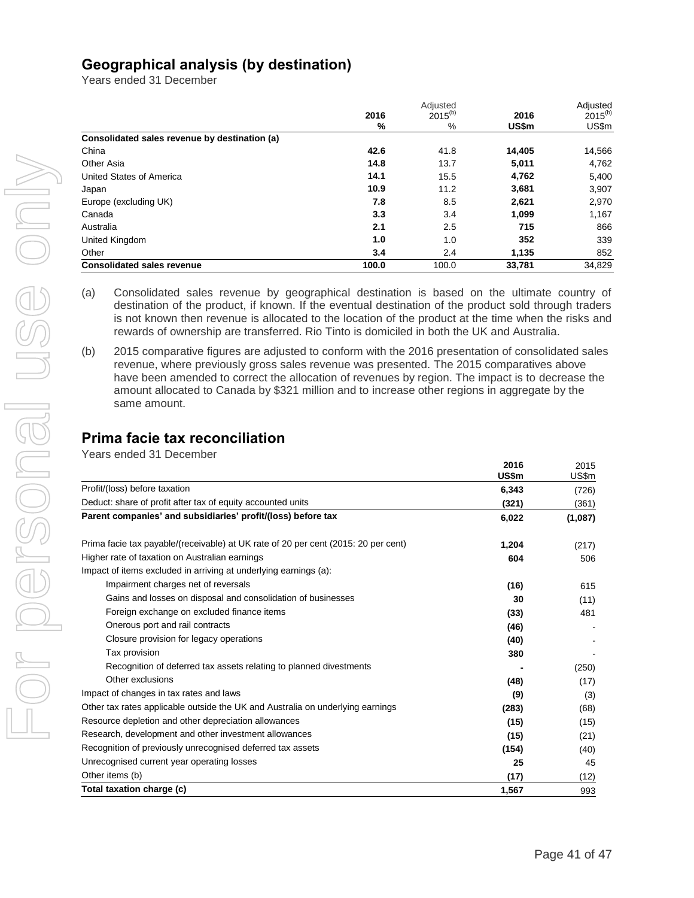# **Geographical analysis (by destination)**

Years ended 31 December

|                                               | 2016  | Adjusted<br>$2015^{(b)}$ | 2016   | Adjusted<br>$2015^{(b)}$ |
|-----------------------------------------------|-------|--------------------------|--------|--------------------------|
|                                               | %     | %                        | US\$m  | US\$m                    |
| Consolidated sales revenue by destination (a) |       |                          |        |                          |
| China                                         | 42.6  | 41.8                     | 14,405 | 14,566                   |
| Other Asia                                    | 14.8  | 13.7                     | 5,011  | 4,762                    |
| United States of America                      | 14.1  | 15.5                     | 4,762  | 5,400                    |
| Japan                                         | 10.9  | 11.2                     | 3.681  | 3,907                    |
| Europe (excluding UK)                         | 7.8   | 8.5                      | 2,621  | 2,970                    |
| Canada                                        | 3.3   | 3.4                      | 1,099  | 1,167                    |
| Australia                                     | 2.1   | 2.5                      | 715    | 866                      |
| United Kingdom                                | 1.0   | 1.0                      | 352    | 339                      |
| Other                                         | 3.4   | 2.4                      | 1,135  | 852                      |
| <b>Consolidated sales revenue</b>             | 100.0 | 100.0                    | 33.781 | 34.829                   |

(a) Consolidated sales revenue by geographical destination is based on the ultimate country of destination of the product, if known. If the eventual destination of the product sold through traders is not known then revenue is allocated to the location of the product at the time when the risks and rewards of ownership are transferred. Rio Tinto is domiciled in both the UK and Australia.

(b) 2015 comparative figures are adjusted to conform with the 2016 presentation of consolidated sales revenue, where previously gross sales revenue was presented. The 2015 comparatives above have been amended to correct the allocation of revenues by region. The impact is to decrease the amount allocated to Canada by \$321 million and to increase other regions in aggregate by the same amount.

# **Prima facie tax reconciliation**

Years ended 31 December

|                                                                                    | 2016<br>US\$m | 2015<br>US\$m |
|------------------------------------------------------------------------------------|---------------|---------------|
| Profit/(loss) before taxation                                                      | 6,343         | (726)         |
| Deduct: share of profit after tax of equity accounted units                        | (321)         | (361)         |
| Parent companies' and subsidiaries' profit/(loss) before tax                       | 6,022         | (1,087)       |
| Prima facie tax payable/(receivable) at UK rate of 20 per cent (2015: 20 per cent) | 1,204         | (217)         |
| Higher rate of taxation on Australian earnings                                     | 604           | 506           |
| Impact of items excluded in arriving at underlying earnings (a):                   |               |               |
| Impairment charges net of reversals                                                | (16)          | 615           |
| Gains and losses on disposal and consolidation of businesses                       | 30            | (11)          |
| Foreign exchange on excluded finance items                                         | (33)          | 481           |
| Onerous port and rail contracts                                                    | (46)          |               |
| Closure provision for legacy operations                                            | (40)          |               |
| Tax provision                                                                      | 380           |               |
| Recognition of deferred tax assets relating to planned divestments                 |               | (250)         |
| Other exclusions                                                                   | (48)          | (17)          |
| Impact of changes in tax rates and laws                                            | (9)           | (3)           |
| Other tax rates applicable outside the UK and Australia on underlying earnings     | (283)         | (68)          |
| Resource depletion and other depreciation allowances                               | (15)          | (15)          |
| Research, development and other investment allowances                              | (15)          | (21)          |
| Recognition of previously unrecognised deferred tax assets                         | (154)         | (40)          |
| Unrecognised current year operating losses                                         | 25            | 45            |
| Other items (b)                                                                    | (17)          | (12)          |
| Total taxation charge (c)                                                          | 1,567         | 993           |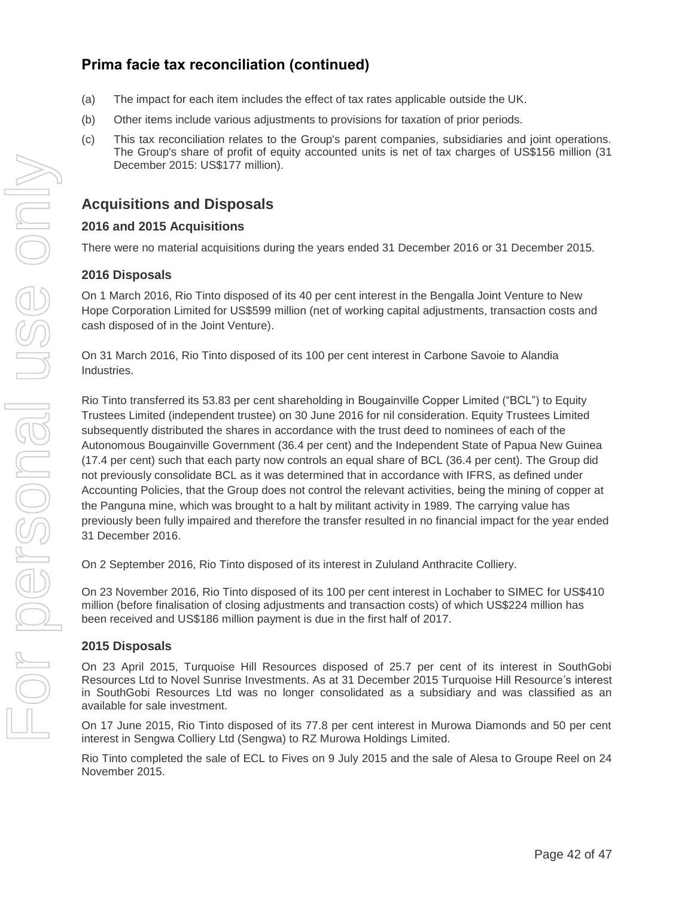# **Prima facie tax reconciliation (continued)**

- (a) The impact for each item includes the effect of tax rates applicable outside the UK.
- (b) Other items include various adjustments to provisions for taxation of prior periods.
- (c) This tax reconciliation relates to the Group's parent companies, subsidiaries and joint operations. The Group's share of profit of equity accounted units is net of tax charges of US\$156 million (31 December 2015: US\$177 million).

### **Acquisitions and Disposals**

#### **2016 and 2015 Acquisitions**

There were no material acquisitions during the years ended 31 December 2016 or 31 December 2015.

#### **2016 Disposals**

On 1 March 2016, Rio Tinto disposed of its 40 per cent interest in the Bengalla Joint Venture to New Hope Corporation Limited for US\$599 million (net of working capital adjustments, transaction costs and cash disposed of in the Joint Venture).

On 31 March 2016, Rio Tinto disposed of its 100 per cent interest in Carbone Savoie to Alandia Industries.

Rio Tinto transferred its 53.83 per cent shareholding in Bougainville Copper Limited ("BCL") to Equity Trustees Limited (independent trustee) on 30 June 2016 for nil consideration. Equity Trustees Limited subsequently distributed the shares in accordance with the trust deed to nominees of each of the Autonomous Bougainville Government (36.4 per cent) and the Independent State of Papua New Guinea (17.4 per cent) such that each party now controls an equal share of BCL (36.4 per cent). The Group did not previously consolidate BCL as it was determined that in accordance with IFRS, as defined under Accounting Policies, that the Group does not control the relevant activities, being the mining of copper at the Panguna mine, which was brought to a halt by militant activity in 1989. The carrying value has previously been fully impaired and therefore the transfer resulted in no financial impact for the year ended 31 December 2016.

On 2 September 2016, Rio Tinto disposed of its interest in Zululand Anthracite Colliery.

On 23 November 2016, Rio Tinto disposed of its 100 per cent interest in Lochaber to SIMEC for US\$410 million (before finalisation of closing adjustments and transaction costs) of which US\$224 million has been received and US\$186 million payment is due in the first half of 2017.

#### **2015 Disposals**

On 23 April 2015, Turquoise Hill Resources disposed of 25.7 per cent of its interest in SouthGobi Resources Ltd to Novel Sunrise Investments. As at 31 December 2015 Turquoise Hill Resource's interest in SouthGobi Resources Ltd was no longer consolidated as a subsidiary and was classified as an available for sale investment.

On 17 June 2015, Rio Tinto disposed of its 77.8 per cent interest in Murowa Diamonds and 50 per cent interest in Sengwa Colliery Ltd (Sengwa) to RZ Murowa Holdings Limited.

Rio Tinto completed the sale of ECL to Fives on 9 July 2015 and the sale of Alesa to Groupe Reel on 24 November 2015.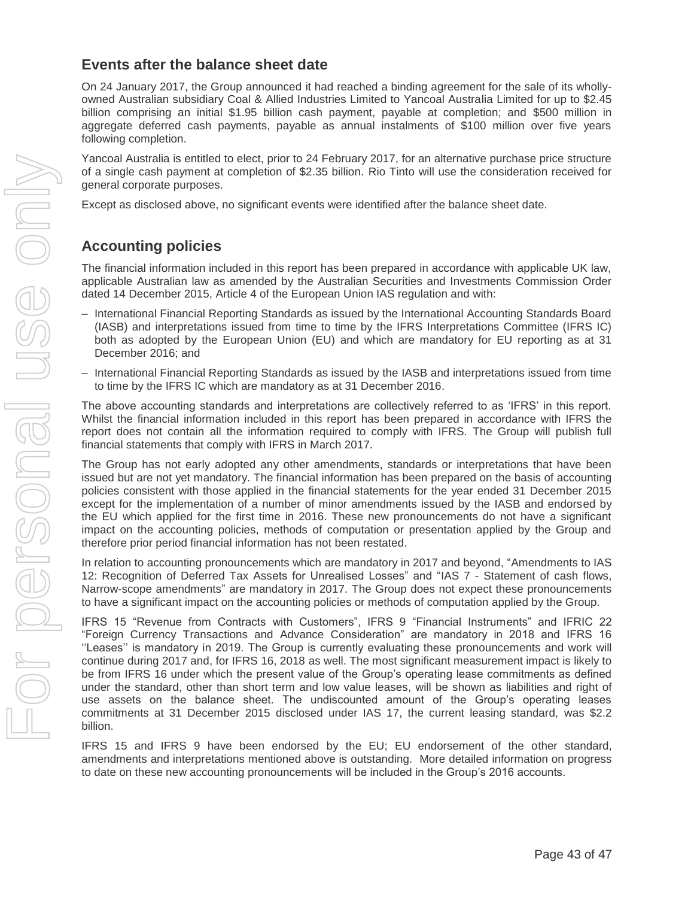### **Events after the balance sheet date**

On 24 January 2017, the Group announced it had reached a binding agreement for the sale of its whollyowned Australian subsidiary Coal & Allied Industries Limited to Yancoal Australia Limited for up to \$2.45 billion comprising an initial \$1.95 billion cash payment, payable at completion; and \$500 million in aggregate deferred cash payments, payable as annual instalments of \$100 million over five years following completion.

Yancoal Australia is entitled to elect, prior to 24 February 2017, for an alternative purchase price structure of a single cash payment at completion of \$2.35 billion. Rio Tinto will use the consideration received for general corporate purposes.

Except as disclosed above, no significant events were identified after the balance sheet date.

# **Accounting policies**

The financial information included in this report has been prepared in accordance with applicable UK law, applicable Australian law as amended by the Australian Securities and Investments Commission Order dated 14 December 2015, Article 4 of the European Union IAS regulation and with:

- International Financial Reporting Standards as issued by the International Accounting Standards Board (IASB) and interpretations issued from time to time by the IFRS Interpretations Committee (IFRS IC) both as adopted by the European Union (EU) and which are mandatory for EU reporting as at 31 December 2016; and
- International Financial Reporting Standards as issued by the IASB and interpretations issued from time to time by the IFRS IC which are mandatory as at 31 December 2016.

The above accounting standards and interpretations are collectively referred to as 'IFRS' in this report. Whilst the financial information included in this report has been prepared in accordance with IFRS the report does not contain all the information required to comply with IFRS. The Group will publish full financial statements that comply with IFRS in March 2017.

The Group has not early adopted any other amendments, standards or interpretations that have been issued but are not yet mandatory. The financial information has been prepared on the basis of accounting policies consistent with those applied in the financial statements for the year ended 31 December 2015 except for the implementation of a number of minor amendments issued by the IASB and endorsed by the EU which applied for the first time in 2016. These new pronouncements do not have a significant impact on the accounting policies, methods of computation or presentation applied by the Group and therefore prior period financial information has not been restated.

In relation to accounting pronouncements which are mandatory in 2017 and beyond, "Amendments to IAS 12: Recognition of Deferred Tax Assets for Unrealised Losses" and "IAS 7 - Statement of cash flows, Narrow-scope amendments" are mandatory in 2017. The Group does not expect these pronouncements to have a significant impact on the accounting policies or methods of computation applied by the Group.

IFRS 15 "Revenue from Contracts with Customers", IFRS 9 "Financial Instruments" and IFRIC 22 "Foreign Currency Transactions and Advance Consideration" are mandatory in 2018 and IFRS 16 ''Leases'' is mandatory in 2019. The Group is currently evaluating these pronouncements and work will continue during 2017 and, for IFRS 16, 2018 as well. The most significant measurement impact is likely to be from IFRS 16 under which the present value of the Group's operating lease commitments as defined under the standard, other than short term and low value leases, will be shown as liabilities and right of use assets on the balance sheet. The undiscounted amount of the Group's operating leases commitments at 31 December 2015 disclosed under IAS 17, the current leasing standard, was \$2.2 billion.

IFRS 15 and IFRS 9 have been endorsed by the EU; EU endorsement of the other standard, amendments and interpretations mentioned above is outstanding. More detailed information on progress to date on these new accounting pronouncements will be included in the Group's 2016 accounts.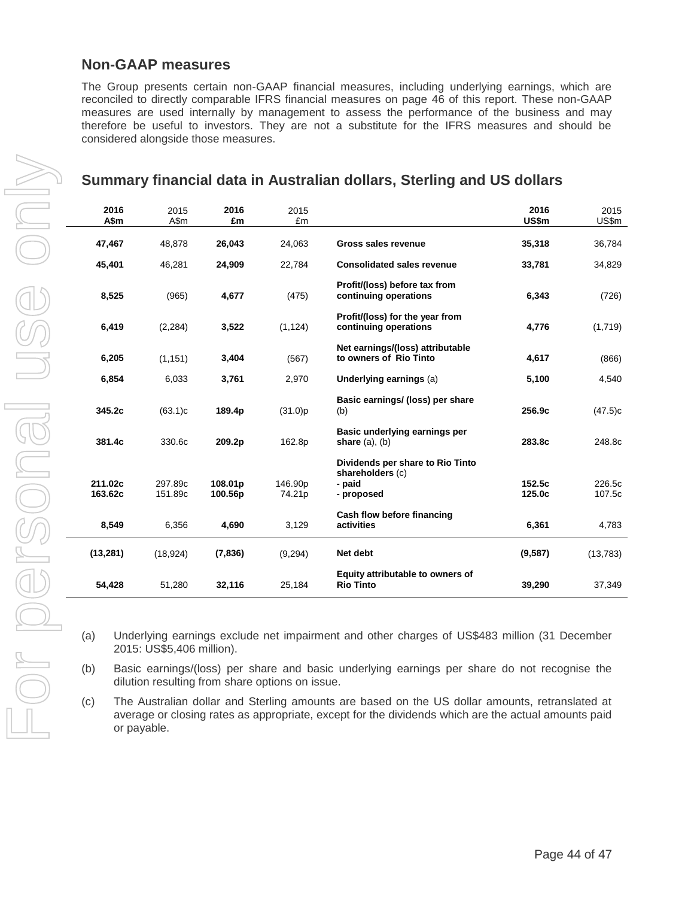### **Non-GAAP measures**

The Group presents certain non-GAAP financial measures, including underlying earnings, which are reconciled to directly comparable IFRS financial measures on page 46 of this report. These non-GAAP measures are used internally by management to assess the performance of the business and may therefore be useful to investors. They are not a substitute for the IFRS measures and should be considered alongside those measures.

# **Summary financial data in Australian dollars, Sterling and US dollars**

| 2016<br>A\$m       | 2015<br>A\$m       | 2016<br>£m         | 2015<br>£m        |                                                                              | 2016<br>US\$m    | 2015<br>US\$m    |
|--------------------|--------------------|--------------------|-------------------|------------------------------------------------------------------------------|------------------|------------------|
| 47,467             | 48,878             | 26,043             | 24,063            | Gross sales revenue                                                          | 35,318           | 36,784           |
| 45,401             | 46,281             | 24,909             | 22,784            | <b>Consolidated sales revenue</b>                                            | 33,781           | 34,829           |
| 8,525              | (965)              | 4,677              | (475)             | Profit/(loss) before tax from<br>continuing operations                       | 6,343            | (726)            |
| 6,419              | (2, 284)           | 3,522              | (1, 124)          | Profit/(loss) for the year from<br>continuing operations                     | 4,776            | (1,719)          |
| 6,205              | (1, 151)           | 3,404              | (567)             | Net earnings/(loss) attributable<br>to owners of Rio Tinto                   | 4,617            | (866)            |
| 6,854              | 6,033              | 3,761              | 2,970             | Underlying earnings (a)                                                      | 5,100            | 4,540            |
| 345.2c             | (63.1)c            | 189.4p             | (31.0)p           | Basic earnings/ (loss) per share<br>(b)                                      | 256.9c           | (47.5)c          |
| 381.4c             | 330.6c             | 209.2p             | 162.8p            | Basic underlying earnings per<br>share $(a)$ , $(b)$                         | 283.8c           | 248.8c           |
| 211.02c<br>163.62c | 297.89c<br>151.89c | 108.01p<br>100.56p | 146.90p<br>74.21p | Dividends per share to Rio Tinto<br>shareholders (c)<br>- paid<br>- proposed | 152.5c<br>125.0c | 226.5c<br>107.5c |
| 8,549              | 6,356              | 4,690              | 3,129             | Cash flow before financing<br>activities                                     | 6,361            | 4,783            |
| (13, 281)          | (18, 924)          | (7,836)            | (9, 294)          | Net debt                                                                     | (9,587)          | (13, 783)        |
| 54,428             | 51,280             | 32,116             | 25,184            | Equity attributable to owners of<br><b>Rio Tinto</b>                         | 39,290           | 37,349           |

- (a) Underlying earnings exclude net impairment and other charges of US\$483 million (31 December 2015: US\$5,406 million).
- (b) Basic earnings/(loss) per share and basic underlying earnings per share do not recognise the dilution resulting from share options on issue.
- (c) The Australian dollar and Sterling amounts are based on the US dollar amounts, retranslated at average or closing rates as appropriate, except for the dividends which are the actual amounts paid or payable.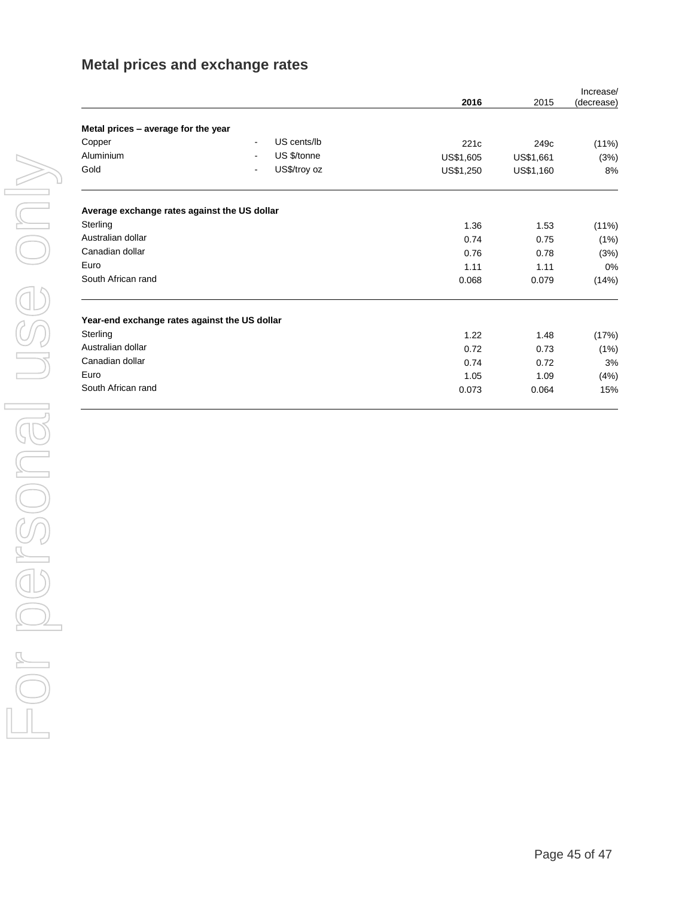# **Metal prices and exchange rates**

|                                               |                                         | 2016      | 2015             | Increase/<br>(decrease) |
|-----------------------------------------------|-----------------------------------------|-----------|------------------|-------------------------|
| Metal prices - average for the year           |                                         |           |                  |                         |
| Copper                                        | US cents/lb<br>$\overline{a}$           | 221c      | 249 <sub>c</sub> | (11%)                   |
| Aluminium                                     | US \$/tonne<br>$\overline{\phantom{0}}$ | US\$1,605 | US\$1,661        | (3%)                    |
| Gold                                          | US\$/troy oz                            | US\$1,250 | US\$1,160        | 8%                      |
| Average exchange rates against the US dollar  |                                         |           |                  |                         |
| Sterling                                      |                                         | 1.36      | 1.53             | (11%)                   |
| Australian dollar                             |                                         | 0.74      | 0.75             | (1%)                    |
| Canadian dollar                               |                                         | 0.76      | 0.78             | (3%)                    |
| Euro                                          |                                         | 1.11      | 1.11             | 0%                      |
| South African rand                            |                                         | 0.068     | 0.079            | (14%)                   |
| Year-end exchange rates against the US dollar |                                         |           |                  |                         |
| Sterling                                      |                                         | 1.22      | 1.48             | (17%)                   |
| Australian dollar                             |                                         | 0.72      | 0.73             | (1%)                    |
| Canadian dollar                               |                                         | 0.74      | 0.72             | 3%                      |
| Euro                                          |                                         | 1.05      | 1.09             | (4%)                    |
| South African rand                            |                                         | 0.073     | 0.064            | 15%                     |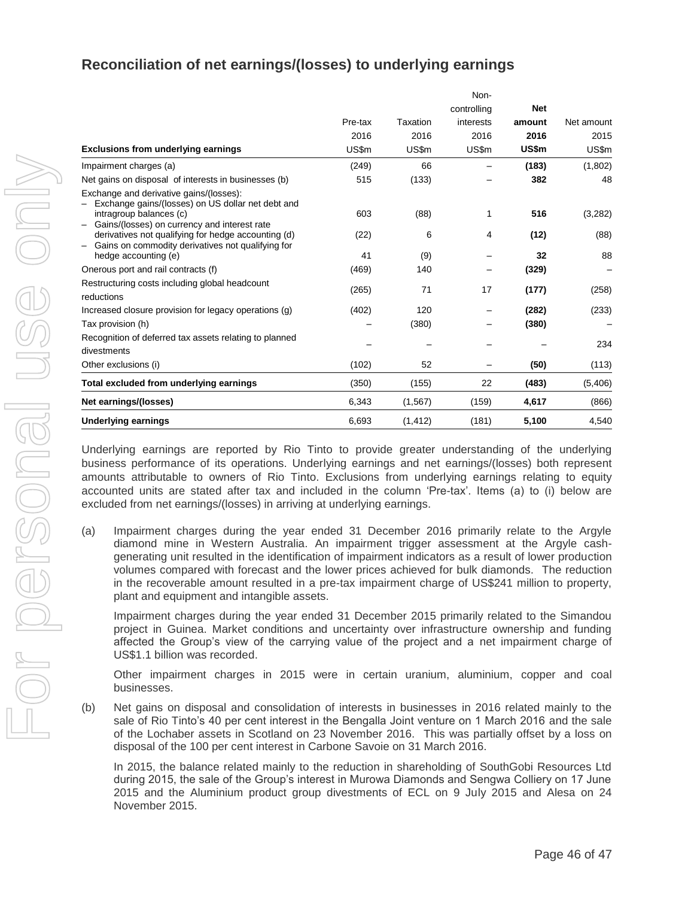# **Reconciliation of net earnings/(losses) to underlying earnings**

|                                                                                                                                                                         |         |          | Non-        |            |            |
|-------------------------------------------------------------------------------------------------------------------------------------------------------------------------|---------|----------|-------------|------------|------------|
|                                                                                                                                                                         |         |          | controlling | <b>Net</b> |            |
|                                                                                                                                                                         | Pre-tax | Taxation | interests   | amount     | Net amount |
|                                                                                                                                                                         | 2016    | 2016     | 2016        | 2016       | 2015       |
| Exclusions from underlying earnings                                                                                                                                     | US\$m   | US\$m    | US\$m       | US\$m      | US\$m      |
| Impairment charges (a)                                                                                                                                                  | (249)   | 66       |             | (183)      | (1,802)    |
| Net gains on disposal of interests in businesses (b)                                                                                                                    | 515     | (133)    |             | 382        | 48         |
| Exchange and derivative gains/(losses):<br>Exchange gains/(losses) on US dollar net debt and<br>intragroup balances (c)<br>Gains/(losses) on currency and interest rate | 603     | (88)     | 1           | 516        | (3,282)    |
| derivatives not qualifying for hedge accounting (d)<br>Gains on commodity derivatives not qualifying for                                                                | (22)    | 6        | 4           | (12)       | (88)       |
| hedge accounting (e)                                                                                                                                                    | 41      | (9)      |             | 32         | 88         |
| Onerous port and rail contracts (f)                                                                                                                                     | (469)   | 140      |             | (329)      |            |
| Restructuring costs including global headcount<br>reductions                                                                                                            | (265)   | 71       | 17          | (177)      | (258)      |
| Increased closure provision for legacy operations (g)                                                                                                                   | (402)   | 120      | —           | (282)      | (233)      |
| Tax provision (h)                                                                                                                                                       |         | (380)    |             | (380)      |            |
| Recognition of deferred tax assets relating to planned<br>divestments                                                                                                   |         |          |             |            | 234        |
| Other exclusions (i)                                                                                                                                                    | (102)   | 52       |             | (50)       | (113)      |
| Total excluded from underlying earnings                                                                                                                                 | (350)   | (155)    | 22          | (483)      | (5,406)    |
| Net earnings/(losses)                                                                                                                                                   | 6,343   | (1, 567) | (159)       | 4,617      | (866)      |
| <b>Underlying earnings</b>                                                                                                                                              | 6,693   | (1, 412) | (181)       | 5,100      | 4,540      |

Underlying earnings are reported by Rio Tinto to provide greater understanding of the underlying business performance of its operations. Underlying earnings and net earnings/(losses) both represent amounts attributable to owners of Rio Tinto. Exclusions from underlying earnings relating to equity accounted units are stated after tax and included in the column 'Pre-tax'. Items (a) to (i) below are excluded from net earnings/(losses) in arriving at underlying earnings.

(a) Impairment charges during the year ended 31 December 2016 primarily relate to the Argyle diamond mine in Western Australia. An impairment trigger assessment at the Argyle cashgenerating unit resulted in the identification of impairment indicators as a result of lower production volumes compared with forecast and the lower prices achieved for bulk diamonds. The reduction in the recoverable amount resulted in a pre-tax impairment charge of US\$241 million to property, plant and equipment and intangible assets.

Impairment charges during the year ended 31 December 2015 primarily related to the Simandou project in Guinea. Market conditions and uncertainty over infrastructure ownership and funding affected the Group's view of the carrying value of the project and a net impairment charge of US\$1.1 billion was recorded.

Other impairment charges in 2015 were in certain uranium, aluminium, copper and coal businesses.

(b) Net gains on disposal and consolidation of interests in businesses in 2016 related mainly to the sale of Rio Tinto's 40 per cent interest in the Bengalla Joint venture on 1 March 2016 and the sale of the Lochaber assets in Scotland on 23 November 2016. This was partially offset by a loss on disposal of the 100 per cent interest in Carbone Savoie on 31 March 2016.

In 2015, the balance related mainly to the reduction in shareholding of SouthGobi Resources Ltd during 2015, the sale of the Group's interest in Murowa Diamonds and Sengwa Colliery on 17 June 2015 and the Aluminium product group divestments of ECL on 9 July 2015 and Alesa on 24 November 2015.